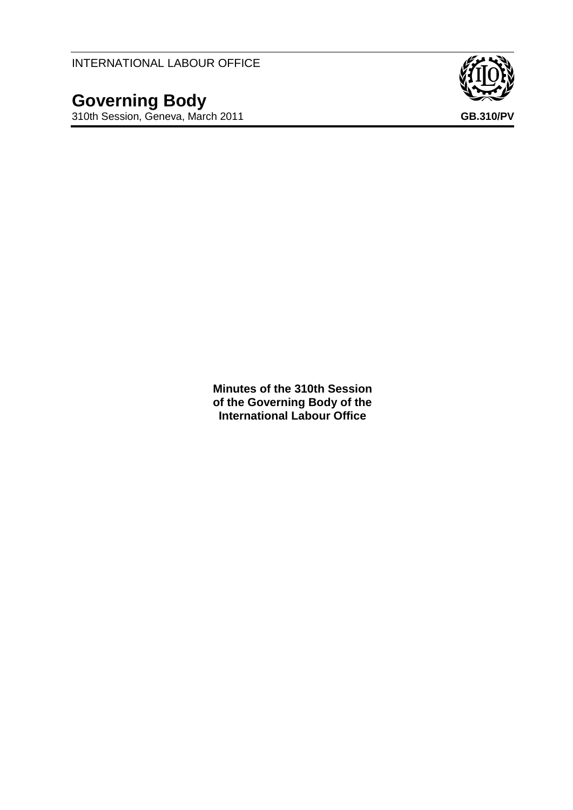INTERNATIONAL LABOUR OFFICE

**Governing Body** 310th Session, Geneva, March 2011 **GB.310/PV**



**Minutes of the 310th Session of the Governing Body of the International Labour Office**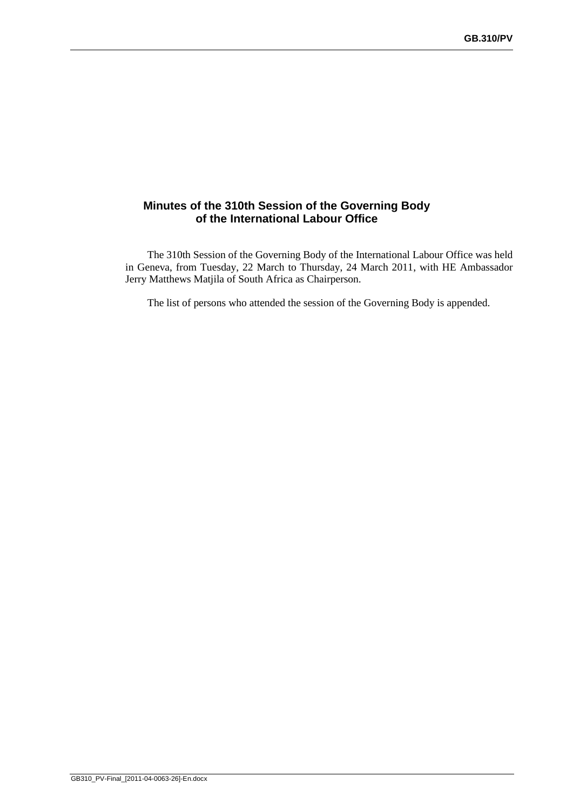# **Minutes of the 310th Session of the Governing Body of the International Labour Office**

The 310th Session of the Governing Body of the International Labour Office was held in Geneva, from Tuesday, 22 March to Thursday, 24 March 2011, with HE Ambassador Jerry Matthews Matjila of South Africa as Chairperson.

The list of persons who attended the session of the Governing Body is appended.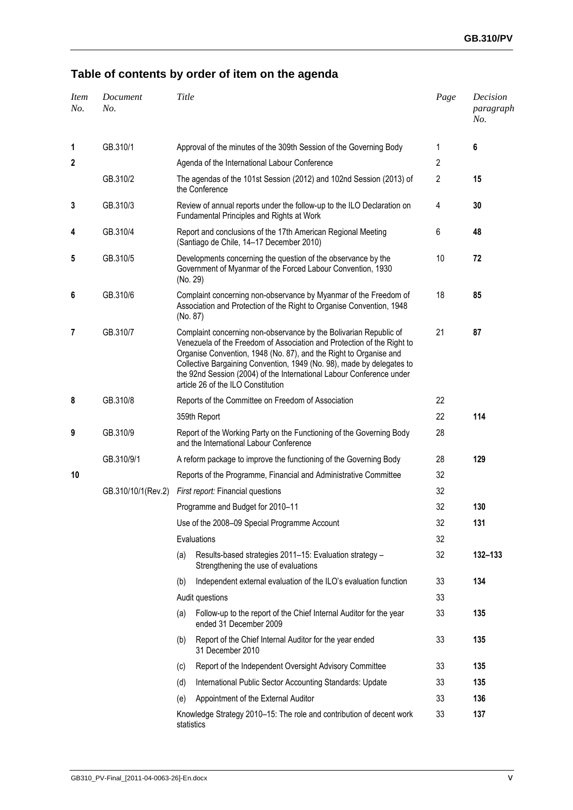# **Table of contents by order of item on the agenda**

| <b>Item</b><br>No. | Document<br>No.    | Title      |                                                                                                                                                                                                                                                                                                                                                                                                         | Page           | Decision<br>paragraph<br>No. |
|--------------------|--------------------|------------|---------------------------------------------------------------------------------------------------------------------------------------------------------------------------------------------------------------------------------------------------------------------------------------------------------------------------------------------------------------------------------------------------------|----------------|------------------------------|
| 1                  | GB.310/1           |            | Approval of the minutes of the 309th Session of the Governing Body                                                                                                                                                                                                                                                                                                                                      | 1              | 6                            |
| 2                  |                    |            | Agenda of the International Labour Conference                                                                                                                                                                                                                                                                                                                                                           | $\overline{c}$ |                              |
|                    | GB.310/2           |            | The agendas of the 101st Session (2012) and 102nd Session (2013) of<br>the Conference                                                                                                                                                                                                                                                                                                                   | $\overline{2}$ | 15                           |
| 3                  | GB.310/3           |            | Review of annual reports under the follow-up to the ILO Declaration on<br>Fundamental Principles and Rights at Work                                                                                                                                                                                                                                                                                     | 4              | 30                           |
| 4                  | GB.310/4           |            | Report and conclusions of the 17th American Regional Meeting<br>(Santiago de Chile, 14-17 December 2010)                                                                                                                                                                                                                                                                                                | 6              | 48                           |
| 5                  | GB.310/5           | (No. 29)   | Developments concerning the question of the observance by the<br>Government of Myanmar of the Forced Labour Convention, 1930                                                                                                                                                                                                                                                                            | 10             | 72                           |
| 6                  | GB.310/6           | (No. 87)   | Complaint concerning non-observance by Myanmar of the Freedom of<br>Association and Protection of the Right to Organise Convention, 1948                                                                                                                                                                                                                                                                | 18             | 85                           |
| 7                  | GB.310/7           |            | Complaint concerning non-observance by the Bolivarian Republic of<br>Venezuela of the Freedom of Association and Protection of the Right to<br>Organise Convention, 1948 (No. 87), and the Right to Organise and<br>Collective Bargaining Convention, 1949 (No. 98), made by delegates to<br>the 92nd Session (2004) of the International Labour Conference under<br>article 26 of the ILO Constitution | 21             | 87                           |
| 8                  | GB.310/8           |            | Reports of the Committee on Freedom of Association                                                                                                                                                                                                                                                                                                                                                      | 22             |                              |
|                    |                    |            | 359th Report                                                                                                                                                                                                                                                                                                                                                                                            | 22             | 114                          |
| 9                  | GB.310/9           |            | Report of the Working Party on the Functioning of the Governing Body<br>and the International Labour Conference                                                                                                                                                                                                                                                                                         | 28             |                              |
|                    | GB.310/9/1         |            | A reform package to improve the functioning of the Governing Body                                                                                                                                                                                                                                                                                                                                       | 28             | 129                          |
| 10                 |                    |            | Reports of the Programme, Financial and Administrative Committee                                                                                                                                                                                                                                                                                                                                        | 32             |                              |
|                    | GB.310/10/1(Rev.2) |            | First report: Financial questions                                                                                                                                                                                                                                                                                                                                                                       | 32             |                              |
|                    |                    |            | Programme and Budget for 2010-11                                                                                                                                                                                                                                                                                                                                                                        | 32             | 130                          |
|                    |                    |            | Use of the 2008-09 Special Programme Account                                                                                                                                                                                                                                                                                                                                                            | 32             | 131                          |
|                    |                    |            | Evaluations                                                                                                                                                                                                                                                                                                                                                                                             | 32             |                              |
|                    |                    | (a)        | Results-based strategies 2011-15: Evaluation strategy -<br>Strengthening the use of evaluations                                                                                                                                                                                                                                                                                                         | 32             | 132-133                      |
|                    |                    | (b)        | Independent external evaluation of the ILO's evaluation function                                                                                                                                                                                                                                                                                                                                        | 33             | 134                          |
|                    |                    |            | Audit questions                                                                                                                                                                                                                                                                                                                                                                                         | 33             |                              |
|                    |                    | (a)        | Follow-up to the report of the Chief Internal Auditor for the year<br>ended 31 December 2009                                                                                                                                                                                                                                                                                                            | 33             | 135                          |
|                    |                    | (b)        | Report of the Chief Internal Auditor for the year ended<br>31 December 2010                                                                                                                                                                                                                                                                                                                             | 33             | 135                          |
|                    |                    | (c)        | Report of the Independent Oversight Advisory Committee                                                                                                                                                                                                                                                                                                                                                  | 33             | 135                          |
|                    |                    | (d)        | International Public Sector Accounting Standards: Update                                                                                                                                                                                                                                                                                                                                                | 33             | 135                          |
|                    |                    | (e)        | Appointment of the External Auditor                                                                                                                                                                                                                                                                                                                                                                     | 33             | 136                          |
|                    |                    | statistics | Knowledge Strategy 2010-15: The role and contribution of decent work                                                                                                                                                                                                                                                                                                                                    | 33             | 137                          |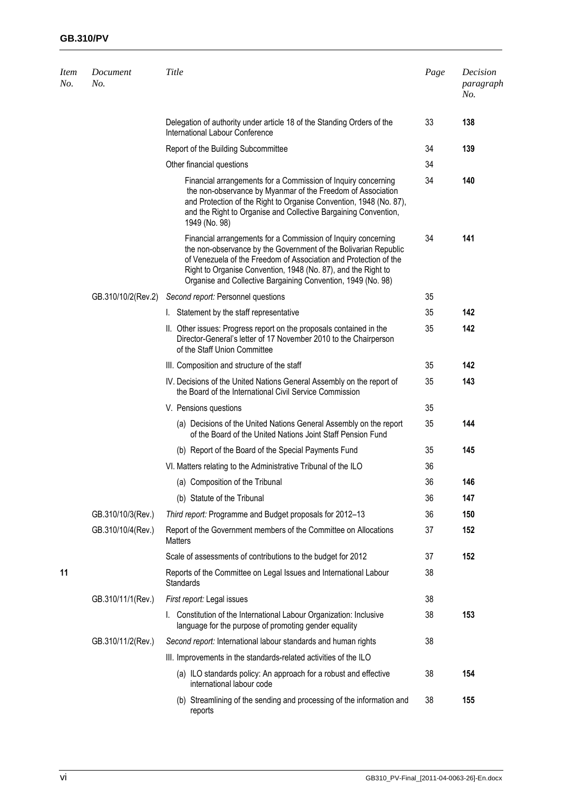| <b>Item</b><br>No. | Document<br>No.    | Title                                                                                                                                                                                                                                                                                                                                 | Page | Decision<br>paragraph<br>No. |
|--------------------|--------------------|---------------------------------------------------------------------------------------------------------------------------------------------------------------------------------------------------------------------------------------------------------------------------------------------------------------------------------------|------|------------------------------|
|                    |                    | Delegation of authority under article 18 of the Standing Orders of the<br>International Labour Conference                                                                                                                                                                                                                             | 33   | 138                          |
|                    |                    | Report of the Building Subcommittee                                                                                                                                                                                                                                                                                                   | 34   | 139                          |
|                    |                    | Other financial questions                                                                                                                                                                                                                                                                                                             | 34   |                              |
|                    |                    | Financial arrangements for a Commission of Inquiry concerning<br>the non-observance by Myanmar of the Freedom of Association<br>and Protection of the Right to Organise Convention, 1948 (No. 87),<br>and the Right to Organise and Collective Bargaining Convention,<br>1949 (No. 98)                                                | 34   | 140                          |
|                    |                    | Financial arrangements for a Commission of Inquiry concerning<br>the non-observance by the Government of the Bolivarian Republic<br>of Venezuela of the Freedom of Association and Protection of the<br>Right to Organise Convention, 1948 (No. 87), and the Right to<br>Organise and Collective Bargaining Convention, 1949 (No. 98) | 34   | 141                          |
|                    | GB.310/10/2(Rev.2) | Second report: Personnel questions                                                                                                                                                                                                                                                                                                    | 35   |                              |
|                    |                    | I. Statement by the staff representative                                                                                                                                                                                                                                                                                              | 35   | 142                          |
|                    |                    | II. Other issues: Progress report on the proposals contained in the<br>Director-General's letter of 17 November 2010 to the Chairperson<br>of the Staff Union Committee                                                                                                                                                               | 35   | 142                          |
|                    |                    | III. Composition and structure of the staff                                                                                                                                                                                                                                                                                           | 35   | 142                          |
|                    |                    | IV. Decisions of the United Nations General Assembly on the report of<br>the Board of the International Civil Service Commission                                                                                                                                                                                                      | 35   | 143                          |
|                    |                    | V. Pensions questions                                                                                                                                                                                                                                                                                                                 | 35   |                              |
|                    |                    | (a) Decisions of the United Nations General Assembly on the report<br>of the Board of the United Nations Joint Staff Pension Fund                                                                                                                                                                                                     | 35   | 144                          |
|                    |                    | (b) Report of the Board of the Special Payments Fund                                                                                                                                                                                                                                                                                  | 35   | 145                          |
|                    |                    | VI. Matters relating to the Administrative Tribunal of the ILO                                                                                                                                                                                                                                                                        | 36   |                              |
|                    |                    | (a) Composition of the Tribunal                                                                                                                                                                                                                                                                                                       | 36   | 146                          |
|                    |                    | (b) Statute of the Tribunal                                                                                                                                                                                                                                                                                                           | 36   | 147                          |
|                    | GB.310/10/3(Rev.)  | Third report: Programme and Budget proposals for 2012-13                                                                                                                                                                                                                                                                              | 36   | 150                          |
|                    | GB.310/10/4(Rev.)  | Report of the Government members of the Committee on Allocations<br><b>Matters</b>                                                                                                                                                                                                                                                    | 37   | 152                          |
|                    |                    | Scale of assessments of contributions to the budget for 2012                                                                                                                                                                                                                                                                          | 37   | 152                          |
| 11                 |                    | Reports of the Committee on Legal Issues and International Labour<br><b>Standards</b>                                                                                                                                                                                                                                                 | 38   |                              |
|                    | GB.310/11/1(Rev.)  | First report: Legal issues                                                                                                                                                                                                                                                                                                            | 38   |                              |
|                    |                    | I. Constitution of the International Labour Organization: Inclusive<br>language for the purpose of promoting gender equality                                                                                                                                                                                                          | 38   | 153                          |
|                    | GB.310/11/2(Rev.)  | Second report: International labour standards and human rights                                                                                                                                                                                                                                                                        | 38   |                              |
|                    |                    | III. Improvements in the standards-related activities of the ILO                                                                                                                                                                                                                                                                      |      |                              |
|                    |                    | (a) ILO standards policy: An approach for a robust and effective<br>international labour code                                                                                                                                                                                                                                         | 38   | 154                          |
|                    |                    | (b) Streamlining of the sending and processing of the information and<br>reports                                                                                                                                                                                                                                                      | 38   | 155                          |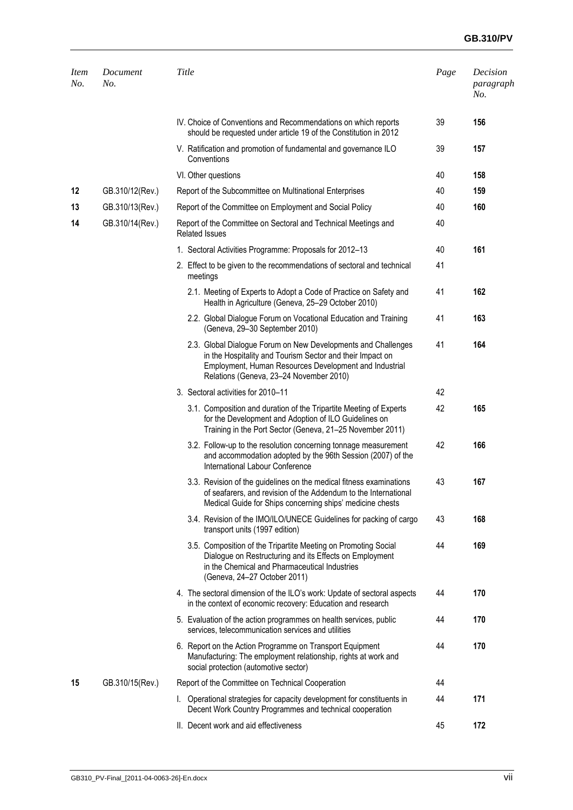# **GB.310/PV**

| <b>Item</b><br>No. | Document<br>No. | Title                                                                                                                                                                                                                           | Page | Decision<br>paragraph<br>No. |
|--------------------|-----------------|---------------------------------------------------------------------------------------------------------------------------------------------------------------------------------------------------------------------------------|------|------------------------------|
|                    |                 | IV. Choice of Conventions and Recommendations on which reports<br>should be requested under article 19 of the Constitution in 2012                                                                                              | 39   | 156                          |
|                    |                 | V. Ratification and promotion of fundamental and governance ILO<br>Conventions                                                                                                                                                  | 39   | 157                          |
|                    |                 | VI. Other questions                                                                                                                                                                                                             | 40   | 158                          |
| 12                 | GB.310/12(Rev.) | Report of the Subcommittee on Multinational Enterprises                                                                                                                                                                         | 40   | 159                          |
| 13                 | GB.310/13(Rev.) | Report of the Committee on Employment and Social Policy                                                                                                                                                                         | 40   | 160                          |
| 14                 | GB.310/14(Rev.) | Report of the Committee on Sectoral and Technical Meetings and<br><b>Related Issues</b>                                                                                                                                         | 40   |                              |
|                    |                 | 1. Sectoral Activities Programme: Proposals for 2012-13                                                                                                                                                                         | 40   | 161                          |
|                    |                 | 2. Effect to be given to the recommendations of sectoral and technical<br>meetings                                                                                                                                              | 41   |                              |
|                    |                 | 2.1. Meeting of Experts to Adopt a Code of Practice on Safety and<br>Health in Agriculture (Geneva, 25-29 October 2010)                                                                                                         | 41   | 162                          |
|                    |                 | 2.2. Global Dialogue Forum on Vocational Education and Training<br>(Geneva, 29-30 September 2010)                                                                                                                               | 41   | 163                          |
|                    |                 | 2.3. Global Dialogue Forum on New Developments and Challenges<br>in the Hospitality and Tourism Sector and their Impact on<br>Employment, Human Resources Development and Industrial<br>Relations (Geneva, 23-24 November 2010) | 41   | 164                          |
|                    |                 | 3. Sectoral activities for 2010-11                                                                                                                                                                                              | 42   |                              |
|                    |                 | 3.1. Composition and duration of the Tripartite Meeting of Experts<br>for the Development and Adoption of ILO Guidelines on<br>Training in the Port Sector (Geneva, 21-25 November 2011)                                        | 42   | 165                          |
|                    |                 | 3.2. Follow-up to the resolution concerning tonnage measurement<br>and accommodation adopted by the 96th Session (2007) of the<br>International Labour Conference                                                               | 42   | 166                          |
|                    |                 | 3.3. Revision of the guidelines on the medical fitness examinations<br>of seafarers, and revision of the Addendum to the International<br>Medical Guide for Ships concerning ships' medicine chests                             | 43   | 167                          |
|                    |                 | 3.4. Revision of the IMO/ILO/UNECE Guidelines for packing of cargo<br>transport units (1997 edition)                                                                                                                            | 43   | 168                          |
|                    |                 | 3.5. Composition of the Tripartite Meeting on Promoting Social<br>Dialogue on Restructuring and its Effects on Employment<br>in the Chemical and Pharmaceutical Industries<br>(Geneva, 24-27 October 2011)                      | 44   | 169                          |
|                    |                 | 4. The sectoral dimension of the ILO's work: Update of sectoral aspects<br>in the context of economic recovery: Education and research                                                                                          | 44   | 170                          |
|                    |                 | 5. Evaluation of the action programmes on health services, public<br>services, telecommunication services and utilities                                                                                                         | 44   | 170                          |
|                    |                 | 6. Report on the Action Programme on Transport Equipment<br>Manufacturing: The employment relationship, rights at work and<br>social protection (automotive sector)                                                             | 44   | 170                          |
| 15                 | GB.310/15(Rev.) | Report of the Committee on Technical Cooperation                                                                                                                                                                                | 44   |                              |
|                    |                 | I. Operational strategies for capacity development for constituents in<br>Decent Work Country Programmes and technical cooperation                                                                                              | 44   | 171                          |
|                    |                 | II. Decent work and aid effectiveness                                                                                                                                                                                           | 45   | 172                          |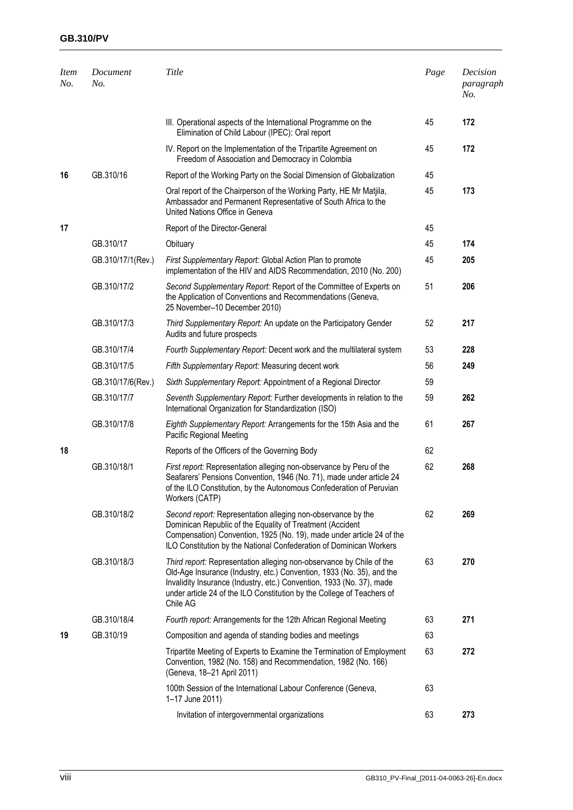# **GB.310/PV**

| <b>Item</b><br>No. | Document<br>No.   | Title                                                                                                                                                                                                                                                                                                        | Page | Decision<br>paragraph<br>No. |
|--------------------|-------------------|--------------------------------------------------------------------------------------------------------------------------------------------------------------------------------------------------------------------------------------------------------------------------------------------------------------|------|------------------------------|
|                    |                   | III. Operational aspects of the International Programme on the<br>Elimination of Child Labour (IPEC): Oral report                                                                                                                                                                                            | 45   | 172                          |
|                    |                   | IV. Report on the Implementation of the Tripartite Agreement on<br>Freedom of Association and Democracy in Colombia                                                                                                                                                                                          | 45   | 172                          |
| 16                 | GB.310/16         | Report of the Working Party on the Social Dimension of Globalization                                                                                                                                                                                                                                         | 45   |                              |
|                    |                   | Oral report of the Chairperson of the Working Party, HE Mr Matjila,<br>Ambassador and Permanent Representative of South Africa to the<br>United Nations Office in Geneva                                                                                                                                     | 45   | 173                          |
| 17                 |                   | Report of the Director-General                                                                                                                                                                                                                                                                               | 45   |                              |
|                    | GB.310/17         | Obituary                                                                                                                                                                                                                                                                                                     | 45   | 174                          |
|                    | GB.310/17/1(Rev.) | First Supplementary Report: Global Action Plan to promote<br>implementation of the HIV and AIDS Recommendation, 2010 (No. 200)                                                                                                                                                                               | 45   | 205                          |
|                    | GB.310/17/2       | Second Supplementary Report: Report of the Committee of Experts on<br>the Application of Conventions and Recommendations (Geneva,<br>25 November-10 December 2010)                                                                                                                                           | 51   | 206                          |
|                    | GB.310/17/3       | Third Supplementary Report: An update on the Participatory Gender<br>Audits and future prospects                                                                                                                                                                                                             | 52   | 217                          |
|                    | GB.310/17/4       | Fourth Supplementary Report: Decent work and the multilateral system                                                                                                                                                                                                                                         | 53   | 228                          |
|                    | GB.310/17/5       | Fifth Supplementary Report: Measuring decent work                                                                                                                                                                                                                                                            | 56   | 249                          |
|                    | GB.310/17/6(Rev.) | Sixth Supplementary Report: Appointment of a Regional Director                                                                                                                                                                                                                                               | 59   |                              |
|                    | GB.310/17/7       | Seventh Supplementary Report: Further developments in relation to the<br>International Organization for Standardization (ISO)                                                                                                                                                                                | 59   | 262                          |
|                    | GB.310/17/8       | Eighth Supplementary Report: Arrangements for the 15th Asia and the<br>Pacific Regional Meeting                                                                                                                                                                                                              | 61   | 267                          |
| 18                 |                   | Reports of the Officers of the Governing Body                                                                                                                                                                                                                                                                | 62   |                              |
|                    | GB.310/18/1       | First report: Representation alleging non-observance by Peru of the<br>Seafarers' Pensions Convention, 1946 (No. 71), made under article 24<br>of the ILO Constitution, by the Autonomous Confederation of Peruvian<br>Workers (CATP)                                                                        | 62   | 268                          |
|                    | GB.310/18/2       | Second report: Representation alleging non-observance by the<br>Dominican Republic of the Equality of Treatment (Accident<br>Compensation) Convention, 1925 (No. 19), made under article 24 of the<br>ILO Constitution by the National Confederation of Dominican Workers                                    | 62   | 269                          |
|                    | GB.310/18/3       | Third report: Representation alleging non-observance by Chile of the<br>Old-Age Insurance (Industry, etc.) Convention, 1933 (No. 35), and the<br>Invalidity Insurance (Industry, etc.) Convention, 1933 (No. 37), made<br>under article 24 of the ILO Constitution by the College of Teachers of<br>Chile AG | 63   | 270                          |
|                    | GB.310/18/4       | Fourth report: Arrangements for the 12th African Regional Meeting                                                                                                                                                                                                                                            | 63   | 271                          |
| 19                 | GB.310/19         | Composition and agenda of standing bodies and meetings                                                                                                                                                                                                                                                       | 63   |                              |
|                    |                   | Tripartite Meeting of Experts to Examine the Termination of Employment<br>Convention, 1982 (No. 158) and Recommendation, 1982 (No. 166)<br>(Geneva, 18-21 April 2011)                                                                                                                                        | 63   | 272                          |
|                    |                   | 100th Session of the International Labour Conference (Geneva,<br>1-17 June 2011)                                                                                                                                                                                                                             | 63   |                              |
|                    |                   | Invitation of intergovernmental organizations                                                                                                                                                                                                                                                                | 63   | 273                          |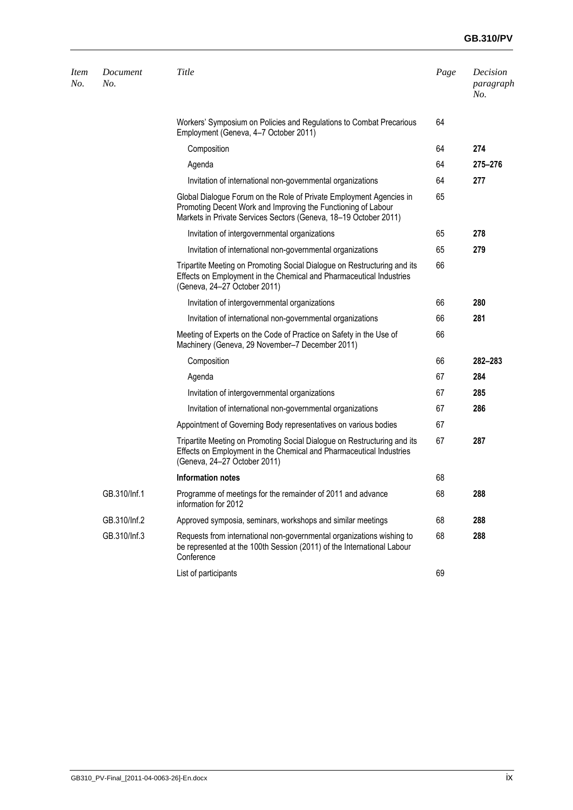# **GB.310/PV**

| <i>Item</i><br>No. | Document<br>No. | Title                                                                                                                                                                                                    | Page | Decision<br>paragraph<br>No. |
|--------------------|-----------------|----------------------------------------------------------------------------------------------------------------------------------------------------------------------------------------------------------|------|------------------------------|
|                    |                 | Workers' Symposium on Policies and Regulations to Combat Precarious<br>Employment (Geneva, 4-7 October 2011)                                                                                             | 64   |                              |
|                    |                 | Composition                                                                                                                                                                                              | 64   | 274                          |
|                    |                 | Agenda                                                                                                                                                                                                   | 64   | 275-276                      |
|                    |                 | Invitation of international non-governmental organizations                                                                                                                                               | 64   | 277                          |
|                    |                 | Global Dialogue Forum on the Role of Private Employment Agencies in<br>Promoting Decent Work and Improving the Functioning of Labour<br>Markets in Private Services Sectors (Geneva, 18-19 October 2011) | 65   |                              |
|                    |                 | Invitation of intergovernmental organizations                                                                                                                                                            | 65   | 278                          |
|                    |                 | Invitation of international non-governmental organizations                                                                                                                                               | 65   | 279                          |
|                    |                 | Tripartite Meeting on Promoting Social Dialogue on Restructuring and its<br>Effects on Employment in the Chemical and Pharmaceutical Industries<br>(Geneva, 24-27 October 2011)                          | 66   |                              |
|                    |                 | Invitation of intergovernmental organizations                                                                                                                                                            | 66   | 280                          |
|                    |                 | Invitation of international non-governmental organizations                                                                                                                                               | 66   | 281                          |
|                    |                 | Meeting of Experts on the Code of Practice on Safety in the Use of<br>Machinery (Geneva, 29 November-7 December 2011)                                                                                    | 66   |                              |
|                    |                 | Composition                                                                                                                                                                                              | 66   | 282-283                      |
|                    |                 | Agenda                                                                                                                                                                                                   | 67   | 284                          |
|                    |                 | Invitation of intergovernmental organizations                                                                                                                                                            | 67   | 285                          |
|                    |                 | Invitation of international non-governmental organizations                                                                                                                                               | 67   | 286                          |
|                    |                 | Appointment of Governing Body representatives on various bodies                                                                                                                                          | 67   |                              |
|                    |                 | Tripartite Meeting on Promoting Social Dialogue on Restructuring and its<br>Effects on Employment in the Chemical and Pharmaceutical Industries<br>(Geneva, 24-27 October 2011)                          | 67   | 287                          |
|                    |                 | Information notes                                                                                                                                                                                        | 68   |                              |
|                    | GB.310/Inf.1    | Programme of meetings for the remainder of 2011 and advance<br>information for 2012                                                                                                                      | 68   | 288                          |
|                    | GB.310/Inf.2    | Approved symposia, seminars, workshops and similar meetings                                                                                                                                              | 68   | 288                          |
|                    | GB.310/Inf.3    | Requests from international non-governmental organizations wishing to<br>be represented at the 100th Session (2011) of the International Labour<br>Conference                                            | 68   | 288                          |
|                    |                 | List of participants                                                                                                                                                                                     | 69   |                              |
|                    |                 |                                                                                                                                                                                                          |      |                              |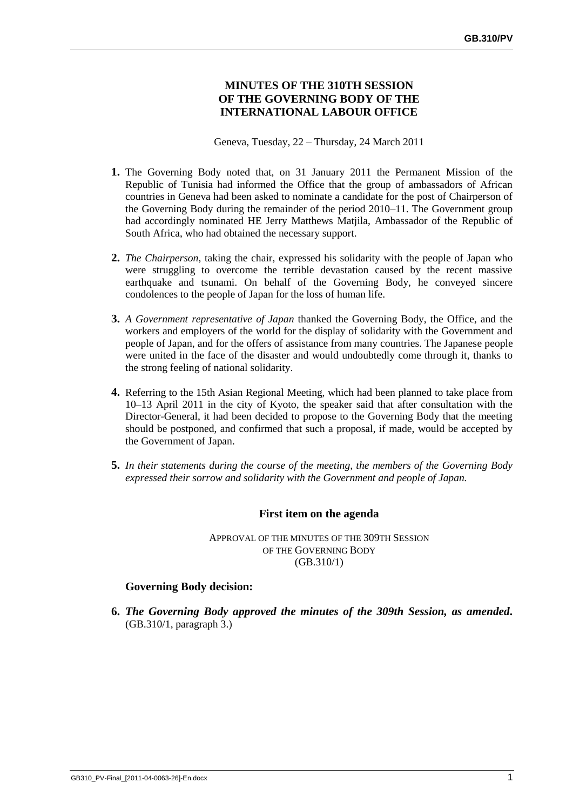## **MINUTES OF THE 310TH SESSION OF THE GOVERNING BODY OF THE INTERNATIONAL LABOUR OFFICE**

Geneva, Tuesday, 22 – Thursday, 24 March 2011

- **1.** The Governing Body noted that, on 31 January 2011 the Permanent Mission of the Republic of Tunisia had informed the Office that the group of ambassadors of African countries in Geneva had been asked to nominate a candidate for the post of Chairperson of the Governing Body during the remainder of the period 2010–11. The Government group had accordingly nominated HE Jerry Matthews Matjila, Ambassador of the Republic of South Africa, who had obtained the necessary support.
- **2.** *The Chairperson*, taking the chair, expressed his solidarity with the people of Japan who were struggling to overcome the terrible devastation caused by the recent massive earthquake and tsunami. On behalf of the Governing Body, he conveyed sincere condolences to the people of Japan for the loss of human life.
- **3.** *A Government representative of Japan* thanked the Governing Body, the Office, and the workers and employers of the world for the display of solidarity with the Government and people of Japan, and for the offers of assistance from many countries. The Japanese people were united in the face of the disaster and would undoubtedly come through it, thanks to the strong feeling of national solidarity.
- **4.** Referring to the 15th Asian Regional Meeting, which had been planned to take place from 10–13 April 2011 in the city of Kyoto, the speaker said that after consultation with the Director-General, it had been decided to propose to the Governing Body that the meeting should be postponed, and confirmed that such a proposal, if made, would be accepted by the Government of Japan.
- **5.** *In their statements during the course of the meeting, the members of the Governing Body expressed their sorrow and solidarity with the Government and people of Japan.*

## **First item on the agenda**

APPROVAL OF THE MINUTES OF THE 309TH SESSION OF THE GOVERNING BODY (GB.310/1)

## **Governing Body decision:**

**6.** *The Governing Body approved the minutes of the 309th Session, as amended.* (GB.310/1, paragraph 3.)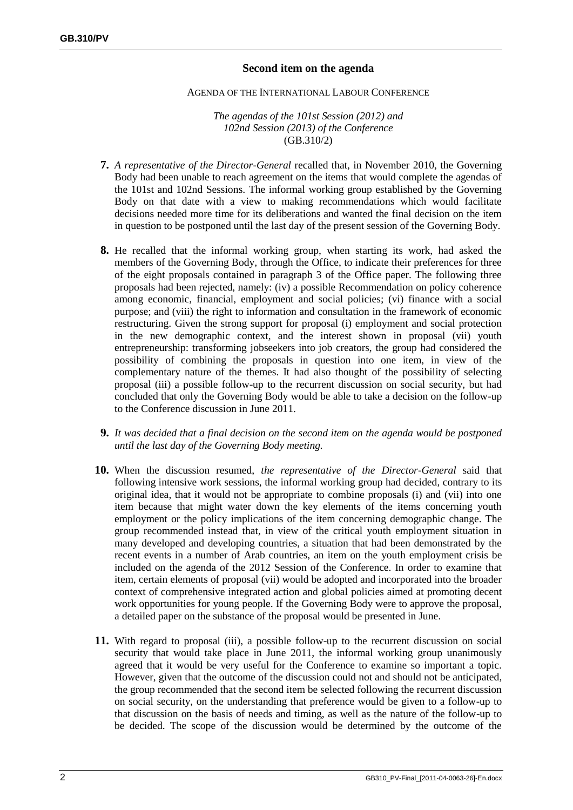## **Second item on the agenda**

#### AGENDA OF THE INTERNATIONAL LABOUR CONFERENCE

#### *The agendas of the 101st Session (2012) and 102nd Session (2013) of the Conference* (GB.310/2)

- **7.** *A representative of the Director-General* recalled that, in November 2010, the Governing Body had been unable to reach agreement on the items that would complete the agendas of the 101st and 102nd Sessions. The informal working group established by the Governing Body on that date with a view to making recommendations which would facilitate decisions needed more time for its deliberations and wanted the final decision on the item in question to be postponed until the last day of the present session of the Governing Body.
- **8.** He recalled that the informal working group, when starting its work, had asked the members of the Governing Body, through the Office, to indicate their preferences for three of the eight proposals contained in paragraph 3 of the Office paper. The following three proposals had been rejected, namely: (iv) a possible Recommendation on policy coherence among economic, financial, employment and social policies; (vi) finance with a social purpose; and (viii) the right to information and consultation in the framework of economic restructuring. Given the strong support for proposal (i) employment and social protection in the new demographic context, and the interest shown in proposal (vii) youth entrepreneurship: transforming jobseekers into job creators, the group had considered the possibility of combining the proposals in question into one item, in view of the complementary nature of the themes. It had also thought of the possibility of selecting proposal (iii) a possible follow-up to the recurrent discussion on social security, but had concluded that only the Governing Body would be able to take a decision on the follow-up to the Conference discussion in June 2011.
- **9.** *It was decided that a final decision on the second item on the agenda would be postponed until the last day of the Governing Body meeting.*
- **10.** When the discussion resumed, *the representative of the Director-General* said that following intensive work sessions, the informal working group had decided, contrary to its original idea, that it would not be appropriate to combine proposals (i) and (vii) into one item because that might water down the key elements of the items concerning youth employment or the policy implications of the item concerning demographic change. The group recommended instead that, in view of the critical youth employment situation in many developed and developing countries, a situation that had been demonstrated by the recent events in a number of Arab countries, an item on the youth employment crisis be included on the agenda of the 2012 Session of the Conference. In order to examine that item, certain elements of proposal (vii) would be adopted and incorporated into the broader context of comprehensive integrated action and global policies aimed at promoting decent work opportunities for young people. If the Governing Body were to approve the proposal, a detailed paper on the substance of the proposal would be presented in June.
- **11.** With regard to proposal (iii), a possible follow-up to the recurrent discussion on social security that would take place in June 2011, the informal working group unanimously agreed that it would be very useful for the Conference to examine so important a topic. However, given that the outcome of the discussion could not and should not be anticipated, the group recommended that the second item be selected following the recurrent discussion on social security, on the understanding that preference would be given to a follow-up to that discussion on the basis of needs and timing, as well as the nature of the follow-up to be decided. The scope of the discussion would be determined by the outcome of the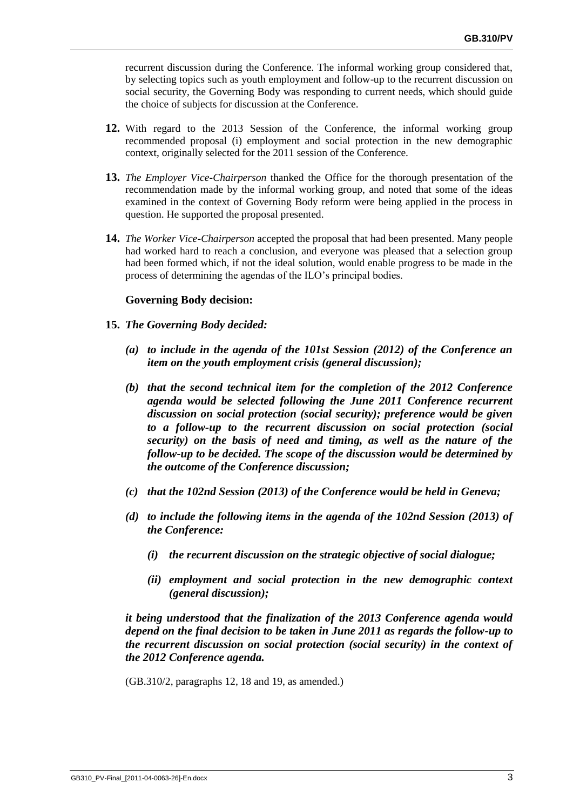recurrent discussion during the Conference. The informal working group considered that, by selecting topics such as youth employment and follow-up to the recurrent discussion on social security, the Governing Body was responding to current needs, which should guide the choice of subjects for discussion at the Conference.

- **12.** With regard to the 2013 Session of the Conference, the informal working group recommended proposal (i) employment and social protection in the new demographic context, originally selected for the 2011 session of the Conference.
- **13.** *The Employer Vice-Chairperson* thanked the Office for the thorough presentation of the recommendation made by the informal working group, and noted that some of the ideas examined in the context of Governing Body reform were being applied in the process in question. He supported the proposal presented.
- **14.** *The Worker Vice-Chairperson* accepted the proposal that had been presented. Many people had worked hard to reach a conclusion, and everyone was pleased that a selection group had been formed which, if not the ideal solution, would enable progress to be made in the process of determining the agendas of the ILO's principal bodies.

## **Governing Body decision:**

- **15.** *The Governing Body decided:*
	- *(a) to include in the agenda of the 101st Session (2012) of the Conference an item on the youth employment crisis (general discussion);*
	- *(b) that the second technical item for the completion of the 2012 Conference agenda would be selected following the June 2011 Conference recurrent discussion on social protection (social security); preference would be given to a follow-up to the recurrent discussion on social protection (social security) on the basis of need and timing, as well as the nature of the follow-up to be decided. The scope of the discussion would be determined by the outcome of the Conference discussion;*
	- *(c) that the 102nd Session (2013) of the Conference would be held in Geneva;*
	- *(d) to include the following items in the agenda of the 102nd Session (2013) of the Conference:*
		- *(i) the recurrent discussion on the strategic objective of social dialogue;*
		- *(ii) employment and social protection in the new demographic context (general discussion);*

*it being understood that the finalization of the 2013 Conference agenda would depend on the final decision to be taken in June 2011 as regards the follow-up to the recurrent discussion on social protection (social security) in the context of the 2012 Conference agenda.*

(GB.310/2, paragraphs 12, 18 and 19, as amended.)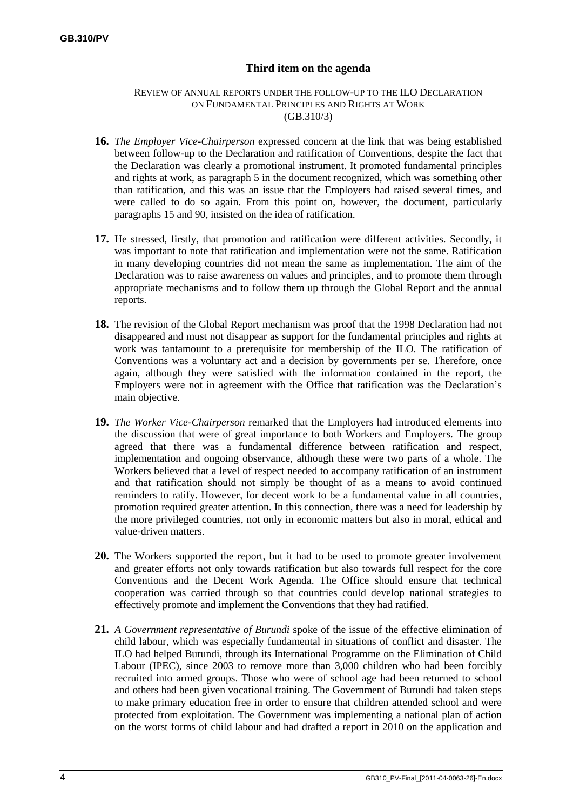# **Third item on the agenda**

#### REVIEW OF ANNUAL REPORTS UNDER THE FOLLOW-UP TO THE ILO DECLARATION ON FUNDAMENTAL PRINCIPLES AND RIGHTS AT WORK (GB.310/3)

- **16.** *The Employer Vice-Chairperson* expressed concern at the link that was being established between follow-up to the Declaration and ratification of Conventions, despite the fact that the Declaration was clearly a promotional instrument. It promoted fundamental principles and rights at work, as paragraph 5 in the document recognized, which was something other than ratification, and this was an issue that the Employers had raised several times, and were called to do so again. From this point on, however, the document, particularly paragraphs 15 and 90, insisted on the idea of ratification.
- **17.** He stressed, firstly, that promotion and ratification were different activities. Secondly, it was important to note that ratification and implementation were not the same. Ratification in many developing countries did not mean the same as implementation. The aim of the Declaration was to raise awareness on values and principles, and to promote them through appropriate mechanisms and to follow them up through the Global Report and the annual reports.
- **18.** The revision of the Global Report mechanism was proof that the 1998 Declaration had not disappeared and must not disappear as support for the fundamental principles and rights at work was tantamount to a prerequisite for membership of the ILO. The ratification of Conventions was a voluntary act and a decision by governments per se. Therefore, once again, although they were satisfied with the information contained in the report, the Employers were not in agreement with the Office that ratification was the Declaration's main objective.
- **19.** *The Worker Vice-Chairperson* remarked that the Employers had introduced elements into the discussion that were of great importance to both Workers and Employers. The group agreed that there was a fundamental difference between ratification and respect, implementation and ongoing observance, although these were two parts of a whole. The Workers believed that a level of respect needed to accompany ratification of an instrument and that ratification should not simply be thought of as a means to avoid continued reminders to ratify. However, for decent work to be a fundamental value in all countries, promotion required greater attention. In this connection, there was a need for leadership by the more privileged countries, not only in economic matters but also in moral, ethical and value-driven matters.
- **20.** The Workers supported the report, but it had to be used to promote greater involvement and greater efforts not only towards ratification but also towards full respect for the core Conventions and the Decent Work Agenda. The Office should ensure that technical cooperation was carried through so that countries could develop national strategies to effectively promote and implement the Conventions that they had ratified.
- **21.** *A Government representative of Burundi* spoke of the issue of the effective elimination of child labour, which was especially fundamental in situations of conflict and disaster. The ILO had helped Burundi, through its International Programme on the Elimination of Child Labour (IPEC), since 2003 to remove more than 3,000 children who had been forcibly recruited into armed groups. Those who were of school age had been returned to school and others had been given vocational training. The Government of Burundi had taken steps to make primary education free in order to ensure that children attended school and were protected from exploitation. The Government was implementing a national plan of action on the worst forms of child labour and had drafted a report in 2010 on the application and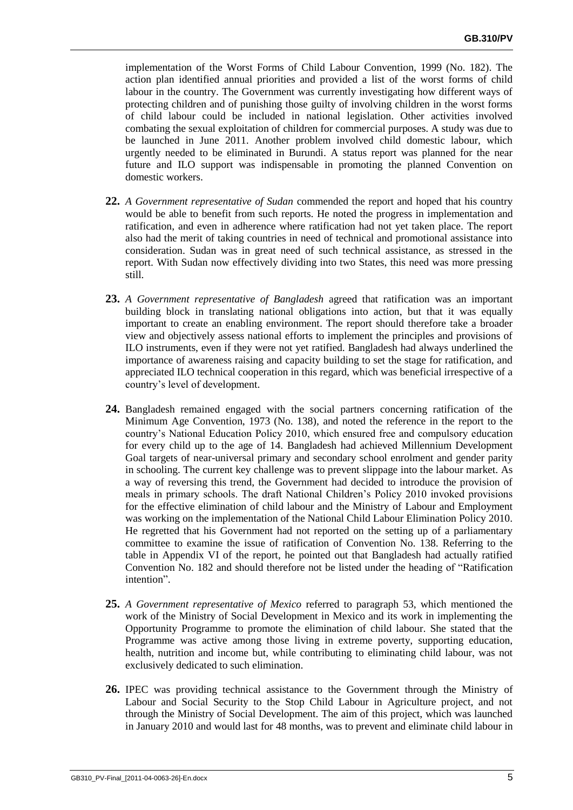implementation of the Worst Forms of Child Labour Convention, 1999 (No. 182). The action plan identified annual priorities and provided a list of the worst forms of child labour in the country. The Government was currently investigating how different ways of protecting children and of punishing those guilty of involving children in the worst forms of child labour could be included in national legislation. Other activities involved combating the sexual exploitation of children for commercial purposes. A study was due to be launched in June 2011. Another problem involved child domestic labour, which urgently needed to be eliminated in Burundi. A status report was planned for the near future and ILO support was indispensable in promoting the planned Convention on domestic workers.

- **22.** *A Government representative of Sudan* commended the report and hoped that his country would be able to benefit from such reports. He noted the progress in implementation and ratification, and even in adherence where ratification had not yet taken place. The report also had the merit of taking countries in need of technical and promotional assistance into consideration. Sudan was in great need of such technical assistance, as stressed in the report. With Sudan now effectively dividing into two States, this need was more pressing still.
- **23.** *A Government representative of Bangladesh* agreed that ratification was an important building block in translating national obligations into action, but that it was equally important to create an enabling environment. The report should therefore take a broader view and objectively assess national efforts to implement the principles and provisions of ILO instruments, even if they were not yet ratified. Bangladesh had always underlined the importance of awareness raising and capacity building to set the stage for ratification, and appreciated ILO technical cooperation in this regard, which was beneficial irrespective of a country's level of development.
- **24.** Bangladesh remained engaged with the social partners concerning ratification of the Minimum Age Convention, 1973 (No. 138), and noted the reference in the report to the country's National Education Policy 2010, which ensured free and compulsory education for every child up to the age of 14. Bangladesh had achieved Millennium Development Goal targets of near-universal primary and secondary school enrolment and gender parity in schooling. The current key challenge was to prevent slippage into the labour market. As a way of reversing this trend, the Government had decided to introduce the provision of meals in primary schools. The draft National Children's Policy 2010 invoked provisions for the effective elimination of child labour and the Ministry of Labour and Employment was working on the implementation of the National Child Labour Elimination Policy 2010. He regretted that his Government had not reported on the setting up of a parliamentary committee to examine the issue of ratification of Convention No. 138. Referring to the table in Appendix VI of the report, he pointed out that Bangladesh had actually ratified Convention No. 182 and should therefore not be listed under the heading of "Ratification intention".
- **25.** *A Government representative of Mexico* referred to paragraph 53, which mentioned the work of the Ministry of Social Development in Mexico and its work in implementing the Opportunity Programme to promote the elimination of child labour. She stated that the Programme was active among those living in extreme poverty, supporting education, health, nutrition and income but, while contributing to eliminating child labour, was not exclusively dedicated to such elimination.
- **26.** IPEC was providing technical assistance to the Government through the Ministry of Labour and Social Security to the Stop Child Labour in Agriculture project, and not through the Ministry of Social Development. The aim of this project, which was launched in January 2010 and would last for 48 months, was to prevent and eliminate child labour in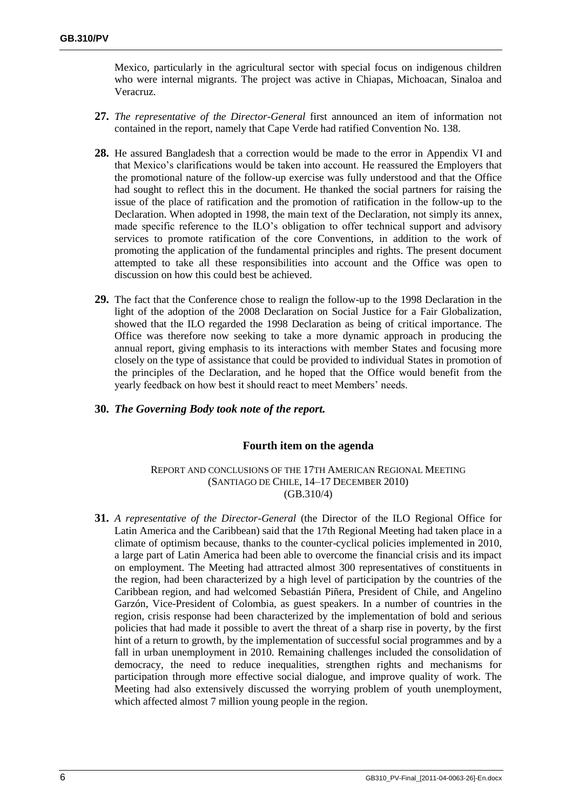Mexico, particularly in the agricultural sector with special focus on indigenous children who were internal migrants. The project was active in Chiapas, Michoacan, Sinaloa and Veracruz.

- **27.** *The representative of the Director-General* first announced an item of information not contained in the report, namely that Cape Verde had ratified Convention No. 138.
- **28.** He assured Bangladesh that a correction would be made to the error in Appendix VI and that Mexico's clarifications would be taken into account. He reassured the Employers that the promotional nature of the follow-up exercise was fully understood and that the Office had sought to reflect this in the document. He thanked the social partners for raising the issue of the place of ratification and the promotion of ratification in the follow-up to the Declaration. When adopted in 1998, the main text of the Declaration, not simply its annex, made specific reference to the ILO's obligation to offer technical support and advisory services to promote ratification of the core Conventions, in addition to the work of promoting the application of the fundamental principles and rights. The present document attempted to take all these responsibilities into account and the Office was open to discussion on how this could best be achieved.
- **29.** The fact that the Conference chose to realign the follow-up to the 1998 Declaration in the light of the adoption of the 2008 Declaration on Social Justice for a Fair Globalization, showed that the ILO regarded the 1998 Declaration as being of critical importance. The Office was therefore now seeking to take a more dynamic approach in producing the annual report, giving emphasis to its interactions with member States and focusing more closely on the type of assistance that could be provided to individual States in promotion of the principles of the Declaration, and he hoped that the Office would benefit from the yearly feedback on how best it should react to meet Members' needs.

## **30.** *The Governing Body took note of the report.*

## **Fourth item on the agenda**

REPORT AND CONCLUSIONS OF THE 17TH AMERICAN REGIONAL MEETING (SANTIAGO DE CHILE, 14–17 DECEMBER 2010) (GB.310/4)

**31.** *A representative of the Director-General* (the Director of the ILO Regional Office for Latin America and the Caribbean) said that the 17th Regional Meeting had taken place in a climate of optimism because, thanks to the counter-cyclical policies implemented in 2010, a large part of Latin America had been able to overcome the financial crisis and its impact on employment. The Meeting had attracted almost 300 representatives of constituents in the region, had been characterized by a high level of participation by the countries of the Caribbean region, and had welcomed Sebastián Piñera, President of Chile, and Angelino Garzón, Vice-President of Colombia, as guest speakers. In a number of countries in the region, crisis response had been characterized by the implementation of bold and serious policies that had made it possible to avert the threat of a sharp rise in poverty, by the first hint of a return to growth, by the implementation of successful social programmes and by a fall in urban unemployment in 2010. Remaining challenges included the consolidation of democracy, the need to reduce inequalities, strengthen rights and mechanisms for participation through more effective social dialogue, and improve quality of work. The Meeting had also extensively discussed the worrying problem of youth unemployment, which affected almost 7 million young people in the region.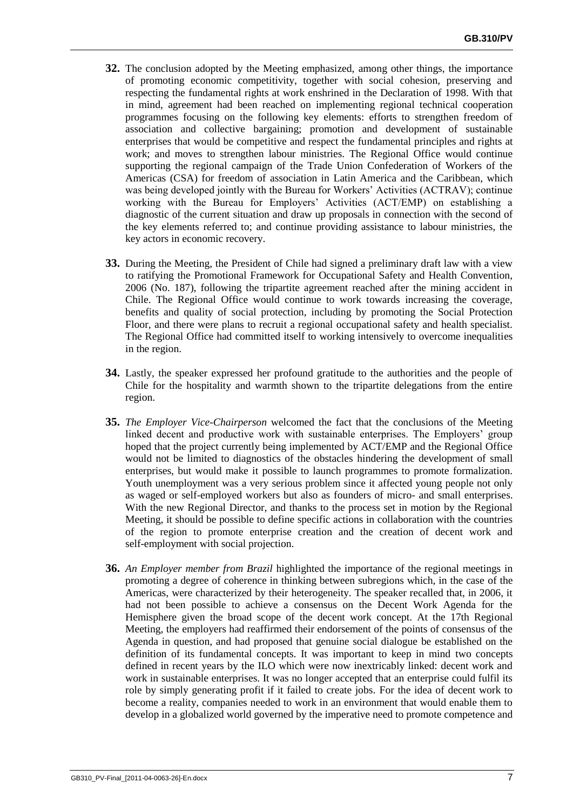- **32.** The conclusion adopted by the Meeting emphasized, among other things, the importance of promoting economic competitivity, together with social cohesion, preserving and respecting the fundamental rights at work enshrined in the Declaration of 1998. With that in mind, agreement had been reached on implementing regional technical cooperation programmes focusing on the following key elements: efforts to strengthen freedom of association and collective bargaining; promotion and development of sustainable enterprises that would be competitive and respect the fundamental principles and rights at work; and moves to strengthen labour ministries. The Regional Office would continue supporting the regional campaign of the Trade Union Confederation of Workers of the Americas (CSA) for freedom of association in Latin America and the Caribbean, which was being developed jointly with the Bureau for Workers' Activities (ACTRAV); continue working with the Bureau for Employers' Activities (ACT/EMP) on establishing a diagnostic of the current situation and draw up proposals in connection with the second of the key elements referred to; and continue providing assistance to labour ministries, the key actors in economic recovery.
- **33.** During the Meeting, the President of Chile had signed a preliminary draft law with a view to ratifying the Promotional Framework for Occupational Safety and Health Convention, 2006 (No. 187), following the tripartite agreement reached after the mining accident in Chile. The Regional Office would continue to work towards increasing the coverage, benefits and quality of social protection, including by promoting the Social Protection Floor, and there were plans to recruit a regional occupational safety and health specialist. The Regional Office had committed itself to working intensively to overcome inequalities in the region.
- **34.** Lastly, the speaker expressed her profound gratitude to the authorities and the people of Chile for the hospitality and warmth shown to the tripartite delegations from the entire region.
- **35.** *The Employer Vice-Chairperson* welcomed the fact that the conclusions of the Meeting linked decent and productive work with sustainable enterprises. The Employers' group hoped that the project currently being implemented by ACT/EMP and the Regional Office would not be limited to diagnostics of the obstacles hindering the development of small enterprises, but would make it possible to launch programmes to promote formalization. Youth unemployment was a very serious problem since it affected young people not only as waged or self-employed workers but also as founders of micro- and small enterprises. With the new Regional Director, and thanks to the process set in motion by the Regional Meeting, it should be possible to define specific actions in collaboration with the countries of the region to promote enterprise creation and the creation of decent work and self-employment with social projection.
- **36.** *An Employer member from Brazil* highlighted the importance of the regional meetings in promoting a degree of coherence in thinking between subregions which, in the case of the Americas, were characterized by their heterogeneity. The speaker recalled that, in 2006, it had not been possible to achieve a consensus on the Decent Work Agenda for the Hemisphere given the broad scope of the decent work concept. At the 17th Regional Meeting, the employers had reaffirmed their endorsement of the points of consensus of the Agenda in question, and had proposed that genuine social dialogue be established on the definition of its fundamental concepts. It was important to keep in mind two concepts defined in recent years by the ILO which were now inextricably linked: decent work and work in sustainable enterprises. It was no longer accepted that an enterprise could fulfil its role by simply generating profit if it failed to create jobs. For the idea of decent work to become a reality, companies needed to work in an environment that would enable them to develop in a globalized world governed by the imperative need to promote competence and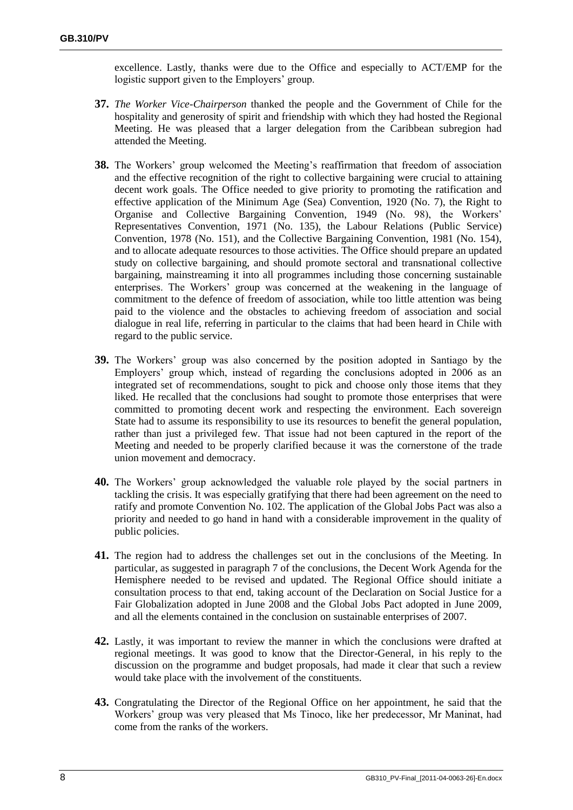excellence. Lastly, thanks were due to the Office and especially to ACT/EMP for the logistic support given to the Employers' group.

- **37.** *The Worker Vice-Chairperson* thanked the people and the Government of Chile for the hospitality and generosity of spirit and friendship with which they had hosted the Regional Meeting. He was pleased that a larger delegation from the Caribbean subregion had attended the Meeting.
- **38.** The Workers' group welcomed the Meeting's reaffirmation that freedom of association and the effective recognition of the right to collective bargaining were crucial to attaining decent work goals. The Office needed to give priority to promoting the ratification and effective application of the Minimum Age (Sea) Convention, 1920 (No. 7), the Right to Organise and Collective Bargaining Convention, 1949 (No. 98), the Workers' Representatives Convention, 1971 (No. 135), the Labour Relations (Public Service) Convention, 1978 (No. 151), and the Collective Bargaining Convention, 1981 (No. 154), and to allocate adequate resources to those activities. The Office should prepare an updated study on collective bargaining, and should promote sectoral and transnational collective bargaining, mainstreaming it into all programmes including those concerning sustainable enterprises. The Workers' group was concerned at the weakening in the language of commitment to the defence of freedom of association, while too little attention was being paid to the violence and the obstacles to achieving freedom of association and social dialogue in real life, referring in particular to the claims that had been heard in Chile with regard to the public service.
- **39.** The Workers' group was also concerned by the position adopted in Santiago by the Employers' group which, instead of regarding the conclusions adopted in 2006 as an integrated set of recommendations, sought to pick and choose only those items that they liked. He recalled that the conclusions had sought to promote those enterprises that were committed to promoting decent work and respecting the environment. Each sovereign State had to assume its responsibility to use its resources to benefit the general population, rather than just a privileged few. That issue had not been captured in the report of the Meeting and needed to be properly clarified because it was the cornerstone of the trade union movement and democracy.
- **40.** The Workers' group acknowledged the valuable role played by the social partners in tackling the crisis. It was especially gratifying that there had been agreement on the need to ratify and promote Convention No. 102. The application of the Global Jobs Pact was also a priority and needed to go hand in hand with a considerable improvement in the quality of public policies.
- **41.** The region had to address the challenges set out in the conclusions of the Meeting. In particular, as suggested in paragraph 7 of the conclusions, the Decent Work Agenda for the Hemisphere needed to be revised and updated. The Regional Office should initiate a consultation process to that end, taking account of the Declaration on Social Justice for a Fair Globalization adopted in June 2008 and the Global Jobs Pact adopted in June 2009, and all the elements contained in the conclusion on sustainable enterprises of 2007.
- **42.** Lastly, it was important to review the manner in which the conclusions were drafted at regional meetings. It was good to know that the Director-General, in his reply to the discussion on the programme and budget proposals, had made it clear that such a review would take place with the involvement of the constituents.
- **43.** Congratulating the Director of the Regional Office on her appointment, he said that the Workers' group was very pleased that Ms Tinoco, like her predecessor, Mr Maninat, had come from the ranks of the workers.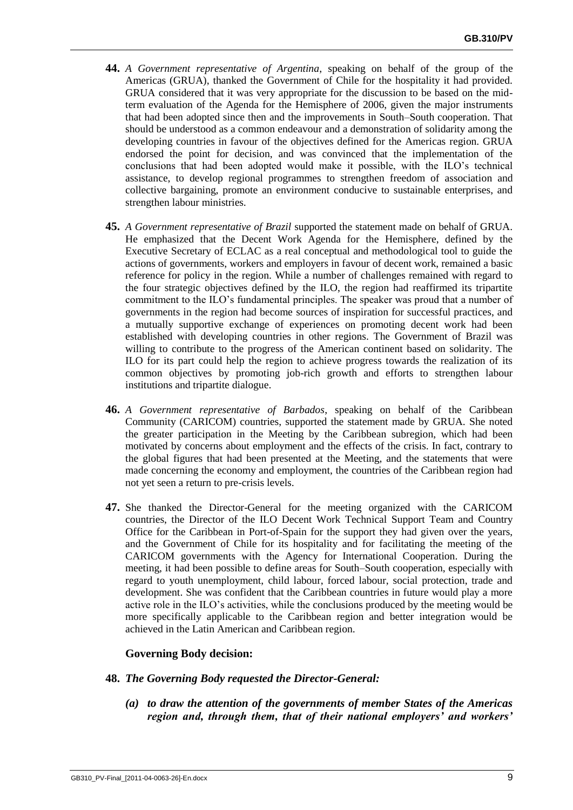- **44.** *A Government representative of Argentina*, speaking on behalf of the group of the Americas (GRUA), thanked the Government of Chile for the hospitality it had provided. GRUA considered that it was very appropriate for the discussion to be based on the midterm evaluation of the Agenda for the Hemisphere of 2006, given the major instruments that had been adopted since then and the improvements in South–South cooperation. That should be understood as a common endeavour and a demonstration of solidarity among the developing countries in favour of the objectives defined for the Americas region. GRUA endorsed the point for decision, and was convinced that the implementation of the conclusions that had been adopted would make it possible, with the ILO's technical assistance, to develop regional programmes to strengthen freedom of association and collective bargaining, promote an environment conducive to sustainable enterprises, and strengthen labour ministries.
- **45.** *A Government representative of Brazil* supported the statement made on behalf of GRUA. He emphasized that the Decent Work Agenda for the Hemisphere, defined by the Executive Secretary of ECLAC as a real conceptual and methodological tool to guide the actions of governments, workers and employers in favour of decent work, remained a basic reference for policy in the region. While a number of challenges remained with regard to the four strategic objectives defined by the ILO, the region had reaffirmed its tripartite commitment to the ILO's fundamental principles. The speaker was proud that a number of governments in the region had become sources of inspiration for successful practices, and a mutually supportive exchange of experiences on promoting decent work had been established with developing countries in other regions. The Government of Brazil was willing to contribute to the progress of the American continent based on solidarity. The ILO for its part could help the region to achieve progress towards the realization of its common objectives by promoting job-rich growth and efforts to strengthen labour institutions and tripartite dialogue.
- **46.** *A Government representative of Barbados*, speaking on behalf of the Caribbean Community (CARICOM) countries, supported the statement made by GRUA. She noted the greater participation in the Meeting by the Caribbean subregion, which had been motivated by concerns about employment and the effects of the crisis. In fact, contrary to the global figures that had been presented at the Meeting, and the statements that were made concerning the economy and employment, the countries of the Caribbean region had not yet seen a return to pre-crisis levels.
- **47.** She thanked the Director-General for the meeting organized with the CARICOM countries, the Director of the ILO Decent Work Technical Support Team and Country Office for the Caribbean in Port-of-Spain for the support they had given over the years, and the Government of Chile for its hospitality and for facilitating the meeting of the CARICOM governments with the Agency for International Cooperation. During the meeting, it had been possible to define areas for South–South cooperation, especially with regard to youth unemployment, child labour, forced labour, social protection, trade and development. She was confident that the Caribbean countries in future would play a more active role in the ILO's activities, while the conclusions produced by the meeting would be more specifically applicable to the Caribbean region and better integration would be achieved in the Latin American and Caribbean region.

## **Governing Body decision:**

- **48.** *The Governing Body requested the Director-General:*
	- *(a) to draw the attention of the governments of member States of the Americas region and, through them, that of their national employers' and workers'*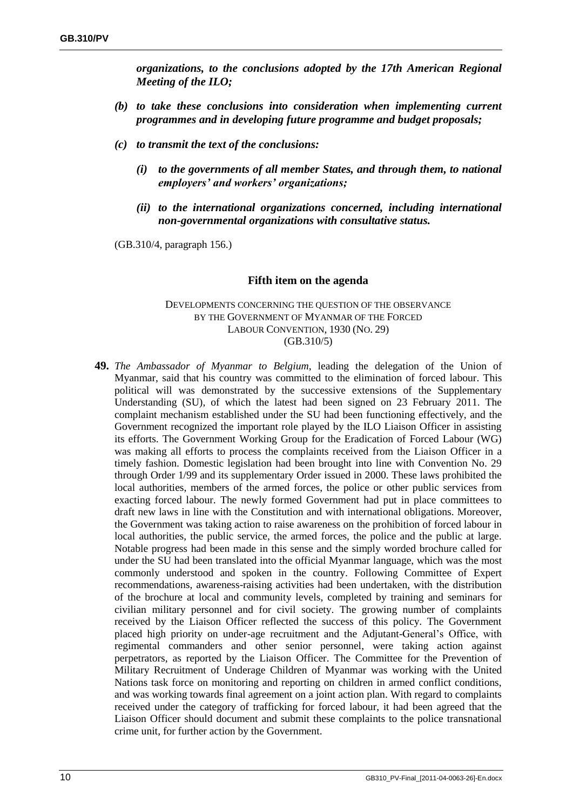*organizations, to the conclusions adopted by the 17th American Regional Meeting of the ILO;*

- *(b) to take these conclusions into consideration when implementing current programmes and in developing future programme and budget proposals;*
- *(c) to transmit the text of the conclusions:*
	- *(i) to the governments of all member States, and through them, to national employers' and workers' organizations;*
	- *(ii) to the international organizations concerned, including international non-governmental organizations with consultative status.*

(GB.310/4, paragraph 156.)

#### **Fifth item on the agenda**

DEVELOPMENTS CONCERNING THE QUESTION OF THE OBSERVANCE BY THE GOVERNMENT OF MYANMAR OF THE FORCED LABOUR CONVENTION, 1930 (NO. 29) (GB.310/5)

**49.** *The Ambassador of Myanmar to Belgium*, leading the delegation of the Union of Myanmar, said that his country was committed to the elimination of forced labour. This political will was demonstrated by the successive extensions of the Supplementary Understanding (SU), of which the latest had been signed on 23 February 2011. The complaint mechanism established under the SU had been functioning effectively, and the Government recognized the important role played by the ILO Liaison Officer in assisting its efforts. The Government Working Group for the Eradication of Forced Labour (WG) was making all efforts to process the complaints received from the Liaison Officer in a timely fashion. Domestic legislation had been brought into line with Convention No. 29 through Order 1/99 and its supplementary Order issued in 2000. These laws prohibited the local authorities, members of the armed forces, the police or other public services from exacting forced labour. The newly formed Government had put in place committees to draft new laws in line with the Constitution and with international obligations. Moreover, the Government was taking action to raise awareness on the prohibition of forced labour in local authorities, the public service, the armed forces, the police and the public at large. Notable progress had been made in this sense and the simply worded brochure called for under the SU had been translated into the official Myanmar language, which was the most commonly understood and spoken in the country. Following Committee of Expert recommendations, awareness-raising activities had been undertaken, with the distribution of the brochure at local and community levels, completed by training and seminars for civilian military personnel and for civil society. The growing number of complaints received by the Liaison Officer reflected the success of this policy. The Government placed high priority on under-age recruitment and the Adjutant-General's Office, with regimental commanders and other senior personnel, were taking action against perpetrators, as reported by the Liaison Officer. The Committee for the Prevention of Military Recruitment of Underage Children of Myanmar was working with the United Nations task force on monitoring and reporting on children in armed conflict conditions, and was working towards final agreement on a joint action plan. With regard to complaints received under the category of trafficking for forced labour, it had been agreed that the Liaison Officer should document and submit these complaints to the police transnational crime unit, for further action by the Government.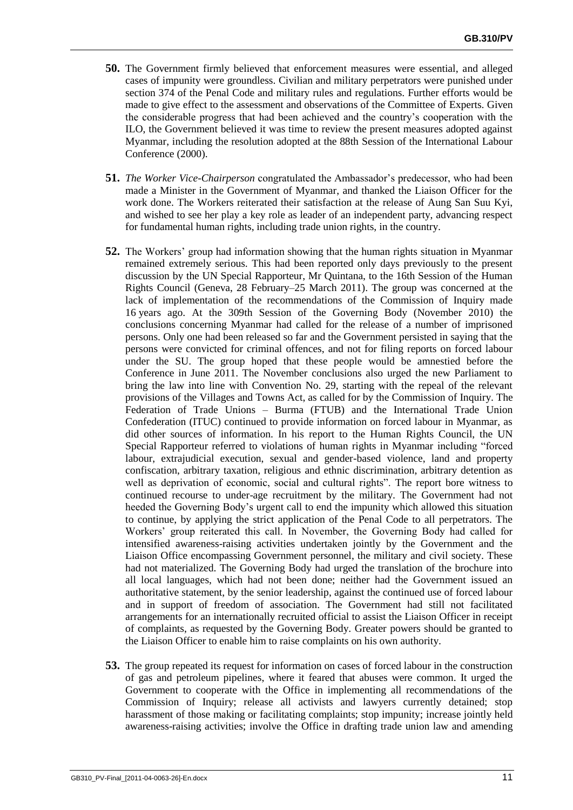- **50.** The Government firmly believed that enforcement measures were essential, and alleged cases of impunity were groundless. Civilian and military perpetrators were punished under section 374 of the Penal Code and military rules and regulations. Further efforts would be made to give effect to the assessment and observations of the Committee of Experts. Given the considerable progress that had been achieved and the country's cooperation with the ILO, the Government believed it was time to review the present measures adopted against Myanmar, including the resolution adopted at the 88th Session of the International Labour Conference (2000).
- **51.** *The Worker Vice-Chairperson* congratulated the Ambassador's predecessor, who had been made a Minister in the Government of Myanmar, and thanked the Liaison Officer for the work done. The Workers reiterated their satisfaction at the release of Aung San Suu Kyi, and wished to see her play a key role as leader of an independent party, advancing respect for fundamental human rights, including trade union rights, in the country.
- **52.** The Workers' group had information showing that the human rights situation in Myanmar remained extremely serious. This had been reported only days previously to the present discussion by the UN Special Rapporteur, Mr Quintana, to the 16th Session of the Human Rights Council (Geneva, 28 February–25 March 2011). The group was concerned at the lack of implementation of the recommendations of the Commission of Inquiry made 16 years ago. At the 309th Session of the Governing Body (November 2010) the conclusions concerning Myanmar had called for the release of a number of imprisoned persons. Only one had been released so far and the Government persisted in saying that the persons were convicted for criminal offences, and not for filing reports on forced labour under the SU. The group hoped that these people would be amnestied before the Conference in June 2011. The November conclusions also urged the new Parliament to bring the law into line with Convention No. 29, starting with the repeal of the relevant provisions of the Villages and Towns Act, as called for by the Commission of Inquiry. The Federation of Trade Unions – Burma (FTUB) and the International Trade Union Confederation (ITUC) continued to provide information on forced labour in Myanmar, as did other sources of information. In his report to the Human Rights Council, the UN Special Rapporteur referred to violations of human rights in Myanmar including "forced labour, extrajudicial execution, sexual and gender-based violence, land and property confiscation, arbitrary taxation, religious and ethnic discrimination, arbitrary detention as well as deprivation of economic, social and cultural rights". The report bore witness to continued recourse to under-age recruitment by the military. The Government had not heeded the Governing Body's urgent call to end the impunity which allowed this situation to continue, by applying the strict application of the Penal Code to all perpetrators. The Workers' group reiterated this call. In November, the Governing Body had called for intensified awareness-raising activities undertaken jointly by the Government and the Liaison Office encompassing Government personnel, the military and civil society. These had not materialized. The Governing Body had urged the translation of the brochure into all local languages, which had not been done; neither had the Government issued an authoritative statement, by the senior leadership, against the continued use of forced labour and in support of freedom of association. The Government had still not facilitated arrangements for an internationally recruited official to assist the Liaison Officer in receipt of complaints, as requested by the Governing Body. Greater powers should be granted to the Liaison Officer to enable him to raise complaints on his own authority.
- **53.** The group repeated its request for information on cases of forced labour in the construction of gas and petroleum pipelines, where it feared that abuses were common. It urged the Government to cooperate with the Office in implementing all recommendations of the Commission of Inquiry; release all activists and lawyers currently detained; stop harassment of those making or facilitating complaints; stop impunity; increase jointly held awareness-raising activities; involve the Office in drafting trade union law and amending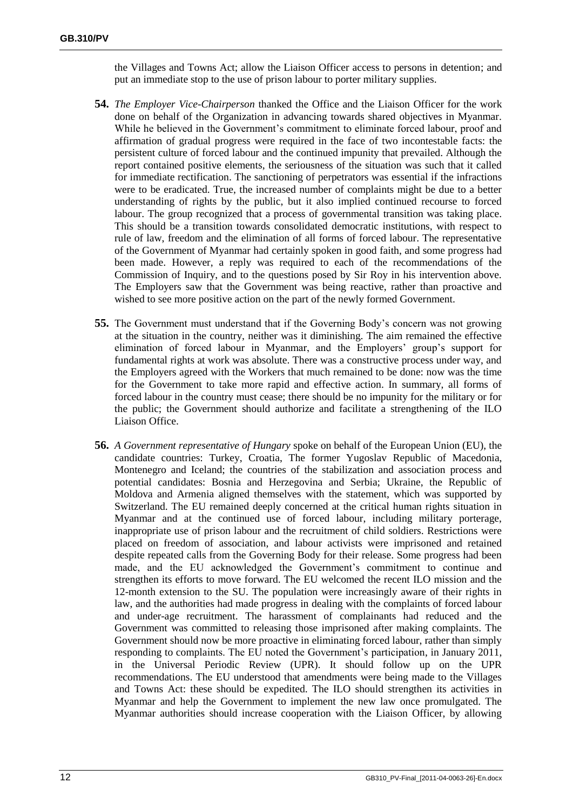the Villages and Towns Act; allow the Liaison Officer access to persons in detention; and put an immediate stop to the use of prison labour to porter military supplies.

- **54.** *The Employer Vice-Chairperson* thanked the Office and the Liaison Officer for the work done on behalf of the Organization in advancing towards shared objectives in Myanmar. While he believed in the Government's commitment to eliminate forced labour, proof and affirmation of gradual progress were required in the face of two incontestable facts: the persistent culture of forced labour and the continued impunity that prevailed. Although the report contained positive elements, the seriousness of the situation was such that it called for immediate rectification. The sanctioning of perpetrators was essential if the infractions were to be eradicated. True, the increased number of complaints might be due to a better understanding of rights by the public, but it also implied continued recourse to forced labour. The group recognized that a process of governmental transition was taking place. This should be a transition towards consolidated democratic institutions, with respect to rule of law, freedom and the elimination of all forms of forced labour. The representative of the Government of Myanmar had certainly spoken in good faith, and some progress had been made. However, a reply was required to each of the recommendations of the Commission of Inquiry, and to the questions posed by Sir Roy in his intervention above. The Employers saw that the Government was being reactive, rather than proactive and wished to see more positive action on the part of the newly formed Government.
- **55.** The Government must understand that if the Governing Body's concern was not growing at the situation in the country, neither was it diminishing. The aim remained the effective elimination of forced labour in Myanmar, and the Employers' group's support for fundamental rights at work was absolute. There was a constructive process under way, and the Employers agreed with the Workers that much remained to be done: now was the time for the Government to take more rapid and effective action. In summary, all forms of forced labour in the country must cease; there should be no impunity for the military or for the public; the Government should authorize and facilitate a strengthening of the ILO Liaison Office.
- **56.** *A Government representative of Hungary* spoke on behalf of the European Union (EU), the candidate countries: Turkey, Croatia, The former Yugoslav Republic of Macedonia, Montenegro and Iceland; the countries of the stabilization and association process and potential candidates: Bosnia and Herzegovina and Serbia; Ukraine, the Republic of Moldova and Armenia aligned themselves with the statement, which was supported by Switzerland. The EU remained deeply concerned at the critical human rights situation in Myanmar and at the continued use of forced labour, including military porterage, inappropriate use of prison labour and the recruitment of child soldiers. Restrictions were placed on freedom of association, and labour activists were imprisoned and retained despite repeated calls from the Governing Body for their release. Some progress had been made, and the EU acknowledged the Government's commitment to continue and strengthen its efforts to move forward. The EU welcomed the recent ILO mission and the 12-month extension to the SU. The population were increasingly aware of their rights in law, and the authorities had made progress in dealing with the complaints of forced labour and under-age recruitment. The harassment of complainants had reduced and the Government was committed to releasing those imprisoned after making complaints. The Government should now be more proactive in eliminating forced labour, rather than simply responding to complaints. The EU noted the Government's participation, in January 2011, in the Universal Periodic Review (UPR). It should follow up on the UPR recommendations. The EU understood that amendments were being made to the Villages and Towns Act: these should be expedited. The ILO should strengthen its activities in Myanmar and help the Government to implement the new law once promulgated. The Myanmar authorities should increase cooperation with the Liaison Officer, by allowing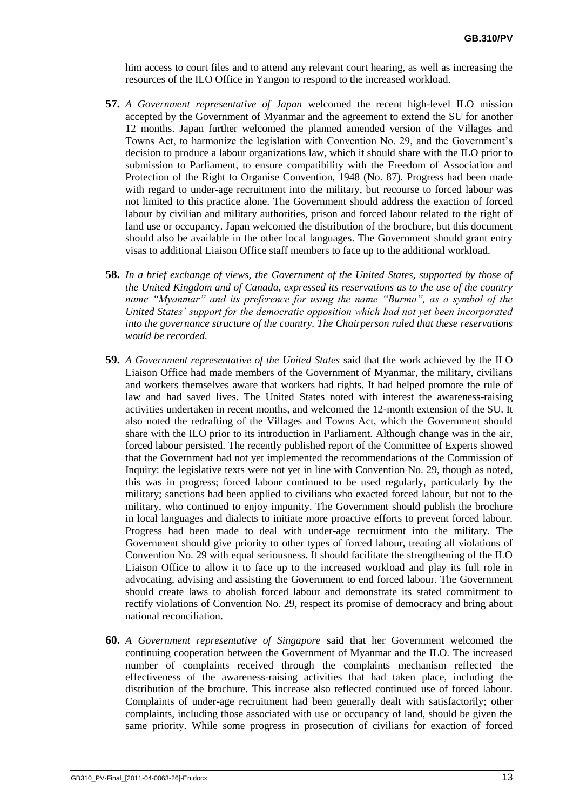him access to court files and to attend any relevant court hearing, as well as increasing the resources of the ILO Office in Yangon to respond to the increased workload.

- **57.** *A Government representative of Japan* welcomed the recent high-level ILO mission accepted by the Government of Myanmar and the agreement to extend the SU for another 12 months. Japan further welcomed the planned amended version of the Villages and Towns Act, to harmonize the legislation with Convention No. 29, and the Government's decision to produce a labour organizations law, which it should share with the ILO prior to submission to Parliament, to ensure compatibility with the Freedom of Association and Protection of the Right to Organise Convention, 1948 (No. 87). Progress had been made with regard to under-age recruitment into the military, but recourse to forced labour was not limited to this practice alone. The Government should address the exaction of forced labour by civilian and military authorities, prison and forced labour related to the right of land use or occupancy. Japan welcomed the distribution of the brochure, but this document should also be available in the other local languages. The Government should grant entry visas to additional Liaison Office staff members to face up to the additional workload.
- **58.** *In a brief exchange of views, the Government of the United States, supported by those of the United Kingdom and of Canada, expressed its reservations as to the use of the country name "Myanmar" and its preference for using the name "Burma", as a symbol of the United States' support for the democratic opposition which had not yet been incorporated into the governance structure of the country. The Chairperson ruled that these reservations would be recorded.*
- **59.** *A Government representative of the United States* said that the work achieved by the ILO Liaison Office had made members of the Government of Myanmar, the military, civilians and workers themselves aware that workers had rights. It had helped promote the rule of law and had saved lives. The United States noted with interest the awareness-raising activities undertaken in recent months, and welcomed the 12-month extension of the SU. It also noted the redrafting of the Villages and Towns Act, which the Government should share with the ILO prior to its introduction in Parliament. Although change was in the air, forced labour persisted. The recently published report of the Committee of Experts showed that the Government had not yet implemented the recommendations of the Commission of Inquiry: the legislative texts were not yet in line with Convention No. 29, though as noted, this was in progress; forced labour continued to be used regularly, particularly by the military; sanctions had been applied to civilians who exacted forced labour, but not to the military, who continued to enjoy impunity. The Government should publish the brochure in local languages and dialects to initiate more proactive efforts to prevent forced labour. Progress had been made to deal with under-age recruitment into the military. The Government should give priority to other types of forced labour, treating all violations of Convention No. 29 with equal seriousness. It should facilitate the strengthening of the ILO Liaison Office to allow it to face up to the increased workload and play its full role in advocating, advising and assisting the Government to end forced labour. The Government should create laws to abolish forced labour and demonstrate its stated commitment to rectify violations of Convention No. 29, respect its promise of democracy and bring about national reconciliation.
- **60.** *A Government representative of Singapore* said that her Government welcomed the continuing cooperation between the Government of Myanmar and the ILO. The increased number of complaints received through the complaints mechanism reflected the effectiveness of the awareness-raising activities that had taken place, including the distribution of the brochure. This increase also reflected continued use of forced labour. Complaints of under-age recruitment had been generally dealt with satisfactorily; other complaints, including those associated with use or occupancy of land, should be given the same priority. While some progress in prosecution of civilians for exaction of forced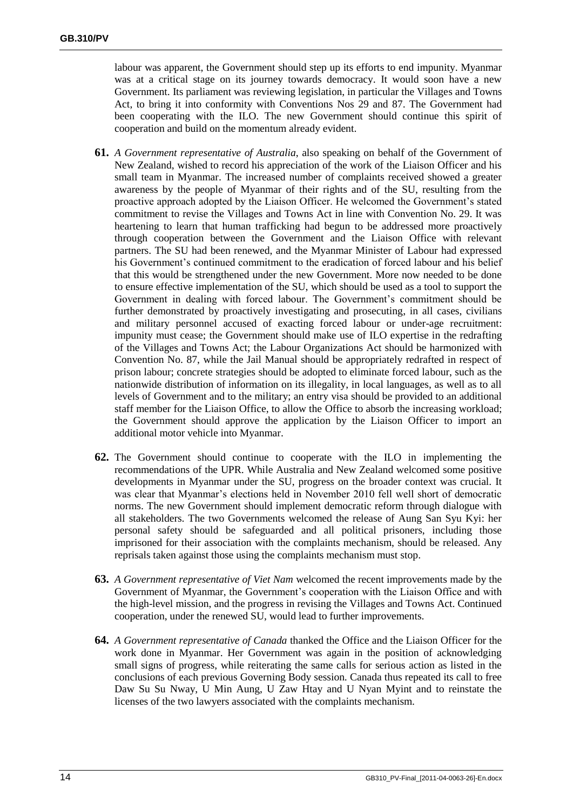labour was apparent, the Government should step up its efforts to end impunity. Myanmar was at a critical stage on its journey towards democracy. It would soon have a new Government. Its parliament was reviewing legislation, in particular the Villages and Towns Act, to bring it into conformity with Conventions Nos 29 and 87. The Government had been cooperating with the ILO. The new Government should continue this spirit of cooperation and build on the momentum already evident.

- **61.** *A Government representative of Australia*, also speaking on behalf of the Government of New Zealand, wished to record his appreciation of the work of the Liaison Officer and his small team in Myanmar. The increased number of complaints received showed a greater awareness by the people of Myanmar of their rights and of the SU, resulting from the proactive approach adopted by the Liaison Officer. He welcomed the Government's stated commitment to revise the Villages and Towns Act in line with Convention No. 29. It was heartening to learn that human trafficking had begun to be addressed more proactively through cooperation between the Government and the Liaison Office with relevant partners. The SU had been renewed, and the Myanmar Minister of Labour had expressed his Government's continued commitment to the eradication of forced labour and his belief that this would be strengthened under the new Government. More now needed to be done to ensure effective implementation of the SU, which should be used as a tool to support the Government in dealing with forced labour. The Government's commitment should be further demonstrated by proactively investigating and prosecuting, in all cases, civilians and military personnel accused of exacting forced labour or under-age recruitment: impunity must cease; the Government should make use of ILO expertise in the redrafting of the Villages and Towns Act; the Labour Organizations Act should be harmonized with Convention No. 87, while the Jail Manual should be appropriately redrafted in respect of prison labour; concrete strategies should be adopted to eliminate forced labour, such as the nationwide distribution of information on its illegality, in local languages, as well as to all levels of Government and to the military; an entry visa should be provided to an additional staff member for the Liaison Office, to allow the Office to absorb the increasing workload; the Government should approve the application by the Liaison Officer to import an additional motor vehicle into Myanmar.
- **62.** The Government should continue to cooperate with the ILO in implementing the recommendations of the UPR. While Australia and New Zealand welcomed some positive developments in Myanmar under the SU, progress on the broader context was crucial. It was clear that Myanmar's elections held in November 2010 fell well short of democratic norms. The new Government should implement democratic reform through dialogue with all stakeholders. The two Governments welcomed the release of Aung San Syu Kyi: her personal safety should be safeguarded and all political prisoners, including those imprisoned for their association with the complaints mechanism, should be released. Any reprisals taken against those using the complaints mechanism must stop.
- **63.** *A Government representative of Viet Nam* welcomed the recent improvements made by the Government of Myanmar, the Government's cooperation with the Liaison Office and with the high-level mission, and the progress in revising the Villages and Towns Act. Continued cooperation, under the renewed SU, would lead to further improvements.
- **64.** *A Government representative of Canada* thanked the Office and the Liaison Officer for the work done in Myanmar. Her Government was again in the position of acknowledging small signs of progress, while reiterating the same calls for serious action as listed in the conclusions of each previous Governing Body session. Canada thus repeated its call to free Daw Su Su Nway, U Min Aung, U Zaw Htay and U Nyan Myint and to reinstate the licenses of the two lawyers associated with the complaints mechanism.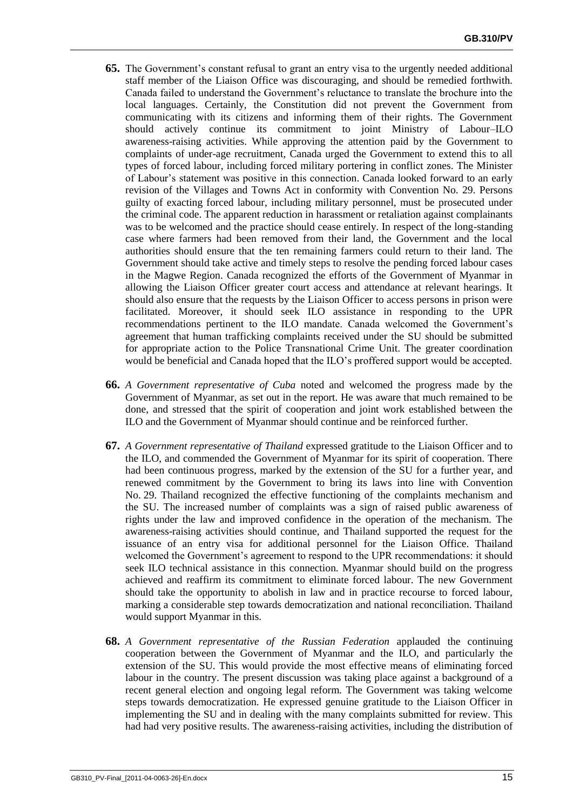- **65.** The Government's constant refusal to grant an entry visa to the urgently needed additional staff member of the Liaison Office was discouraging, and should be remedied forthwith. Canada failed to understand the Government's reluctance to translate the brochure into the local languages. Certainly, the Constitution did not prevent the Government from communicating with its citizens and informing them of their rights. The Government should actively continue its commitment to joint Ministry of Labour–ILO awareness-raising activities. While approving the attention paid by the Government to complaints of under-age recruitment, Canada urged the Government to extend this to all types of forced labour, including forced military portering in conflict zones. The Minister of Labour's statement was positive in this connection. Canada looked forward to an early revision of the Villages and Towns Act in conformity with Convention No. 29. Persons guilty of exacting forced labour, including military personnel, must be prosecuted under the criminal code. The apparent reduction in harassment or retaliation against complainants was to be welcomed and the practice should cease entirely. In respect of the long-standing case where farmers had been removed from their land, the Government and the local authorities should ensure that the ten remaining farmers could return to their land. The Government should take active and timely steps to resolve the pending forced labour cases in the Magwe Region. Canada recognized the efforts of the Government of Myanmar in allowing the Liaison Officer greater court access and attendance at relevant hearings. It should also ensure that the requests by the Liaison Officer to access persons in prison were facilitated. Moreover, it should seek ILO assistance in responding to the UPR recommendations pertinent to the ILO mandate. Canada welcomed the Government's agreement that human trafficking complaints received under the SU should be submitted for appropriate action to the Police Transnational Crime Unit. The greater coordination would be beneficial and Canada hoped that the ILO's proffered support would be accepted.
- **66.** *A Government representative of Cuba* noted and welcomed the progress made by the Government of Myanmar, as set out in the report. He was aware that much remained to be done, and stressed that the spirit of cooperation and joint work established between the ILO and the Government of Myanmar should continue and be reinforced further.
- **67.** *A Government representative of Thailand* expressed gratitude to the Liaison Officer and to the ILO, and commended the Government of Myanmar for its spirit of cooperation. There had been continuous progress, marked by the extension of the SU for a further year, and renewed commitment by the Government to bring its laws into line with Convention No. 29. Thailand recognized the effective functioning of the complaints mechanism and the SU. The increased number of complaints was a sign of raised public awareness of rights under the law and improved confidence in the operation of the mechanism. The awareness-raising activities should continue, and Thailand supported the request for the issuance of an entry visa for additional personnel for the Liaison Office. Thailand welcomed the Government's agreement to respond to the UPR recommendations: it should seek ILO technical assistance in this connection. Myanmar should build on the progress achieved and reaffirm its commitment to eliminate forced labour. The new Government should take the opportunity to abolish in law and in practice recourse to forced labour, marking a considerable step towards democratization and national reconciliation. Thailand would support Myanmar in this.
- **68.** *A Government representative of the Russian Federation* applauded the continuing cooperation between the Government of Myanmar and the ILO, and particularly the extension of the SU. This would provide the most effective means of eliminating forced labour in the country. The present discussion was taking place against a background of a recent general election and ongoing legal reform. The Government was taking welcome steps towards democratization. He expressed genuine gratitude to the Liaison Officer in implementing the SU and in dealing with the many complaints submitted for review. This had had very positive results. The awareness-raising activities, including the distribution of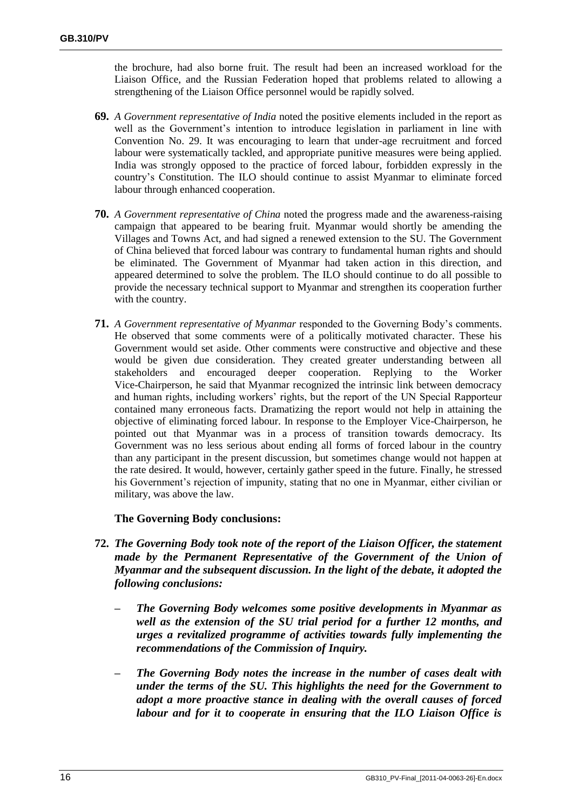the brochure, had also borne fruit. The result had been an increased workload for the Liaison Office, and the Russian Federation hoped that problems related to allowing a strengthening of the Liaison Office personnel would be rapidly solved.

- **69.** *A Government representative of India* noted the positive elements included in the report as well as the Government's intention to introduce legislation in parliament in line with Convention No. 29. It was encouraging to learn that under-age recruitment and forced labour were systematically tackled, and appropriate punitive measures were being applied. India was strongly opposed to the practice of forced labour, forbidden expressly in the country's Constitution. The ILO should continue to assist Myanmar to eliminate forced labour through enhanced cooperation.
- **70.** *A Government representative of China* noted the progress made and the awareness-raising campaign that appeared to be bearing fruit. Myanmar would shortly be amending the Villages and Towns Act, and had signed a renewed extension to the SU. The Government of China believed that forced labour was contrary to fundamental human rights and should be eliminated. The Government of Myanmar had taken action in this direction, and appeared determined to solve the problem. The ILO should continue to do all possible to provide the necessary technical support to Myanmar and strengthen its cooperation further with the country.
- **71.** *A Government representative of Myanmar* responded to the Governing Body's comments. He observed that some comments were of a politically motivated character. These his Government would set aside. Other comments were constructive and objective and these would be given due consideration. They created greater understanding between all stakeholders and encouraged deeper cooperation. Replying to the Worker Vice-Chairperson, he said that Myanmar recognized the intrinsic link between democracy and human rights, including workers' rights, but the report of the UN Special Rapporteur contained many erroneous facts. Dramatizing the report would not help in attaining the objective of eliminating forced labour. In response to the Employer Vice-Chairperson, he pointed out that Myanmar was in a process of transition towards democracy. Its Government was no less serious about ending all forms of forced labour in the country than any participant in the present discussion, but sometimes change would not happen at the rate desired. It would, however, certainly gather speed in the future. Finally, he stressed his Government's rejection of impunity, stating that no one in Myanmar, either civilian or military, was above the law.

## **The Governing Body conclusions:**

- **72.** *The Governing Body took note of the report of the Liaison Officer, the statement made by the Permanent Representative of the Government of the Union of Myanmar and the subsequent discussion. In the light of the debate, it adopted the following conclusions:*
	- *– The Governing Body welcomes some positive developments in Myanmar as well as the extension of the SU trial period for a further 12 months, and urges a revitalized programme of activities towards fully implementing the recommendations of the Commission of Inquiry.*
	- *– The Governing Body notes the increase in the number of cases dealt with under the terms of the SU. This highlights the need for the Government to adopt a more proactive stance in dealing with the overall causes of forced labour and for it to cooperate in ensuring that the ILO Liaison Office is*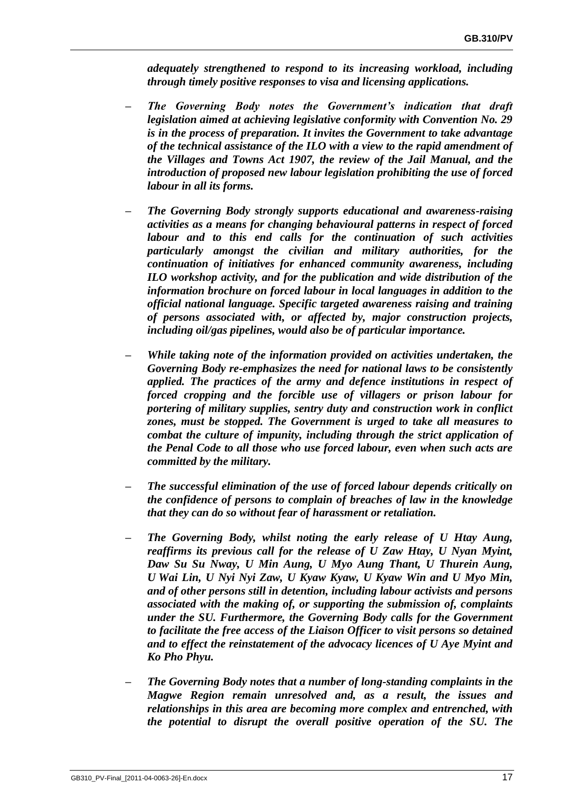*adequately strengthened to respond to its increasing workload, including through timely positive responses to visa and licensing applications.*

- *– The Governing Body notes the Government's indication that draft legislation aimed at achieving legislative conformity with Convention No. 29 is in the process of preparation. It invites the Government to take advantage of the technical assistance of the ILO with a view to the rapid amendment of the Villages and Towns Act 1907, the review of the Jail Manual, and the introduction of proposed new labour legislation prohibiting the use of forced labour in all its forms.*
- *– The Governing Body strongly supports educational and awareness-raising activities as a means for changing behavioural patterns in respect of forced labour and to this end calls for the continuation of such activities particularly amongst the civilian and military authorities, for the continuation of initiatives for enhanced community awareness, including ILO workshop activity, and for the publication and wide distribution of the information brochure on forced labour in local languages in addition to the official national language. Specific targeted awareness raising and training of persons associated with, or affected by, major construction projects, including oil/gas pipelines, would also be of particular importance.*
- *– While taking note of the information provided on activities undertaken, the Governing Body re-emphasizes the need for national laws to be consistently applied. The practices of the army and defence institutions in respect of forced cropping and the forcible use of villagers or prison labour for portering of military supplies, sentry duty and construction work in conflict zones, must be stopped. The Government is urged to take all measures to combat the culture of impunity, including through the strict application of the Penal Code to all those who use forced labour, even when such acts are committed by the military.*
- *– The successful elimination of the use of forced labour depends critically on the confidence of persons to complain of breaches of law in the knowledge that they can do so without fear of harassment or retaliation.*
- *– The Governing Body, whilst noting the early release of U Htay Aung, reaffirms its previous call for the release of U Zaw Htay, U Nyan Myint, Daw Su Su Nway, U Min Aung, U Myo Aung Thant, U Thurein Aung, U Wai Lin, U Nyi Nyi Zaw, U Kyaw Kyaw, U Kyaw Win and U Myo Min, and of other persons still in detention, including labour activists and persons associated with the making of, or supporting the submission of, complaints under the SU. Furthermore, the Governing Body calls for the Government to facilitate the free access of the Liaison Officer to visit persons so detained and to effect the reinstatement of the advocacy licences of U Aye Myint and Ko Pho Phyu.*
- *– The Governing Body notes that a number of long-standing complaints in the Magwe Region remain unresolved and, as a result, the issues and relationships in this area are becoming more complex and entrenched, with the potential to disrupt the overall positive operation of the SU. The*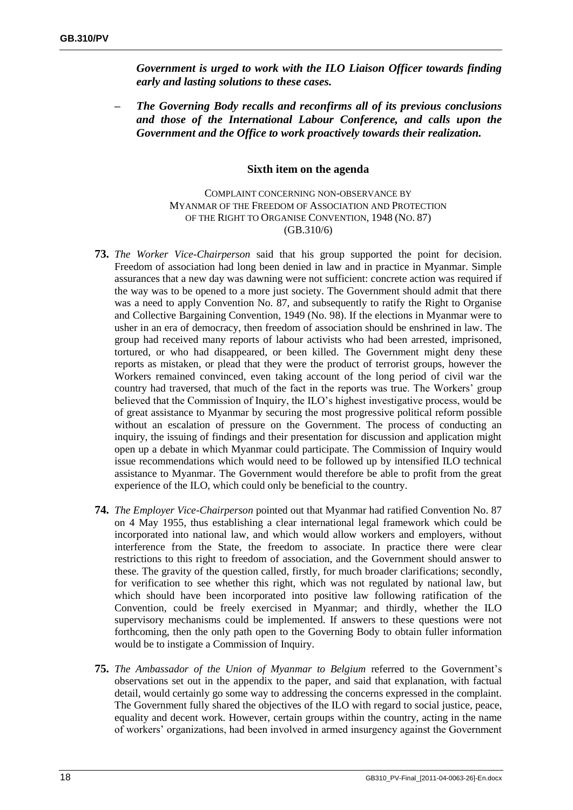*Government is urged to work with the ILO Liaison Officer towards finding early and lasting solutions to these cases.*

*– The Governing Body recalls and reconfirms all of its previous conclusions and those of the International Labour Conference, and calls upon the Government and the Office to work proactively towards their realization.*

#### **Sixth item on the agenda**

COMPLAINT CONCERNING NON-OBSERVANCE BY MYANMAR OF THE FREEDOM OF ASSOCIATION AND PROTECTION OF THE RIGHT TO ORGANISE CONVENTION, 1948 (NO. 87) (GB.310/6)

- **73.** *The Worker Vice-Chairperson* said that his group supported the point for decision. Freedom of association had long been denied in law and in practice in Myanmar. Simple assurances that a new day was dawning were not sufficient: concrete action was required if the way was to be opened to a more just society. The Government should admit that there was a need to apply Convention No. 87, and subsequently to ratify the Right to Organise and Collective Bargaining Convention, 1949 (No. 98). If the elections in Myanmar were to usher in an era of democracy, then freedom of association should be enshrined in law. The group had received many reports of labour activists who had been arrested, imprisoned, tortured, or who had disappeared, or been killed. The Government might deny these reports as mistaken, or plead that they were the product of terrorist groups, however the Workers remained convinced, even taking account of the long period of civil war the country had traversed, that much of the fact in the reports was true. The Workers' group believed that the Commission of Inquiry, the ILO's highest investigative process, would be of great assistance to Myanmar by securing the most progressive political reform possible without an escalation of pressure on the Government. The process of conducting an inquiry, the issuing of findings and their presentation for discussion and application might open up a debate in which Myanmar could participate. The Commission of Inquiry would issue recommendations which would need to be followed up by intensified ILO technical assistance to Myanmar. The Government would therefore be able to profit from the great experience of the ILO, which could only be beneficial to the country.
- **74.** *The Employer Vice-Chairperson* pointed out that Myanmar had ratified Convention No. 87 on 4 May 1955, thus establishing a clear international legal framework which could be incorporated into national law, and which would allow workers and employers, without interference from the State, the freedom to associate. In practice there were clear restrictions to this right to freedom of association, and the Government should answer to these. The gravity of the question called, firstly, for much broader clarifications; secondly, for verification to see whether this right, which was not regulated by national law, but which should have been incorporated into positive law following ratification of the Convention, could be freely exercised in Myanmar; and thirdly, whether the ILO supervisory mechanisms could be implemented. If answers to these questions were not forthcoming, then the only path open to the Governing Body to obtain fuller information would be to instigate a Commission of Inquiry.
- **75.** *The Ambassador of the Union of Myanmar to Belgium* referred to the Government's observations set out in the appendix to the paper, and said that explanation, with factual detail, would certainly go some way to addressing the concerns expressed in the complaint. The Government fully shared the objectives of the ILO with regard to social justice, peace, equality and decent work. However, certain groups within the country, acting in the name of workers' organizations, had been involved in armed insurgency against the Government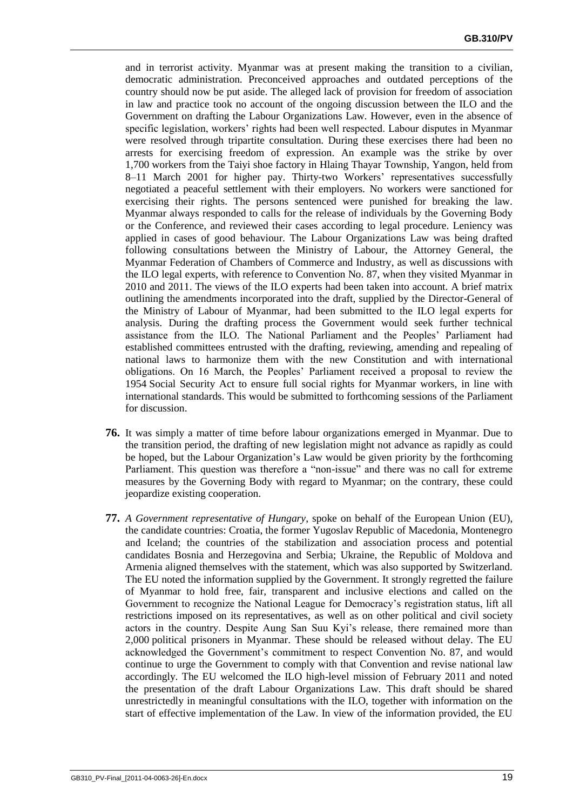and in terrorist activity. Myanmar was at present making the transition to a civilian, democratic administration. Preconceived approaches and outdated perceptions of the country should now be put aside. The alleged lack of provision for freedom of association in law and practice took no account of the ongoing discussion between the ILO and the Government on drafting the Labour Organizations Law. However, even in the absence of specific legislation, workers' rights had been well respected. Labour disputes in Myanmar were resolved through tripartite consultation. During these exercises there had been no arrests for exercising freedom of expression. An example was the strike by over 1,700 workers from the Taiyi shoe factory in Hlaing Thayar Township, Yangon, held from 8–11 March 2001 for higher pay. Thirty-two Workers' representatives successfully negotiated a peaceful settlement with their employers. No workers were sanctioned for exercising their rights. The persons sentenced were punished for breaking the law. Myanmar always responded to calls for the release of individuals by the Governing Body or the Conference, and reviewed their cases according to legal procedure. Leniency was applied in cases of good behaviour. The Labour Organizations Law was being drafted following consultations between the Ministry of Labour, the Attorney General, the Myanmar Federation of Chambers of Commerce and Industry, as well as discussions with the ILO legal experts, with reference to Convention No. 87, when they visited Myanmar in 2010 and 2011. The views of the ILO experts had been taken into account. A brief matrix outlining the amendments incorporated into the draft, supplied by the Director-General of the Ministry of Labour of Myanmar, had been submitted to the ILO legal experts for analysis. During the drafting process the Government would seek further technical assistance from the ILO. The National Parliament and the Peoples' Parliament had established committees entrusted with the drafting, reviewing, amending and repealing of national laws to harmonize them with the new Constitution and with international obligations. On 16 March, the Peoples' Parliament received a proposal to review the 1954 Social Security Act to ensure full social rights for Myanmar workers, in line with international standards. This would be submitted to forthcoming sessions of the Parliament for discussion.

- **76.** It was simply a matter of time before labour organizations emerged in Myanmar. Due to the transition period, the drafting of new legislation might not advance as rapidly as could be hoped, but the Labour Organization's Law would be given priority by the forthcoming Parliament. This question was therefore a "non-issue" and there was no call for extreme measures by the Governing Body with regard to Myanmar; on the contrary, these could jeopardize existing cooperation.
- **77.** *A Government representative of Hungary*, spoke on behalf of the European Union (EU), the candidate countries: Croatia, the former Yugoslav Republic of Macedonia, Montenegro and Iceland; the countries of the stabilization and association process and potential candidates Bosnia and Herzegovina and Serbia; Ukraine, the Republic of Moldova and Armenia aligned themselves with the statement, which was also supported by Switzerland. The EU noted the information supplied by the Government. It strongly regretted the failure of Myanmar to hold free, fair, transparent and inclusive elections and called on the Government to recognize the National League for Democracy's registration status, lift all restrictions imposed on its representatives, as well as on other political and civil society actors in the country. Despite Aung San Suu Kyi's release, there remained more than 2,000 political prisoners in Myanmar. These should be released without delay. The EU acknowledged the Government's commitment to respect Convention No. 87, and would continue to urge the Government to comply with that Convention and revise national law accordingly. The EU welcomed the ILO high-level mission of February 2011 and noted the presentation of the draft Labour Organizations Law. This draft should be shared unrestrictedly in meaningful consultations with the ILO, together with information on the start of effective implementation of the Law. In view of the information provided, the EU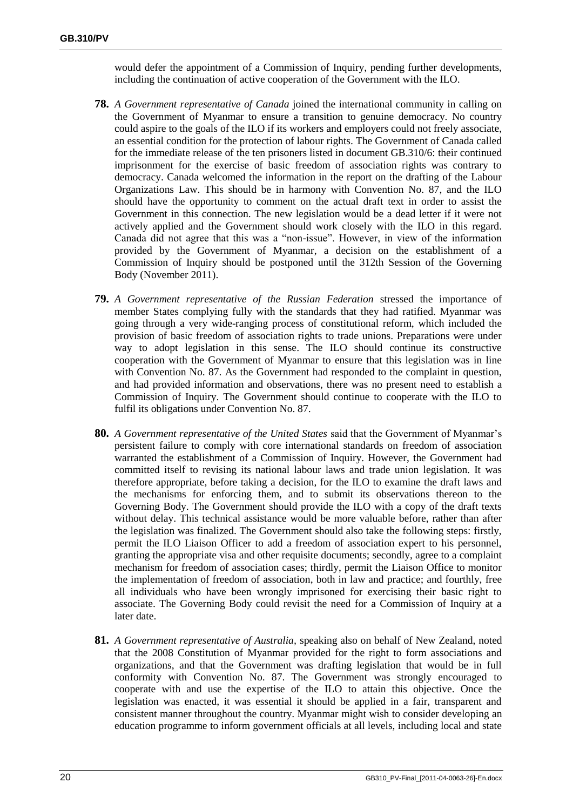would defer the appointment of a Commission of Inquiry, pending further developments, including the continuation of active cooperation of the Government with the ILO.

- **78.** *A Government representative of Canada* joined the international community in calling on the Government of Myanmar to ensure a transition to genuine democracy. No country could aspire to the goals of the ILO if its workers and employers could not freely associate, an essential condition for the protection of labour rights. The Government of Canada called for the immediate release of the ten prisoners listed in document GB.310/6: their continued imprisonment for the exercise of basic freedom of association rights was contrary to democracy. Canada welcomed the information in the report on the drafting of the Labour Organizations Law. This should be in harmony with Convention No. 87, and the ILO should have the opportunity to comment on the actual draft text in order to assist the Government in this connection. The new legislation would be a dead letter if it were not actively applied and the Government should work closely with the ILO in this regard. Canada did not agree that this was a "non-issue". However, in view of the information provided by the Government of Myanmar, a decision on the establishment of a Commission of Inquiry should be postponed until the 312th Session of the Governing Body (November 2011).
- **79.** *A Government representative of the Russian Federation* stressed the importance of member States complying fully with the standards that they had ratified. Myanmar was going through a very wide-ranging process of constitutional reform, which included the provision of basic freedom of association rights to trade unions. Preparations were under way to adopt legislation in this sense. The ILO should continue its constructive cooperation with the Government of Myanmar to ensure that this legislation was in line with Convention No. 87. As the Government had responded to the complaint in question, and had provided information and observations, there was no present need to establish a Commission of Inquiry. The Government should continue to cooperate with the ILO to fulfil its obligations under Convention No. 87.
- **80.** *A Government representative of the United States* said that the Government of Myanmar's persistent failure to comply with core international standards on freedom of association warranted the establishment of a Commission of Inquiry. However, the Government had committed itself to revising its national labour laws and trade union legislation. It was therefore appropriate, before taking a decision, for the ILO to examine the draft laws and the mechanisms for enforcing them, and to submit its observations thereon to the Governing Body. The Government should provide the ILO with a copy of the draft texts without delay. This technical assistance would be more valuable before, rather than after the legislation was finalized. The Government should also take the following steps: firstly, permit the ILO Liaison Officer to add a freedom of association expert to his personnel, granting the appropriate visa and other requisite documents; secondly, agree to a complaint mechanism for freedom of association cases; thirdly, permit the Liaison Office to monitor the implementation of freedom of association, both in law and practice; and fourthly, free all individuals who have been wrongly imprisoned for exercising their basic right to associate. The Governing Body could revisit the need for a Commission of Inquiry at a later date.
- **81.** *A Government representative of Australia,* speaking also on behalf of New Zealand, noted that the 2008 Constitution of Myanmar provided for the right to form associations and organizations, and that the Government was drafting legislation that would be in full conformity with Convention No. 87. The Government was strongly encouraged to cooperate with and use the expertise of the ILO to attain this objective. Once the legislation was enacted, it was essential it should be applied in a fair, transparent and consistent manner throughout the country. Myanmar might wish to consider developing an education programme to inform government officials at all levels, including local and state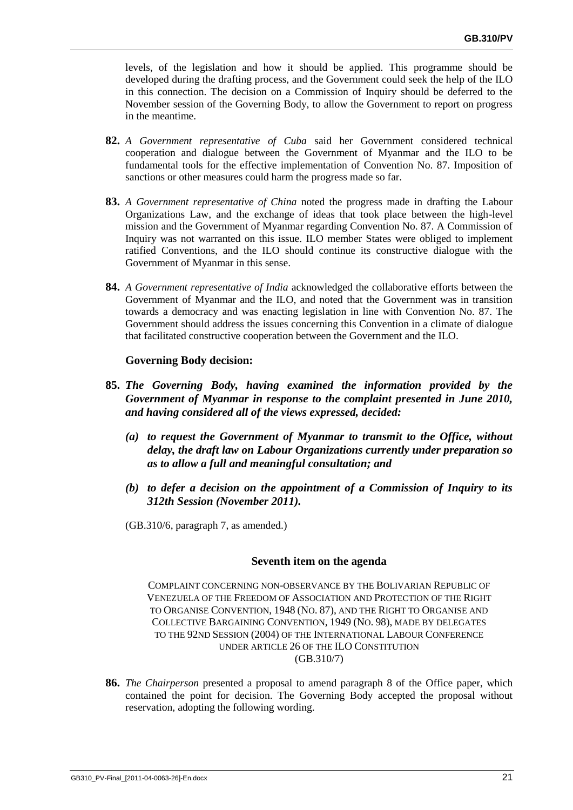levels, of the legislation and how it should be applied. This programme should be developed during the drafting process, and the Government could seek the help of the ILO in this connection. The decision on a Commission of Inquiry should be deferred to the November session of the Governing Body, to allow the Government to report on progress in the meantime.

- **82.** *A Government representative of Cuba* said her Government considered technical cooperation and dialogue between the Government of Myanmar and the ILO to be fundamental tools for the effective implementation of Convention No. 87. Imposition of sanctions or other measures could harm the progress made so far.
- **83.** *A Government representative of China* noted the progress made in drafting the Labour Organizations Law, and the exchange of ideas that took place between the high-level mission and the Government of Myanmar regarding Convention No. 87. A Commission of Inquiry was not warranted on this issue. ILO member States were obliged to implement ratified Conventions, and the ILO should continue its constructive dialogue with the Government of Myanmar in this sense.
- **84.** *A Government representative of India* acknowledged the collaborative efforts between the Government of Myanmar and the ILO, and noted that the Government was in transition towards a democracy and was enacting legislation in line with Convention No. 87. The Government should address the issues concerning this Convention in a climate of dialogue that facilitated constructive cooperation between the Government and the ILO.

## **Governing Body decision:**

- **85.** *The Governing Body, having examined the information provided by the Government of Myanmar in response to the complaint presented in June 2010, and having considered all of the views expressed, decided:*
	- *(a) to request the Government of Myanmar to transmit to the Office, without delay, the draft law on Labour Organizations currently under preparation so as to allow a full and meaningful consultation; and*
	- *(b) to defer a decision on the appointment of a Commission of Inquiry to its 312th Session (November 2011).*
	- (GB.310/6, paragraph 7, as amended.)

## **Seventh item on the agenda**

COMPLAINT CONCERNING NON-OBSERVANCE BY THE BOLIVARIAN REPUBLIC OF VENEZUELA OF THE FREEDOM OF ASSOCIATION AND PROTECTION OF THE RIGHT TO ORGANISE CONVENTION, 1948 (NO. 87), AND THE RIGHT TO ORGANISE AND COLLECTIVE BARGAINING CONVENTION, 1949 (NO. 98), MADE BY DELEGATES TO THE 92ND SESSION (2004) OF THE INTERNATIONAL LABOUR CONFERENCE UNDER ARTICLE 26 OF THE ILO CONSTITUTION (GB.310/7)

**86.** *The Chairperson* presented a proposal to amend paragraph 8 of the Office paper, which contained the point for decision. The Governing Body accepted the proposal without reservation, adopting the following wording.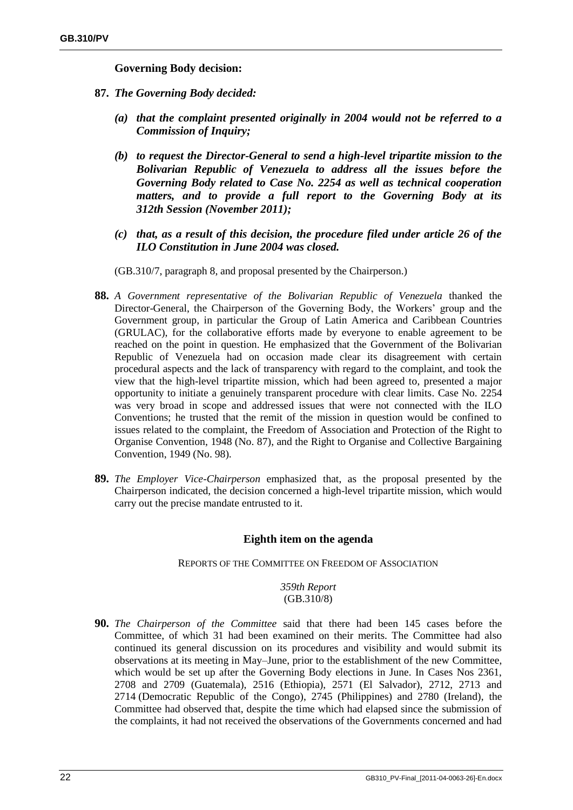## **Governing Body decision:**

- **87.** *The Governing Body decided:*
	- *(a) that the complaint presented originally in 2004 would not be referred to a Commission of Inquiry;*
	- *(b) to request the Director-General to send a high-level tripartite mission to the Bolivarian Republic of Venezuela to address all the issues before the Governing Body related to Case No. 2254 as well as technical cooperation matters, and to provide a full report to the Governing Body at its 312th Session (November 2011);*
	- *(c) that, as a result of this decision, the procedure filed under article 26 of the ILO Constitution in June 2004 was closed.*

(GB.310/7, paragraph 8, and proposal presented by the Chairperson.)

- **88.** *A Government representative of the Bolivarian Republic of Venezuela* thanked the Director-General, the Chairperson of the Governing Body, the Workers' group and the Government group, in particular the Group of Latin America and Caribbean Countries (GRULAC), for the collaborative efforts made by everyone to enable agreement to be reached on the point in question. He emphasized that the Government of the Bolivarian Republic of Venezuela had on occasion made clear its disagreement with certain procedural aspects and the lack of transparency with regard to the complaint, and took the view that the high-level tripartite mission, which had been agreed to, presented a major opportunity to initiate a genuinely transparent procedure with clear limits. Case No. 2254 was very broad in scope and addressed issues that were not connected with the ILO Conventions; he trusted that the remit of the mission in question would be confined to issues related to the complaint, the Freedom of Association and Protection of the Right to Organise Convention, 1948 (No. 87), and the Right to Organise and Collective Bargaining Convention, 1949 (No. 98).
- **89.** *The Employer Vice-Chairperson* emphasized that, as the proposal presented by the Chairperson indicated, the decision concerned a high-level tripartite mission, which would carry out the precise mandate entrusted to it.

## **Eighth item on the agenda**

## REPORTS OF THE COMMITTEE ON FREEDOM OF ASSOCIATION

## *359th Report* (GB.310/8)

**90.** *The Chairperson of the Committee* said that there had been 145 cases before the Committee, of which 31 had been examined on their merits. The Committee had also continued its general discussion on its procedures and visibility and would submit its observations at its meeting in May–June, prior to the establishment of the new Committee, which would be set up after the Governing Body elections in June. In Cases Nos 2361, 2708 and 2709 (Guatemala), 2516 (Ethiopia), 2571 (El Salvador), 2712, 2713 and 2714 (Democratic Republic of the Congo), 2745 (Philippines) and 2780 (Ireland), the Committee had observed that, despite the time which had elapsed since the submission of the complaints, it had not received the observations of the Governments concerned and had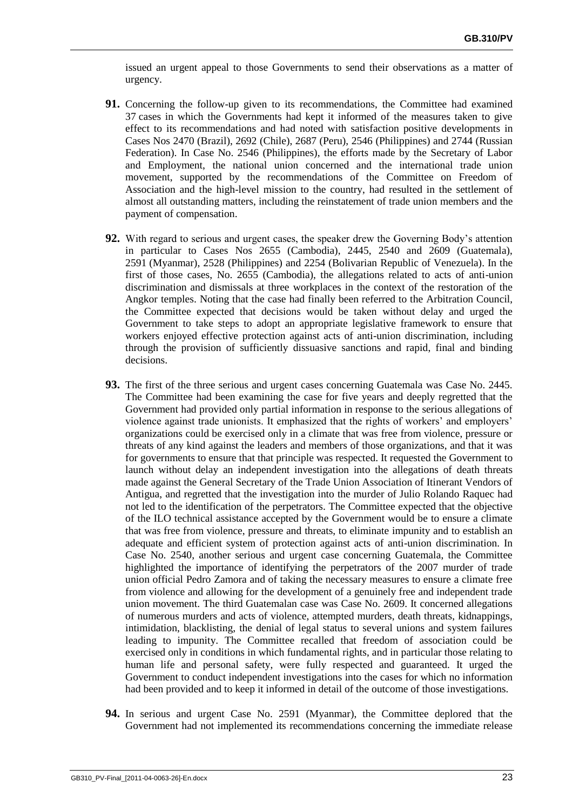issued an urgent appeal to those Governments to send their observations as a matter of urgency.

- **91.** Concerning the follow-up given to its recommendations, the Committee had examined 37 cases in which the Governments had kept it informed of the measures taken to give effect to its recommendations and had noted with satisfaction positive developments in Cases Nos 2470 (Brazil), 2692 (Chile), 2687 (Peru), 2546 (Philippines) and 2744 (Russian Federation). In Case No. 2546 (Philippines), the efforts made by the Secretary of Labor and Employment, the national union concerned and the international trade union movement, supported by the recommendations of the Committee on Freedom of Association and the high-level mission to the country, had resulted in the settlement of almost all outstanding matters, including the reinstatement of trade union members and the payment of compensation.
- **92.** With regard to serious and urgent cases, the speaker drew the Governing Body's attention in particular to Cases Nos 2655 (Cambodia), 2445, 2540 and 2609 (Guatemala), 2591 (Myanmar), 2528 (Philippines) and 2254 (Bolivarian Republic of Venezuela). In the first of those cases, No. 2655 (Cambodia), the allegations related to acts of anti-union discrimination and dismissals at three workplaces in the context of the restoration of the Angkor temples. Noting that the case had finally been referred to the Arbitration Council, the Committee expected that decisions would be taken without delay and urged the Government to take steps to adopt an appropriate legislative framework to ensure that workers enjoyed effective protection against acts of anti-union discrimination, including through the provision of sufficiently dissuasive sanctions and rapid, final and binding decisions.
- **93.** The first of the three serious and urgent cases concerning Guatemala was Case No. 2445. The Committee had been examining the case for five years and deeply regretted that the Government had provided only partial information in response to the serious allegations of violence against trade unionists. It emphasized that the rights of workers' and employers' organizations could be exercised only in a climate that was free from violence, pressure or threats of any kind against the leaders and members of those organizations, and that it was for governments to ensure that that principle was respected. It requested the Government to launch without delay an independent investigation into the allegations of death threats made against the General Secretary of the Trade Union Association of Itinerant Vendors of Antigua, and regretted that the investigation into the murder of Julio Rolando Raquec had not led to the identification of the perpetrators. The Committee expected that the objective of the ILO technical assistance accepted by the Government would be to ensure a climate that was free from violence, pressure and threats, to eliminate impunity and to establish an adequate and efficient system of protection against acts of anti-union discrimination. In Case No. 2540, another serious and urgent case concerning Guatemala, the Committee highlighted the importance of identifying the perpetrators of the 2007 murder of trade union official Pedro Zamora and of taking the necessary measures to ensure a climate free from violence and allowing for the development of a genuinely free and independent trade union movement. The third Guatemalan case was Case No. 2609. It concerned allegations of numerous murders and acts of violence, attempted murders, death threats, kidnappings, intimidation, blacklisting, the denial of legal status to several unions and system failures leading to impunity. The Committee recalled that freedom of association could be exercised only in conditions in which fundamental rights, and in particular those relating to human life and personal safety, were fully respected and guaranteed. It urged the Government to conduct independent investigations into the cases for which no information had been provided and to keep it informed in detail of the outcome of those investigations.
- **94.** In serious and urgent Case No. 2591 (Myanmar), the Committee deplored that the Government had not implemented its recommendations concerning the immediate release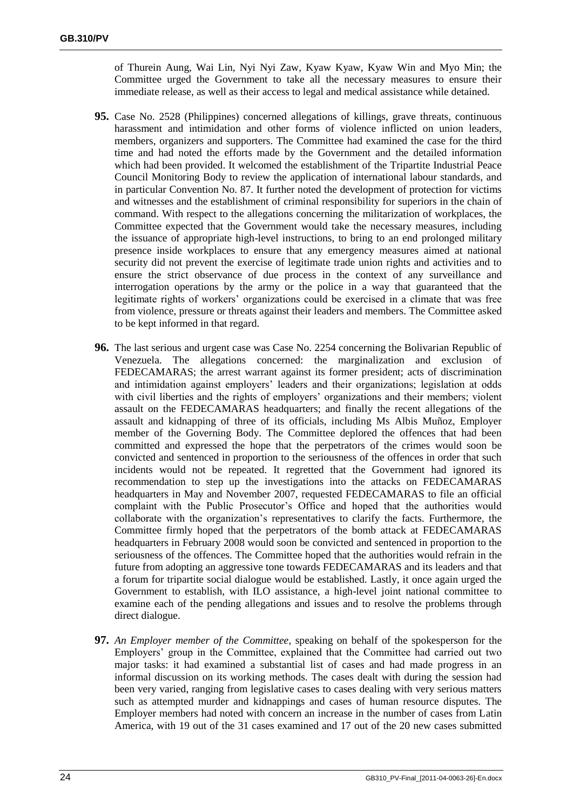of Thurein Aung, Wai Lin, Nyi Nyi Zaw, Kyaw Kyaw, Kyaw Win and Myo Min; the Committee urged the Government to take all the necessary measures to ensure their immediate release, as well as their access to legal and medical assistance while detained.

- **95.** Case No. 2528 (Philippines) concerned allegations of killings, grave threats, continuous harassment and intimidation and other forms of violence inflicted on union leaders, members, organizers and supporters. The Committee had examined the case for the third time and had noted the efforts made by the Government and the detailed information which had been provided. It welcomed the establishment of the Tripartite Industrial Peace Council Monitoring Body to review the application of international labour standards, and in particular Convention No. 87. It further noted the development of protection for victims and witnesses and the establishment of criminal responsibility for superiors in the chain of command. With respect to the allegations concerning the militarization of workplaces, the Committee expected that the Government would take the necessary measures, including the issuance of appropriate high-level instructions, to bring to an end prolonged military presence inside workplaces to ensure that any emergency measures aimed at national security did not prevent the exercise of legitimate trade union rights and activities and to ensure the strict observance of due process in the context of any surveillance and interrogation operations by the army or the police in a way that guaranteed that the legitimate rights of workers' organizations could be exercised in a climate that was free from violence, pressure or threats against their leaders and members. The Committee asked to be kept informed in that regard.
- **96.** The last serious and urgent case was Case No. 2254 concerning the Bolivarian Republic of Venezuela. The allegations concerned: the marginalization and exclusion of FEDECAMARAS; the arrest warrant against its former president; acts of discrimination and intimidation against employers' leaders and their organizations; legislation at odds with civil liberties and the rights of employers' organizations and their members; violent assault on the FEDECAMARAS headquarters; and finally the recent allegations of the assault and kidnapping of three of its officials, including Ms Albis Muñoz, Employer member of the Governing Body. The Committee deplored the offences that had been committed and expressed the hope that the perpetrators of the crimes would soon be convicted and sentenced in proportion to the seriousness of the offences in order that such incidents would not be repeated. It regretted that the Government had ignored its recommendation to step up the investigations into the attacks on FEDECAMARAS headquarters in May and November 2007, requested FEDECAMARAS to file an official complaint with the Public Prosecutor's Office and hoped that the authorities would collaborate with the organization's representatives to clarify the facts. Furthermore, the Committee firmly hoped that the perpetrators of the bomb attack at FEDECAMARAS headquarters in February 2008 would soon be convicted and sentenced in proportion to the seriousness of the offences. The Committee hoped that the authorities would refrain in the future from adopting an aggressive tone towards FEDECAMARAS and its leaders and that a forum for tripartite social dialogue would be established. Lastly, it once again urged the Government to establish, with ILO assistance, a high-level joint national committee to examine each of the pending allegations and issues and to resolve the problems through direct dialogue.
- **97.** *An Employer member of the Committee*, speaking on behalf of the spokesperson for the Employers' group in the Committee, explained that the Committee had carried out two major tasks: it had examined a substantial list of cases and had made progress in an informal discussion on its working methods. The cases dealt with during the session had been very varied, ranging from legislative cases to cases dealing with very serious matters such as attempted murder and kidnappings and cases of human resource disputes. The Employer members had noted with concern an increase in the number of cases from Latin America, with 19 out of the 31 cases examined and 17 out of the 20 new cases submitted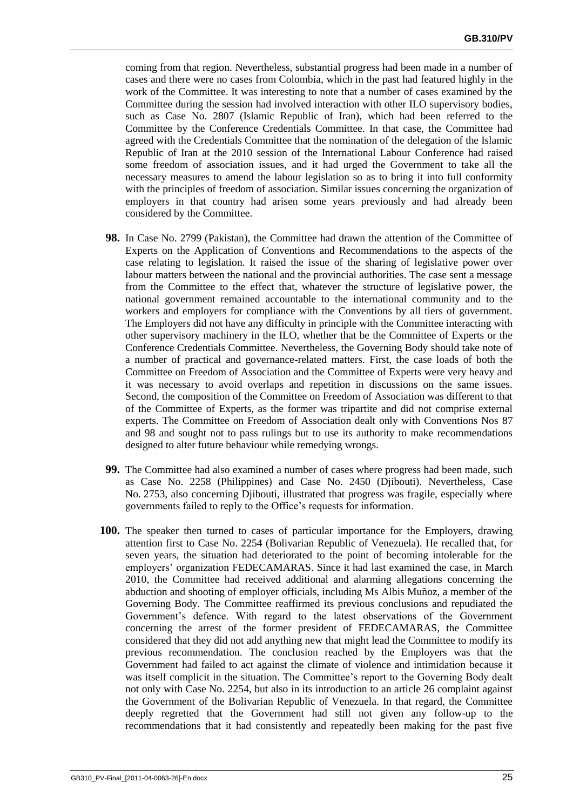coming from that region. Nevertheless, substantial progress had been made in a number of cases and there were no cases from Colombia, which in the past had featured highly in the work of the Committee. It was interesting to note that a number of cases examined by the Committee during the session had involved interaction with other ILO supervisory bodies, such as Case No. 2807 (Islamic Republic of Iran), which had been referred to the Committee by the Conference Credentials Committee. In that case, the Committee had agreed with the Credentials Committee that the nomination of the delegation of the Islamic Republic of Iran at the 2010 session of the International Labour Conference had raised some freedom of association issues, and it had urged the Government to take all the necessary measures to amend the labour legislation so as to bring it into full conformity with the principles of freedom of association. Similar issues concerning the organization of employers in that country had arisen some years previously and had already been considered by the Committee.

- **98.** In Case No. 2799 (Pakistan), the Committee had drawn the attention of the Committee of Experts on the Application of Conventions and Recommendations to the aspects of the case relating to legislation. It raised the issue of the sharing of legislative power over labour matters between the national and the provincial authorities. The case sent a message from the Committee to the effect that, whatever the structure of legislative power, the national government remained accountable to the international community and to the workers and employers for compliance with the Conventions by all tiers of government. The Employers did not have any difficulty in principle with the Committee interacting with other supervisory machinery in the ILO, whether that be the Committee of Experts or the Conference Credentials Committee. Nevertheless, the Governing Body should take note of a number of practical and governance-related matters. First, the case loads of both the Committee on Freedom of Association and the Committee of Experts were very heavy and it was necessary to avoid overlaps and repetition in discussions on the same issues. Second, the composition of the Committee on Freedom of Association was different to that of the Committee of Experts, as the former was tripartite and did not comprise external experts. The Committee on Freedom of Association dealt only with Conventions Nos 87 and 98 and sought not to pass rulings but to use its authority to make recommendations designed to alter future behaviour while remedying wrongs.
- **99.** The Committee had also examined a number of cases where progress had been made, such as Case No. 2258 (Philippines) and Case No. 2450 (Djibouti). Nevertheless, Case No. 2753, also concerning Djibouti, illustrated that progress was fragile, especially where governments failed to reply to the Office's requests for information.
- **100.** The speaker then turned to cases of particular importance for the Employers, drawing attention first to Case No. 2254 (Bolivarian Republic of Venezuela). He recalled that, for seven years, the situation had deteriorated to the point of becoming intolerable for the employers' organization FEDECAMARAS. Since it had last examined the case, in March 2010, the Committee had received additional and alarming allegations concerning the abduction and shooting of employer officials, including Ms Albis Muñoz, a member of the Governing Body. The Committee reaffirmed its previous conclusions and repudiated the Government's defence. With regard to the latest observations of the Government concerning the arrest of the former president of FEDECAMARAS, the Committee considered that they did not add anything new that might lead the Committee to modify its previous recommendation. The conclusion reached by the Employers was that the Government had failed to act against the climate of violence and intimidation because it was itself complicit in the situation. The Committee's report to the Governing Body dealt not only with Case No. 2254, but also in its introduction to an article 26 complaint against the Government of the Bolivarian Republic of Venezuela. In that regard, the Committee deeply regretted that the Government had still not given any follow-up to the recommendations that it had consistently and repeatedly been making for the past five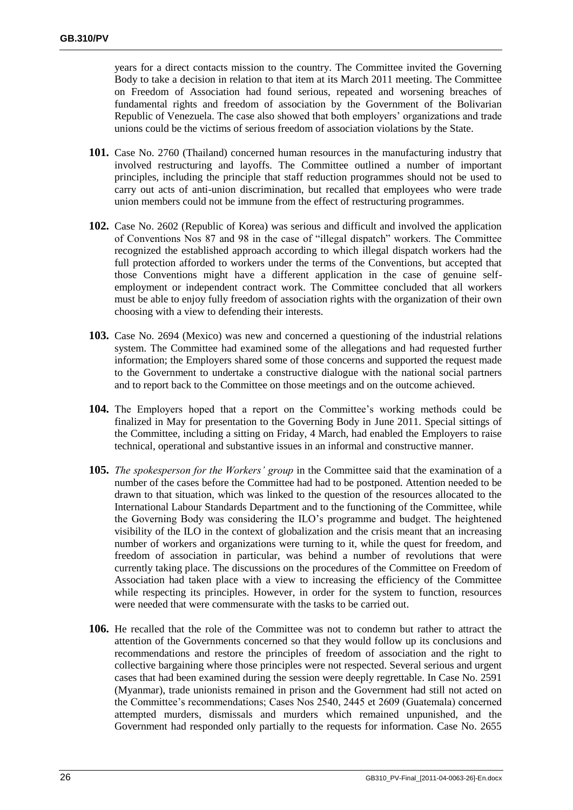years for a direct contacts mission to the country. The Committee invited the Governing Body to take a decision in relation to that item at its March 2011 meeting. The Committee on Freedom of Association had found serious, repeated and worsening breaches of fundamental rights and freedom of association by the Government of the Bolivarian Republic of Venezuela. The case also showed that both employers' organizations and trade unions could be the victims of serious freedom of association violations by the State.

- **101.** Case No. 2760 (Thailand) concerned human resources in the manufacturing industry that involved restructuring and layoffs. The Committee outlined a number of important principles, including the principle that staff reduction programmes should not be used to carry out acts of anti-union discrimination, but recalled that employees who were trade union members could not be immune from the effect of restructuring programmes.
- **102.** Case No. 2602 (Republic of Korea) was serious and difficult and involved the application of Conventions Nos 87 and 98 in the case of "illegal dispatch" workers. The Committee recognized the established approach according to which illegal dispatch workers had the full protection afforded to workers under the terms of the Conventions, but accepted that those Conventions might have a different application in the case of genuine selfemployment or independent contract work. The Committee concluded that all workers must be able to enjoy fully freedom of association rights with the organization of their own choosing with a view to defending their interests.
- **103.** Case No. 2694 (Mexico) was new and concerned a questioning of the industrial relations system. The Committee had examined some of the allegations and had requested further information; the Employers shared some of those concerns and supported the request made to the Government to undertake a constructive dialogue with the national social partners and to report back to the Committee on those meetings and on the outcome achieved.
- **104.** The Employers hoped that a report on the Committee's working methods could be finalized in May for presentation to the Governing Body in June 2011. Special sittings of the Committee, including a sitting on Friday, 4 March, had enabled the Employers to raise technical, operational and substantive issues in an informal and constructive manner.
- **105.** *The spokesperson for the Workers' group* in the Committee said that the examination of a number of the cases before the Committee had had to be postponed. Attention needed to be drawn to that situation, which was linked to the question of the resources allocated to the International Labour Standards Department and to the functioning of the Committee, while the Governing Body was considering the ILO's programme and budget. The heightened visibility of the ILO in the context of globalization and the crisis meant that an increasing number of workers and organizations were turning to it, while the quest for freedom, and freedom of association in particular, was behind a number of revolutions that were currently taking place. The discussions on the procedures of the Committee on Freedom of Association had taken place with a view to increasing the efficiency of the Committee while respecting its principles. However, in order for the system to function, resources were needed that were commensurate with the tasks to be carried out.
- **106.** He recalled that the role of the Committee was not to condemn but rather to attract the attention of the Governments concerned so that they would follow up its conclusions and recommendations and restore the principles of freedom of association and the right to collective bargaining where those principles were not respected. Several serious and urgent cases that had been examined during the session were deeply regrettable. In Case No. 2591 (Myanmar), trade unionists remained in prison and the Government had still not acted on the Committee's recommendations; Cases Nos 2540, 2445 et 2609 (Guatemala) concerned attempted murders, dismissals and murders which remained unpunished, and the Government had responded only partially to the requests for information. Case No. 2655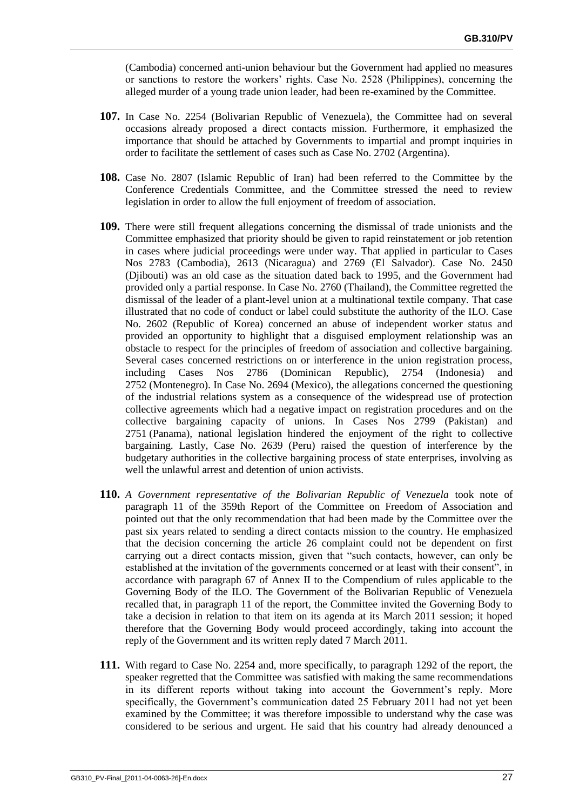(Cambodia) concerned anti-union behaviour but the Government had applied no measures or sanctions to restore the workers' rights. Case No. 2528 (Philippines), concerning the alleged murder of a young trade union leader, had been re-examined by the Committee.

- **107.** In Case No. 2254 (Bolivarian Republic of Venezuela), the Committee had on several occasions already proposed a direct contacts mission. Furthermore, it emphasized the importance that should be attached by Governments to impartial and prompt inquiries in order to facilitate the settlement of cases such as Case No. 2702 (Argentina).
- **108.** Case No. 2807 (Islamic Republic of Iran) had been referred to the Committee by the Conference Credentials Committee, and the Committee stressed the need to review legislation in order to allow the full enjoyment of freedom of association.
- **109.** There were still frequent allegations concerning the dismissal of trade unionists and the Committee emphasized that priority should be given to rapid reinstatement or job retention in cases where judicial proceedings were under way. That applied in particular to Cases Nos 2783 (Cambodia), 2613 (Nicaragua) and 2769 (El Salvador). Case No. 2450 (Djibouti) was an old case as the situation dated back to 1995, and the Government had provided only a partial response. In Case No. 2760 (Thailand), the Committee regretted the dismissal of the leader of a plant-level union at a multinational textile company. That case illustrated that no code of conduct or label could substitute the authority of the ILO. Case No. 2602 (Republic of Korea) concerned an abuse of independent worker status and provided an opportunity to highlight that a disguised employment relationship was an obstacle to respect for the principles of freedom of association and collective bargaining. Several cases concerned restrictions on or interference in the union registration process, including Cases Nos 2786 (Dominican Republic), 2754 (Indonesia) and 2752 (Montenegro). In Case No. 2694 (Mexico), the allegations concerned the questioning of the industrial relations system as a consequence of the widespread use of protection collective agreements which had a negative impact on registration procedures and on the collective bargaining capacity of unions. In Cases Nos 2799 (Pakistan) and 2751 (Panama), national legislation hindered the enjoyment of the right to collective bargaining. Lastly, Case No. 2639 (Peru) raised the question of interference by the budgetary authorities in the collective bargaining process of state enterprises, involving as well the unlawful arrest and detention of union activists.
- **110.** *A Government representative of the Bolivarian Republic of Venezuela* took note of paragraph 11 of the 359th Report of the Committee on Freedom of Association and pointed out that the only recommendation that had been made by the Committee over the past six years related to sending a direct contacts mission to the country. He emphasized that the decision concerning the article 26 complaint could not be dependent on first carrying out a direct contacts mission, given that "such contacts, however, can only be established at the invitation of the governments concerned or at least with their consent", in accordance with paragraph 67 of Annex II to the Compendium of rules applicable to the Governing Body of the ILO. The Government of the Bolivarian Republic of Venezuela recalled that, in paragraph 11 of the report, the Committee invited the Governing Body to take a decision in relation to that item on its agenda at its March 2011 session; it hoped therefore that the Governing Body would proceed accordingly, taking into account the reply of the Government and its written reply dated 7 March 2011.
- **111.** With regard to Case No. 2254 and, more specifically, to paragraph 1292 of the report, the speaker regretted that the Committee was satisfied with making the same recommendations in its different reports without taking into account the Government's reply. More specifically, the Government's communication dated 25 February 2011 had not yet been examined by the Committee; it was therefore impossible to understand why the case was considered to be serious and urgent. He said that his country had already denounced a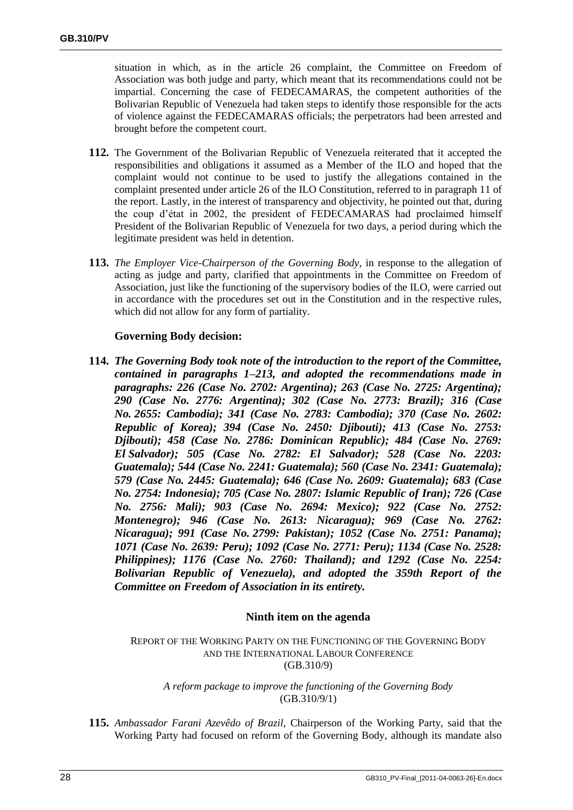situation in which, as in the article 26 complaint, the Committee on Freedom of Association was both judge and party, which meant that its recommendations could not be impartial. Concerning the case of FEDECAMARAS, the competent authorities of the Bolivarian Republic of Venezuela had taken steps to identify those responsible for the acts of violence against the FEDECAMARAS officials; the perpetrators had been arrested and brought before the competent court.

- **112.** The Government of the Bolivarian Republic of Venezuela reiterated that it accepted the responsibilities and obligations it assumed as a Member of the ILO and hoped that the complaint would not continue to be used to justify the allegations contained in the complaint presented under article 26 of the ILO Constitution, referred to in paragraph 11 of the report. Lastly, in the interest of transparency and objectivity, he pointed out that, during the coup d'état in 2002, the president of FEDECAMARAS had proclaimed himself President of the Bolivarian Republic of Venezuela for two days, a period during which the legitimate president was held in detention.
- **113.** *The Employer Vice-Chairperson of the Governing Body*, in response to the allegation of acting as judge and party, clarified that appointments in the Committee on Freedom of Association, just like the functioning of the supervisory bodies of the ILO, were carried out in accordance with the procedures set out in the Constitution and in the respective rules, which did not allow for any form of partiality.

## **Governing Body decision:**

**114.** *The Governing Body took note of the introduction to the report of the Committee, contained in paragraphs 1–213, and adopted the recommendations made in paragraphs: 226 (Case No. 2702: Argentina); 263 (Case No. 2725: Argentina); 290 (Case No. 2776: Argentina); 302 (Case No. 2773: Brazil); 316 (Case No. 2655: Cambodia); 341 (Case No. 2783: Cambodia); 370 (Case No. 2602: Republic of Korea); 394 (Case No. 2450: Djibouti); 413 (Case No. 2753: Djibouti); 458 (Case No. 2786: Dominican Republic); 484 (Case No. 2769: El Salvador); 505 (Case No. 2782: El Salvador); 528 (Case No. 2203: Guatemala); 544 (Case No. 2241: Guatemala); 560 (Case No. 2341: Guatemala); 579 (Case No. 2445: Guatemala); 646 (Case No. 2609: Guatemala); 683 (Case No. 2754: Indonesia); 705 (Case No. 2807: Islamic Republic of Iran); 726 (Case No. 2756: Mali); 903 (Case No. 2694: Mexico); 922 (Case No. 2752: Montenegro); 946 (Case No. 2613: Nicaragua); 969 (Case No. 2762: Nicaragua); 991 (Case No. 2799: Pakistan); 1052 (Case No. 2751: Panama); 1071 (Case No. 2639: Peru); 1092 (Case No. 2771: Peru); 1134 (Case No. 2528: Philippines); 1176 (Case No. 2760: Thailand); and 1292 (Case No. 2254: Bolivarian Republic of Venezuela), and adopted the 359th Report of the Committee on Freedom of Association in its entirety.*

## **Ninth item on the agenda**

REPORT OF THE WORKING PARTY ON THE FUNCTIONING OF THE GOVERNING BODY AND THE INTERNATIONAL LABOUR CONFERENCE (GB.310/9)

*A reform package to improve the functioning of the Governing Body* (GB.310/9/1)

**115.** *Ambassador Farani Azevêdo of Brazil,* Chairperson of the Working Party, said that the Working Party had focused on reform of the Governing Body, although its mandate also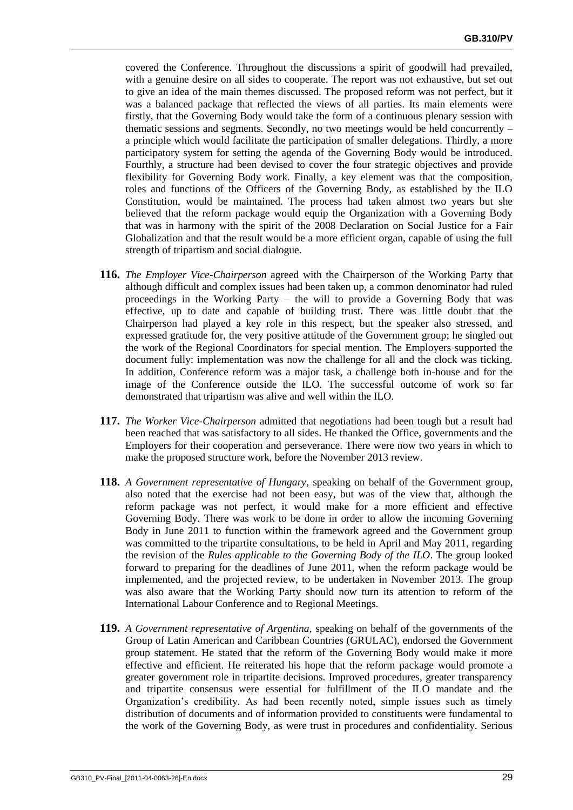covered the Conference. Throughout the discussions a spirit of goodwill had prevailed, with a genuine desire on all sides to cooperate. The report was not exhaustive, but set out to give an idea of the main themes discussed. The proposed reform was not perfect, but it was a balanced package that reflected the views of all parties. Its main elements were firstly, that the Governing Body would take the form of a continuous plenary session with thematic sessions and segments. Secondly, no two meetings would be held concurrently – a principle which would facilitate the participation of smaller delegations. Thirdly, a more participatory system for setting the agenda of the Governing Body would be introduced. Fourthly, a structure had been devised to cover the four strategic objectives and provide flexibility for Governing Body work. Finally, a key element was that the composition, roles and functions of the Officers of the Governing Body, as established by the ILO Constitution, would be maintained. The process had taken almost two years but she believed that the reform package would equip the Organization with a Governing Body that was in harmony with the spirit of the 2008 Declaration on Social Justice for a Fair Globalization and that the result would be a more efficient organ, capable of using the full strength of tripartism and social dialogue.

- **116.** *The Employer Vice-Chairperson* agreed with the Chairperson of the Working Party that although difficult and complex issues had been taken up, a common denominator had ruled proceedings in the Working Party – the will to provide a Governing Body that was effective, up to date and capable of building trust. There was little doubt that the Chairperson had played a key role in this respect, but the speaker also stressed, and expressed gratitude for, the very positive attitude of the Government group; he singled out the work of the Regional Coordinators for special mention. The Employers supported the document fully: implementation was now the challenge for all and the clock was ticking. In addition, Conference reform was a major task, a challenge both in-house and for the image of the Conference outside the ILO. The successful outcome of work so far demonstrated that tripartism was alive and well within the ILO.
- **117.** *The Worker Vice-Chairperson* admitted that negotiations had been tough but a result had been reached that was satisfactory to all sides. He thanked the Office, governments and the Employers for their cooperation and perseverance. There were now two years in which to make the proposed structure work, before the November 2013 review.
- **118.** *A Government representative of Hungary*, speaking on behalf of the Government group, also noted that the exercise had not been easy, but was of the view that, although the reform package was not perfect, it would make for a more efficient and effective Governing Body. There was work to be done in order to allow the incoming Governing Body in June 2011 to function within the framework agreed and the Government group was committed to the tripartite consultations, to be held in April and May 2011, regarding the revision of the *Rules applicable to the Governing Body of the ILO*. The group looked forward to preparing for the deadlines of June 2011, when the reform package would be implemented, and the projected review, to be undertaken in November 2013. The group was also aware that the Working Party should now turn its attention to reform of the International Labour Conference and to Regional Meetings.
- **119.** *A Government representative of Argentina,* speaking on behalf of the governments of the Group of Latin American and Caribbean Countries (GRULAC), endorsed the Government group statement. He stated that the reform of the Governing Body would make it more effective and efficient. He reiterated his hope that the reform package would promote a greater government role in tripartite decisions. Improved procedures, greater transparency and tripartite consensus were essential for fulfillment of the ILO mandate and the Organization's credibility. As had been recently noted, simple issues such as timely distribution of documents and of information provided to constituents were fundamental to the work of the Governing Body, as were trust in procedures and confidentiality. Serious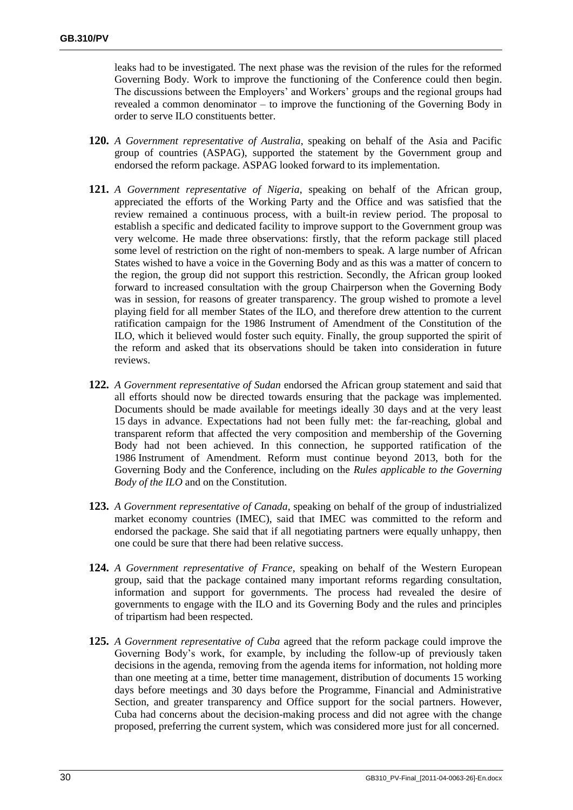leaks had to be investigated. The next phase was the revision of the rules for the reformed Governing Body. Work to improve the functioning of the Conference could then begin. The discussions between the Employers' and Workers' groups and the regional groups had revealed a common denominator – to improve the functioning of the Governing Body in order to serve ILO constituents better.

- **120.** *A Government representative of Australia*, speaking on behalf of the Asia and Pacific group of countries (ASPAG), supported the statement by the Government group and endorsed the reform package. ASPAG looked forward to its implementation.
- **121.** *A Government representative of Nigeria*, speaking on behalf of the African group, appreciated the efforts of the Working Party and the Office and was satisfied that the review remained a continuous process, with a built-in review period. The proposal to establish a specific and dedicated facility to improve support to the Government group was very welcome. He made three observations: firstly, that the reform package still placed some level of restriction on the right of non-members to speak. A large number of African States wished to have a voice in the Governing Body and as this was a matter of concern to the region, the group did not support this restriction. Secondly, the African group looked forward to increased consultation with the group Chairperson when the Governing Body was in session, for reasons of greater transparency. The group wished to promote a level playing field for all member States of the ILO, and therefore drew attention to the current ratification campaign for the 1986 Instrument of Amendment of the Constitution of the ILO, which it believed would foster such equity. Finally, the group supported the spirit of the reform and asked that its observations should be taken into consideration in future reviews.
- **122.** *A Government representative of Sudan* endorsed the African group statement and said that all efforts should now be directed towards ensuring that the package was implemented. Documents should be made available for meetings ideally 30 days and at the very least 15 days in advance. Expectations had not been fully met: the far-reaching, global and transparent reform that affected the very composition and membership of the Governing Body had not been achieved. In this connection, he supported ratification of the 1986 Instrument of Amendment. Reform must continue beyond 2013, both for the Governing Body and the Conference, including on the *Rules applicable to the Governing Body of the ILO* and on the Constitution.
- **123.** *A Government representative of Canada*, speaking on behalf of the group of industrialized market economy countries (IMEC), said that IMEC was committed to the reform and endorsed the package. She said that if all negotiating partners were equally unhappy, then one could be sure that there had been relative success.
- **124.** *A Government representative of France*, speaking on behalf of the Western European group, said that the package contained many important reforms regarding consultation, information and support for governments. The process had revealed the desire of governments to engage with the ILO and its Governing Body and the rules and principles of tripartism had been respected.
- **125.** *A Government representative of Cuba* agreed that the reform package could improve the Governing Body's work, for example, by including the follow-up of previously taken decisions in the agenda, removing from the agenda items for information, not holding more than one meeting at a time, better time management, distribution of documents 15 working days before meetings and 30 days before the Programme, Financial and Administrative Section, and greater transparency and Office support for the social partners. However, Cuba had concerns about the decision-making process and did not agree with the change proposed, preferring the current system, which was considered more just for all concerned.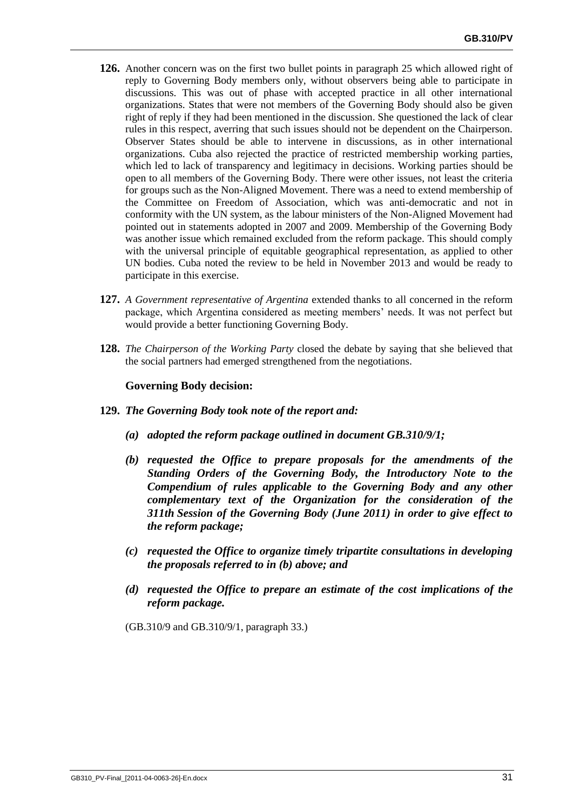- **126.** Another concern was on the first two bullet points in paragraph 25 which allowed right of reply to Governing Body members only, without observers being able to participate in discussions. This was out of phase with accepted practice in all other international organizations. States that were not members of the Governing Body should also be given right of reply if they had been mentioned in the discussion. She questioned the lack of clear rules in this respect, averring that such issues should not be dependent on the Chairperson. Observer States should be able to intervene in discussions, as in other international organizations. Cuba also rejected the practice of restricted membership working parties, which led to lack of transparency and legitimacy in decisions. Working parties should be open to all members of the Governing Body. There were other issues, not least the criteria for groups such as the Non-Aligned Movement. There was a need to extend membership of the Committee on Freedom of Association, which was anti-democratic and not in conformity with the UN system, as the labour ministers of the Non-Aligned Movement had pointed out in statements adopted in 2007 and 2009. Membership of the Governing Body was another issue which remained excluded from the reform package. This should comply with the universal principle of equitable geographical representation, as applied to other UN bodies. Cuba noted the review to be held in November 2013 and would be ready to participate in this exercise.
- **127.** *A Government representative of Argentina* extended thanks to all concerned in the reform package, which Argentina considered as meeting members' needs. It was not perfect but would provide a better functioning Governing Body.
- **128.** *The Chairperson of the Working Party* closed the debate by saying that she believed that the social partners had emerged strengthened from the negotiations.

## **Governing Body decision:**

- **129.** *The Governing Body took note of the report and:*
	- *(a) adopted the reform package outlined in document GB.310/9/1;*
	- *(b) requested the Office to prepare proposals for the amendments of the Standing Orders of the Governing Body, the Introductory Note to the Compendium of rules applicable to the Governing Body and any other complementary text of the Organization for the consideration of the 311th Session of the Governing Body (June 2011) in order to give effect to the reform package;*
	- *(c) requested the Office to organize timely tripartite consultations in developing the proposals referred to in (b) above; and*
	- *(d) requested the Office to prepare an estimate of the cost implications of the reform package.*

(GB.310/9 and GB.310/9/1, paragraph 33.)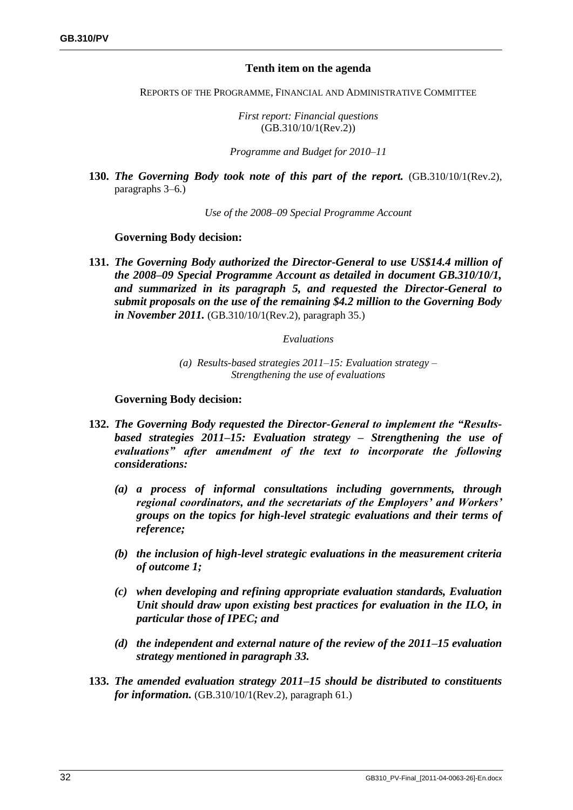# **Tenth item on the agenda**

REPORTS OF THE PROGRAMME, FINANCIAL AND ADMINISTRATIVE COMMITTEE

*First report: Financial questions* (GB.310/10/1(Rev.2))

*Programme and Budget for 2010–11*

**130.** *The Governing Body took note of this part of the report.* (GB.310/10/1(Rev.2), paragraphs 3–6.)

*Use of the 2008–09 Special Programme Account*

## **Governing Body decision:**

**131.** *The Governing Body authorized the Director-General to use US\$14.4 million of the 2008–09 Special Programme Account as detailed in document GB.310/10/1, and summarized in its paragraph 5, and requested the Director-General to submit proposals on the use of the remaining \$4.2 million to the Governing Body in November 2011.* (GB.310/10/1(Rev.2), paragraph 35.)

### *Evaluations*

*(a) Results-based strategies 2011–15: Evaluation strategy – Strengthening the use of evaluations*

- **132.** *The Governing Body requested the Director-General to implement the "Resultsbased strategies 2011–15: Evaluation strategy – Strengthening the use of evaluations" after amendment of the text to incorporate the following considerations:*
	- *(a) a process of informal consultations including governments, through regional coordinators, and the secretariats of the Employers' and Workers' groups on the topics for high-level strategic evaluations and their terms of reference;*
	- *(b) the inclusion of high-level strategic evaluations in the measurement criteria of outcome 1;*
	- *(c) when developing and refining appropriate evaluation standards, Evaluation Unit should draw upon existing best practices for evaluation in the ILO, in particular those of IPEC; and*
	- *(d) the independent and external nature of the review of the 2011–15 evaluation strategy mentioned in paragraph 33.*
- **133.** *The amended evaluation strategy 2011–15 should be distributed to constituents for information.* (GB.310/10/1(Rev.2), paragraph 61.)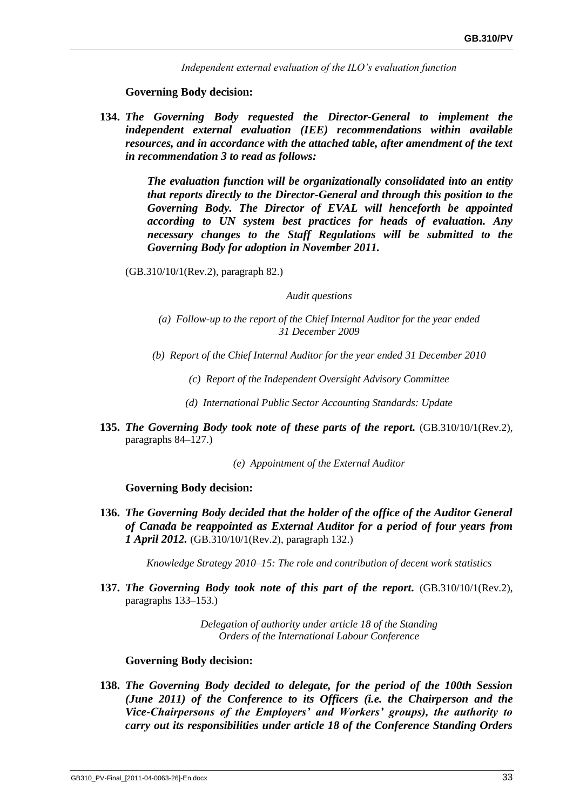*Independent external evaluation of the ILO's evaluation function*

### **Governing Body decision:**

**134.** *The Governing Body requested the Director-General to implement the independent external evaluation (IEE) recommendations within available resources, and in accordance with the attached table, after amendment of the text in recommendation 3 to read as follows:*

> *The evaluation function will be organizationally consolidated into an entity that reports directly to the Director-General and through this position to the Governing Body. The Director of EVAL will henceforth be appointed according to UN system best practices for heads of evaluation. Any necessary changes to the Staff Regulations will be submitted to the Governing Body for adoption in November 2011.*

(GB.310/10/1(Rev.2), paragraph 82.)

*Audit questions*

- *(a) Follow-up to the report of the Chief Internal Auditor for the year ended 31 December 2009*
- *(b) Report of the Chief Internal Auditor for the year ended 31 December 2010*
	- *(c) Report of the Independent Oversight Advisory Committee*
	- *(d) International Public Sector Accounting Standards: Update*
- **135.** *The Governing Body took note of these parts of the report.* (GB.310/10/1(Rev.2), paragraphs 84–127.)

*(e) Appointment of the External Auditor*

### **Governing Body decision:**

**136.** *The Governing Body decided that the holder of the office of the Auditor General of Canada be reappointed as External Auditor for a period of four years from 1 April 2012.* (GB.310/10/1(Rev.2), paragraph 132.)

*Knowledge Strategy 2010–15: The role and contribution of decent work statistics*

**137.** *The Governing Body took note of this part of the report.* (GB.310/10/1(Rev.2), paragraphs 133–153.)

> *Delegation of authority under article 18 of the Standing Orders of the International Labour Conference*

### **Governing Body decision:**

**138.** *The Governing Body decided to delegate, for the period of the 100th Session (June 2011) of the Conference to its Officers (i.e. the Chairperson and the Vice-Chairpersons of the Employers' and Workers' groups), the authority to carry out its responsibilities under article 18 of the Conference Standing Orders*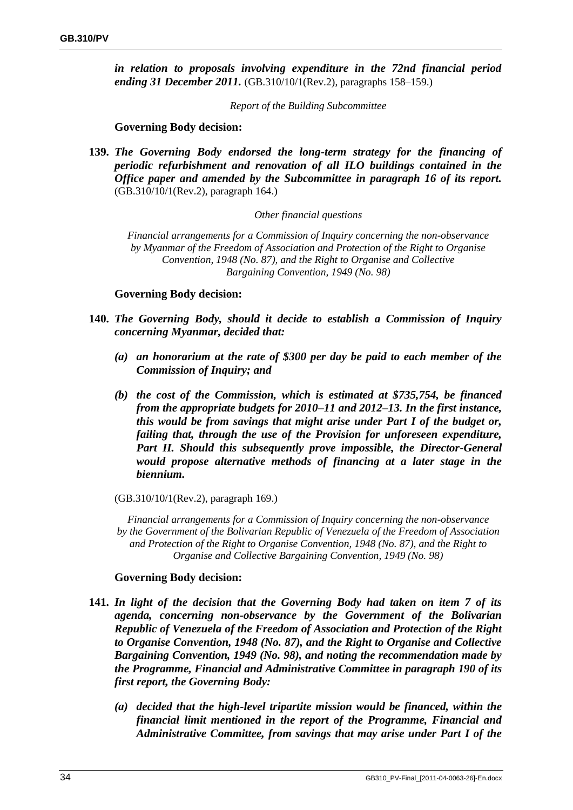*in relation to proposals involving expenditure in the 72nd financial period ending 31 December 2011.* (GB.310/10/1(Rev.2), paragraphs 158–159.)

*Report of the Building Subcommittee*

## **Governing Body decision:**

**139.** *The Governing Body endorsed the long-term strategy for the financing of periodic refurbishment and renovation of all ILO buildings contained in the Office paper and amended by the Subcommittee in paragraph 16 of its report.*  (GB.310/10/1(Rev.2), paragraph 164.)

### *Other financial questions*

*Financial arrangements for a Commission of Inquiry concerning the non-observance by Myanmar of the Freedom of Association and Protection of the Right to Organise Convention, 1948 (No. 87), and the Right to Organise and Collective Bargaining Convention, 1949 (No. 98)*

### **Governing Body decision:**

- **140.** *The Governing Body, should it decide to establish a Commission of Inquiry concerning Myanmar, decided that:* 
	- *(a) an honorarium at the rate of \$300 per day be paid to each member of the Commission of Inquiry; and*
	- *(b) the cost of the Commission, which is estimated at \$735,754, be financed from the appropriate budgets for 2010–11 and 2012–13. In the first instance, this would be from savings that might arise under Part I of the budget or, failing that, through the use of the Provision for unforeseen expenditure, Part II. Should this subsequently prove impossible, the Director-General would propose alternative methods of financing at a later stage in the biennium.*

### (GB.310/10/1(Rev.2), paragraph 169.)

*Financial arrangements for a Commission of Inquiry concerning the non-observance by the Government of the Bolivarian Republic of Venezuela of the Freedom of Association and Protection of the Right to Organise Convention, 1948 (No. 87), and the Right to Organise and Collective Bargaining Convention, 1949 (No. 98)*

- **141.** *In light of the decision that the Governing Body had taken on item 7 of its agenda, concerning non-observance by the Government of the Bolivarian Republic of Venezuela of the Freedom of Association and Protection of the Right to Organise Convention, 1948 (No. 87), and the Right to Organise and Collective Bargaining Convention, 1949 (No. 98), and noting the recommendation made by the Programme, Financial and Administrative Committee in paragraph 190 of its first report, the Governing Body:*
	- *(a) decided that the high-level tripartite mission would be financed, within the financial limit mentioned in the report of the Programme, Financial and Administrative Committee, from savings that may arise under Part I of the*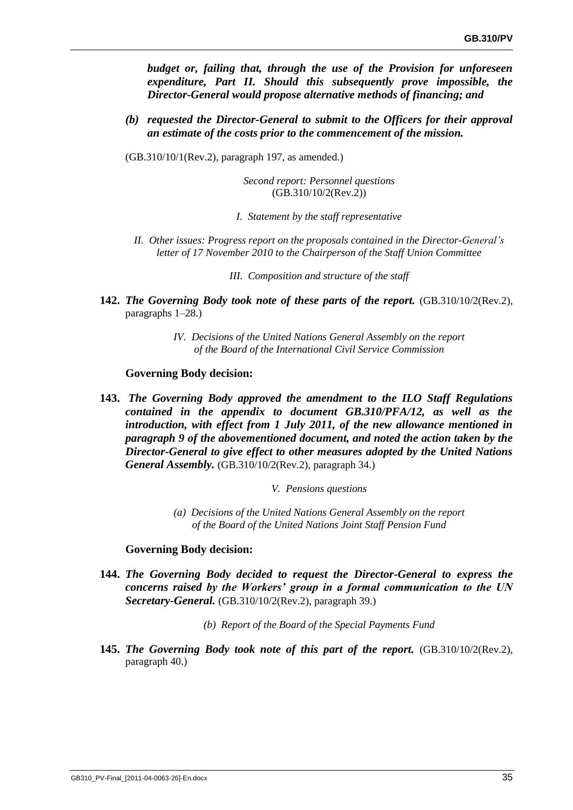*budget or, failing that, through the use of the Provision for unforeseen expenditure, Part II. Should this subsequently prove impossible, the Director-General would propose alternative methods of financing; and*

- *(b) requested the Director-General to submit to the Officers for their approval an estimate of the costs prior to the commencement of the mission.*
- (GB.310/10/1(Rev.2), paragraph 197, as amended.)

*Second report: Personnel questions* (GB.310/10/2(Rev.2))

- *I. Statement by the staff representative*
- *II. Other issues: Progress report on the proposals contained in the Director-General's letter of 17 November 2010 to the Chairperson of the Staff Union Committee*
	- *III. Composition and structure of the staff*
- **142.** *The Governing Body took note of these parts of the report.* (GB.310/10/2(Rev.2), paragraphs 1–28.)
	- *IV. Decisions of the United Nations General Assembly on the report of the Board of the International Civil Service Commission*

### **Governing Body decision:**

- **143.** *The Governing Body approved the amendment to the ILO Staff Regulations contained in the appendix to document GB.310/PFA/12, as well as the introduction, with effect from 1 July 2011, of the new allowance mentioned in paragraph 9 of the abovementioned document, and noted the action taken by the Director-General to give effect to other measures adopted by the United Nations General Assembly.* (GB.310/10/2(Rev.2), paragraph 34.)
	- *V. Pensions questions*
	- *(a) Decisions of the United Nations General Assembly on the report of the Board of the United Nations Joint Staff Pension Fund*

- **144.** *The Governing Body decided to request the Director-General to express the concerns raised by the Workers' group in a formal communication to the UN Secretary-General.* (GB.310/10/2(Rev.2), paragraph 39.)
	- *(b) Report of the Board of the Special Payments Fund*
- **145.** *The Governing Body took note of this part of the report.* (GB.310/10/2(Rev.2), paragraph 40.)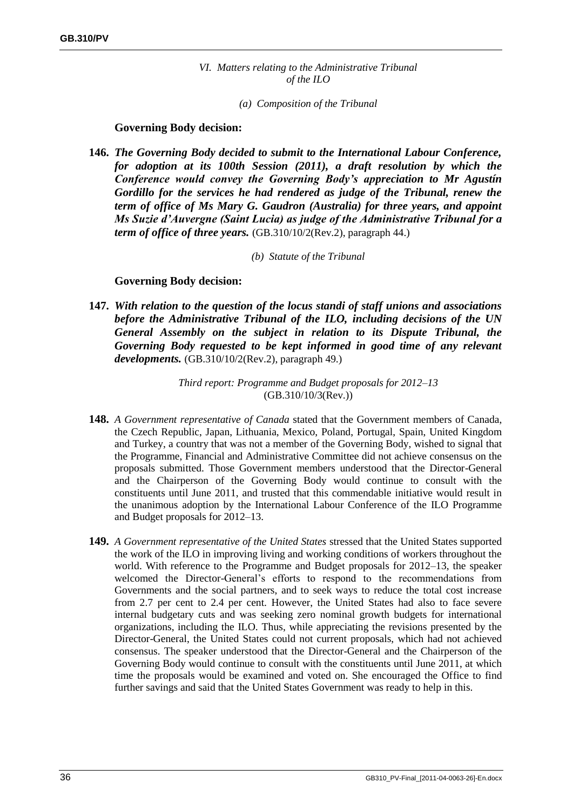*VI. Matters relating to the Administrative Tribunal of the ILO* 

*(a) Composition of the Tribunal*

### **Governing Body decision:**

- **146.** *The Governing Body decided to submit to the International Labour Conference, for adoption at its 100th Session (2011), a draft resolution by which the Conference would convey the Governing Body's appreciation to Mr Agustín Gordillo for the services he had rendered as judge of the Tribunal, renew the term of office of Ms Mary G. Gaudron (Australia) for three years, and appoint Ms Suzie d'Auvergne (Saint Lucia) as judge of the Administrative Tribunal for a term of office of three years.* (GB.310/10/2(Rev.2), paragraph 44.)
	- *(b) Statute of the Tribunal*

## **Governing Body decision:**

**147.** *With relation to the question of the locus standi of staff unions and associations before the Administrative Tribunal of the ILO, including decisions of the UN General Assembly on the subject in relation to its Dispute Tribunal, the Governing Body requested to be kept informed in good time of any relevant developments.* (GB.310/10/2(Rev.2), paragraph 49.)

> *Third report: Programme and Budget proposals for 2012–13* (GB.310/10/3(Rev.))

- **148.** *A Government representative of Canada* stated that the Government members of Canada, the Czech Republic, Japan, Lithuania, Mexico, Poland, Portugal, Spain, United Kingdom and Turkey, a country that was not a member of the Governing Body, wished to signal that the Programme, Financial and Administrative Committee did not achieve consensus on the proposals submitted. Those Government members understood that the Director-General and the Chairperson of the Governing Body would continue to consult with the constituents until June 2011, and trusted that this commendable initiative would result in the unanimous adoption by the International Labour Conference of the ILO Programme and Budget proposals for 2012–13.
- **149.** *A Government representative of the United States* stressed that the United States supported the work of the ILO in improving living and working conditions of workers throughout the world. With reference to the Programme and Budget proposals for 2012–13, the speaker welcomed the Director-General's efforts to respond to the recommendations from Governments and the social partners, and to seek ways to reduce the total cost increase from 2.7 per cent to 2.4 per cent. However, the United States had also to face severe internal budgetary cuts and was seeking zero nominal growth budgets for international organizations, including the ILO. Thus, while appreciating the revisions presented by the Director-General, the United States could not current proposals, which had not achieved consensus. The speaker understood that the Director-General and the Chairperson of the Governing Body would continue to consult with the constituents until June 2011, at which time the proposals would be examined and voted on. She encouraged the Office to find further savings and said that the United States Government was ready to help in this.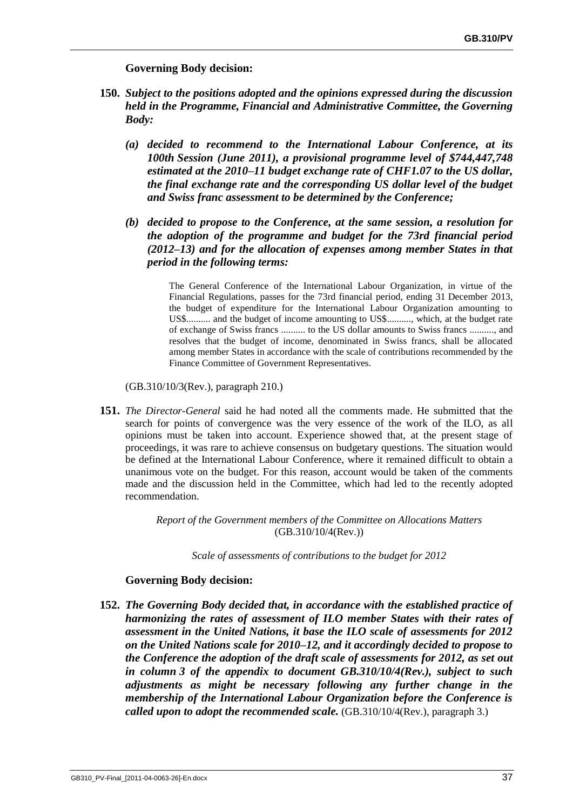**Governing Body decision:** 

- **150.** *Subject to the positions adopted and the opinions expressed during the discussion held in the Programme, Financial and Administrative Committee, the Governing Body:*
	- *(a) decided to recommend to the International Labour Conference, at its 100th Session (June 2011), a provisional programme level of \$744,447,748 estimated at the 2010–11 budget exchange rate of CHF1.07 to the US dollar, the final exchange rate and the corresponding US dollar level of the budget and Swiss franc assessment to be determined by the Conference;*
	- *(b) decided to propose to the Conference, at the same session, a resolution for the adoption of the programme and budget for the 73rd financial period (2012–13) and for the allocation of expenses among member States in that period in the following terms:*

The General Conference of the International Labour Organization, in virtue of the Financial Regulations, passes for the 73rd financial period, ending 31 December 2013, the budget of expenditure for the International Labour Organization amounting to US\$.......... and the budget of income amounting to US\$.........., which, at the budget rate of exchange of Swiss francs .......... to the US dollar amounts to Swiss francs .........., and resolves that the budget of income, denominated in Swiss francs, shall be allocated among member States in accordance with the scale of contributions recommended by the Finance Committee of Government Representatives.

(GB.310/10/3(Rev.), paragraph 210.)

**151.** *The Director-General* said he had noted all the comments made. He submitted that the search for points of convergence was the very essence of the work of the ILO, as all opinions must be taken into account. Experience showed that, at the present stage of proceedings, it was rare to achieve consensus on budgetary questions. The situation would be defined at the International Labour Conference, where it remained difficult to obtain a unanimous vote on the budget. For this reason, account would be taken of the comments made and the discussion held in the Committee, which had led to the recently adopted recommendation.

> *Report of the Government members of the Committee on Allocations Matters* (GB.310/10/4(Rev.))

> > *Scale of assessments of contributions to the budget for 2012*

### **Governing Body decision:**

**152.** *The Governing Body decided that, in accordance with the established practice of harmonizing the rates of assessment of ILO member States with their rates of assessment in the United Nations, it base the ILO scale of assessments for 2012 on the United Nations scale for 2010–12, and it accordingly decided to propose to the Conference the adoption of the draft scale of assessments for 2012, as set out in column 3 of the appendix to document GB.310/10/4(Rev.), subject to such adjustments as might be necessary following any further change in the membership of the International Labour Organization before the Conference is called upon to adopt the recommended scale.* (GB.310/10/4(Rev.), paragraph 3.)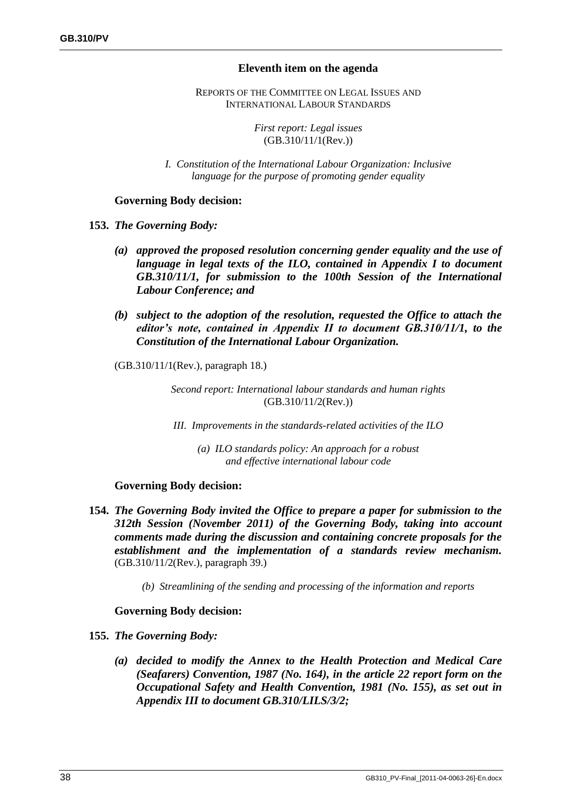## **Eleventh item on the agenda**

REPORTS OF THE COMMITTEE ON LEGAL ISSUES AND INTERNATIONAL LABOUR STANDARDS

> *First report: Legal issues* (GB.310/11/1(Rev.))

*I. Constitution of the International Labour Organization: Inclusive language for the purpose of promoting gender equality*

## **Governing Body decision:**

**153.** *The Governing Body:*

- *(a) approved the proposed resolution concerning gender equality and the use of language in legal texts of the ILO, contained in Appendix I to document GB.310/11/1, for submission to the 100th Session of the International Labour Conference; and*
- *(b) subject to the adoption of the resolution, requested the Office to attach the editor's note, contained in Appendix II to document GB.310/11/1, to the Constitution of the International Labour Organization.*

(GB.310/11/1(Rev.), paragraph 18.)

*Second report: International labour standards and human rights* (GB.310/11/2(Rev.))

*III. Improvements in the standards-related activities of the ILO*

*(a) ILO standards policy: An approach for a robust and effective international labour code*

# **Governing Body decision:**

- **154.** *The Governing Body invited the Office to prepare a paper for submission to the 312th Session (November 2011) of the Governing Body, taking into account comments made during the discussion and containing concrete proposals for the establishment and the implementation of a standards review mechanism.*  (GB.310/11/2(Rev.), paragraph 39.)
	- *(b) Streamlining of the sending and processing of the information and reports*

- **155.** *The Governing Body:*
	- *(a) decided to modify the Annex to the Health Protection and Medical Care (Seafarers) Convention, 1987 (No. 164), in the article 22 report form on the Occupational Safety and Health Convention, 1981 (No. 155), as set out in Appendix III to document GB.310/LILS/3/2;*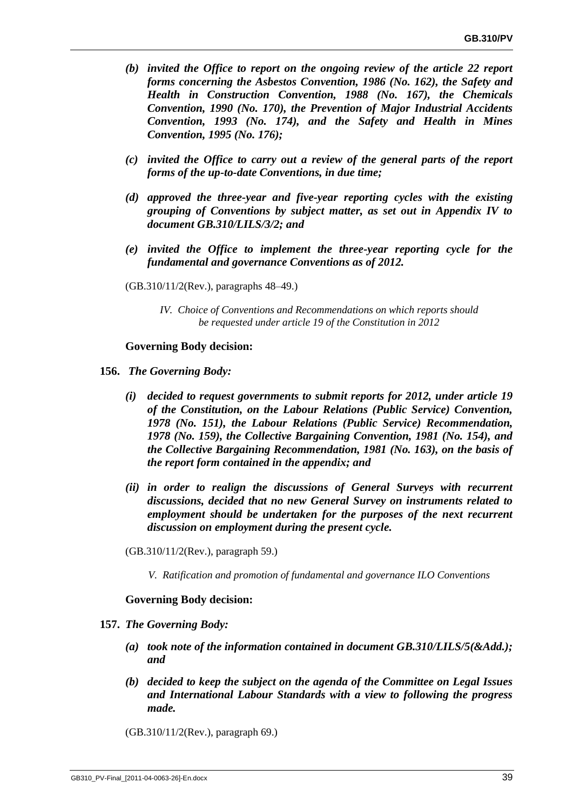- *(b) invited the Office to report on the ongoing review of the article 22 report forms concerning the Asbestos Convention, 1986 (No. 162), the Safety and Health in Construction Convention, 1988 (No. 167), the Chemicals Convention, 1990 (No. 170), the Prevention of Major Industrial Accidents Convention, 1993 (No. 174), and the Safety and Health in Mines Convention, 1995 (No. 176);*
- *(c) invited the Office to carry out a review of the general parts of the report forms of the up-to-date Conventions, in due time;*
- *(d) approved the three-year and five-year reporting cycles with the existing grouping of Conventions by subject matter, as set out in Appendix IV to document GB.310/LILS/3/2; and*
- *(e) invited the Office to implement the three-year reporting cycle for the fundamental and governance Conventions as of 2012.*
- (GB.310/11/2(Rev.), paragraphs 48–49.)
	- *IV. Choice of Conventions and Recommendations on which reports should be requested under article 19 of the Constitution in 2012*

### **Governing Body decision:**

- **156.** *The Governing Body:* 
	- *(i) decided to request governments to submit reports for 2012, under article 19 of the Constitution, on the Labour Relations (Public Service) Convention, 1978 (No. 151), the Labour Relations (Public Service) Recommendation, 1978 (No. 159), the Collective Bargaining Convention, 1981 (No. 154), and the Collective Bargaining Recommendation, 1981 (No. 163), on the basis of the report form contained in the appendix; and*
	- *(ii) in order to realign the discussions of General Surveys with recurrent discussions, decided that no new General Survey on instruments related to employment should be undertaken for the purposes of the next recurrent discussion on employment during the present cycle.*
	- (GB.310/11/2(Rev.), paragraph 59.)
		- *V. Ratification and promotion of fundamental and governance ILO Conventions*

- **157.** *The Governing Body:*
	- *(a) took note of the information contained in document GB.310/LILS/5(&Add.); and*
	- *(b) decided to keep the subject on the agenda of the Committee on Legal Issues and International Labour Standards with a view to following the progress made.*
	- (GB.310/11/2(Rev.), paragraph 69.)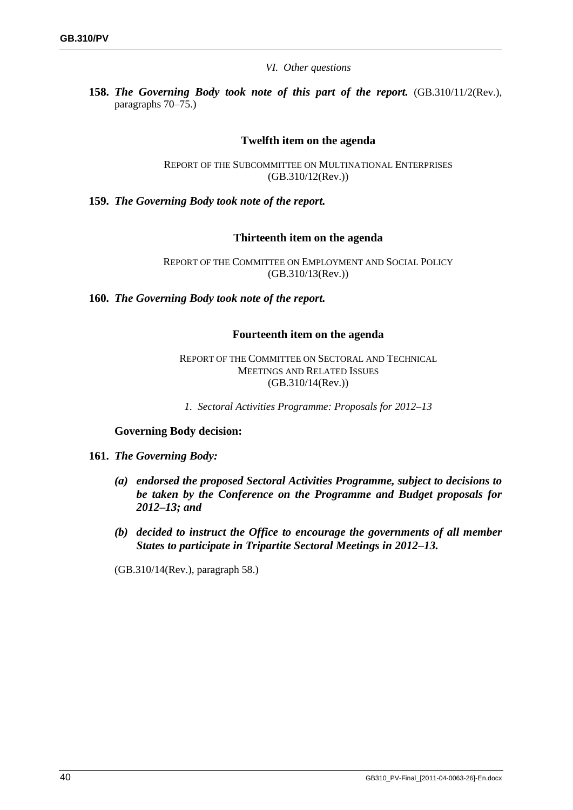*VI. Other questions*

**158.** *The Governing Body took note of this part of the report.* (GB.310/11/2(Rev.), paragraphs 70–75.)

## **Twelfth item on the agenda**

REPORT OF THE SUBCOMMITTEE ON MULTINATIONAL ENTERPRISES (GB.310/12(Rev.))

**159.** *The Governing Body took note of the report.*

**Thirteenth item on the agenda**

REPORT OF THE COMMITTEE ON EMPLOYMENT AND SOCIAL POLICY (GB.310/13(Rev.))

**160.** *The Governing Body took note of the report.*

### **Fourteenth item on the agenda**

REPORT OF THE COMMITTEE ON SECTORAL AND TECHNICAL MEETINGS AND RELATED ISSUES (GB.310/14(Rev.))

*1. Sectoral Activities Programme: Proposals for 2012–13*

### **Governing Body decision:**

#### **161.** *The Governing Body:*

- *(a) endorsed the proposed Sectoral Activities Programme, subject to decisions to be taken by the Conference on the Programme and Budget proposals for 2012–13; and*
- *(b) decided to instruct the Office to encourage the governments of all member States to participate in Tripartite Sectoral Meetings in 2012–13.*

(GB.310/14(Rev.), paragraph 58.)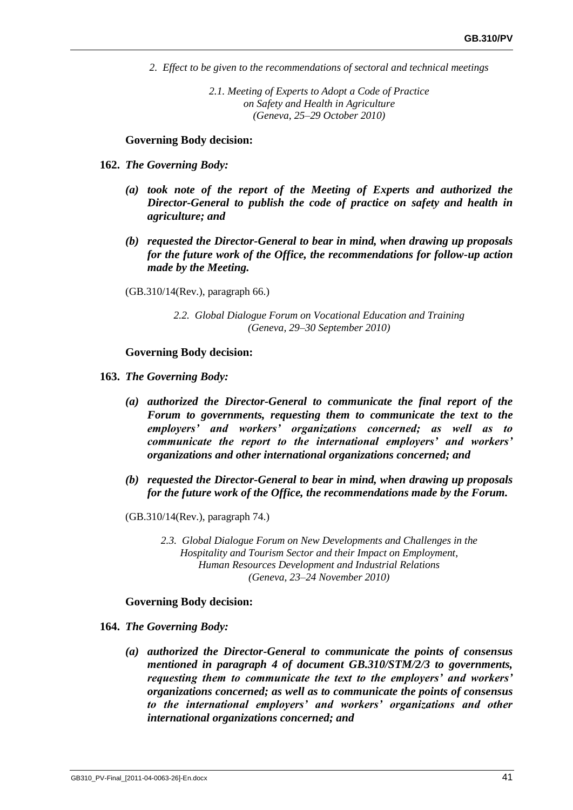*2. Effect to be given to the recommendations of sectoral and technical meetings*

*2.1. Meeting of Experts to Adopt a Code of Practice on Safety and Health in Agriculture (Geneva, 25–29 October 2010)*

### **Governing Body decision:**

- **162.** *The Governing Body:*
	- *(a) took note of the report of the Meeting of Experts and authorized the Director-General to publish the code of practice on safety and health in agriculture; and*
	- *(b) requested the Director-General to bear in mind, when drawing up proposals for the future work of the Office, the recommendations for follow-up action made by the Meeting.*
	- (GB.310/14(Rev.), paragraph 66.)
		- *2.2. Global Dialogue Forum on Vocational Education and Training (Geneva, 29–30 September 2010)*

### **Governing Body decision:**

- **163.** *The Governing Body:*
	- *(a) authorized the Director-General to communicate the final report of the Forum to governments, requesting them to communicate the text to the employers' and workers' organizations concerned; as well as to communicate the report to the international employers' and workers' organizations and other international organizations concerned; and*
	- *(b) requested the Director-General to bear in mind, when drawing up proposals for the future work of the Office, the recommendations made by the Forum.*
	- (GB.310/14(Rev.), paragraph 74.)
		- *2.3. Global Dialogue Forum on New Developments and Challenges in the Hospitality and Tourism Sector and their Impact on Employment, Human Resources Development and Industrial Relations (Geneva, 23–24 November 2010)*

- **164.** *The Governing Body:*
	- *(a) authorized the Director-General to communicate the points of consensus mentioned in paragraph 4 of document GB.310/STM/2/3 to governments, requesting them to communicate the text to the employers' and workers' organizations concerned; as well as to communicate the points of consensus to the international employers' and workers' organizations and other international organizations concerned; and*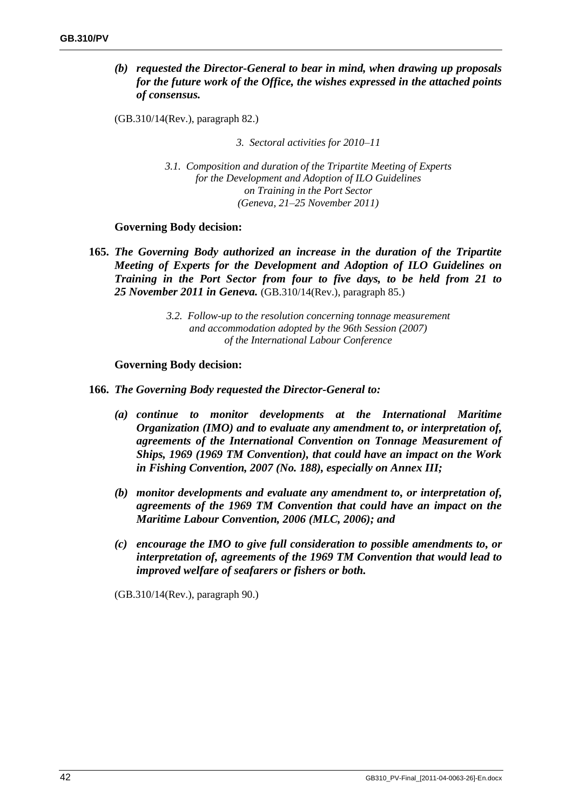# *(b) requested the Director-General to bear in mind, when drawing up proposals for the future work of the Office, the wishes expressed in the attached points of consensus.*

(GB.310/14(Rev.), paragraph 82.)

*3. Sectoral activities for 2010–11*

*3.1. Composition and duration of the Tripartite Meeting of Experts for the Development and Adoption of ILO Guidelines on Training in the Port Sector (Geneva, 21–25 November 2011)*

## **Governing Body decision:**

**165.** *The Governing Body authorized an increase in the duration of the Tripartite Meeting of Experts for the Development and Adoption of ILO Guidelines on Training in the Port Sector from four to five days, to be held from 21 to 25 November 2011 in Geneva.* (GB.310/14(Rev.), paragraph 85.)

> *3.2. Follow-up to the resolution concerning tonnage measurement and accommodation adopted by the 96th Session (2007) of the International Labour Conference*

## **Governing Body decision:**

- **166.** *The Governing Body requested the Director-General to:*
	- *(a) continue to monitor developments at the International Maritime Organization (IMO) and to evaluate any amendment to, or interpretation of, agreements of the International Convention on Tonnage Measurement of Ships, 1969 (1969 TM Convention), that could have an impact on the Work in Fishing Convention, 2007 (No. 188), especially on Annex III;*
	- *(b) monitor developments and evaluate any amendment to, or interpretation of, agreements of the 1969 TM Convention that could have an impact on the Maritime Labour Convention, 2006 (MLC, 2006); and*
	- *(c) encourage the IMO to give full consideration to possible amendments to, or interpretation of, agreements of the 1969 TM Convention that would lead to improved welfare of seafarers or fishers or both.*

(GB.310/14(Rev.), paragraph 90.)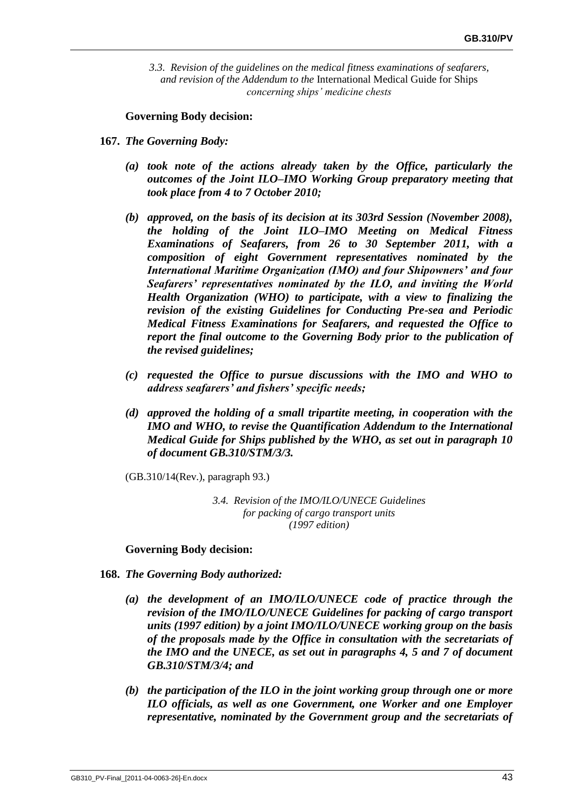*3.3. Revision of the guidelines on the medical fitness examinations of seafarers, and revision of the Addendum to the* International Medical Guide for Ships *concerning ships' medicine chests*

**Governing Body decision:**

- **167.** *The Governing Body:*
	- *(a) took note of the actions already taken by the Office, particularly the outcomes of the Joint ILO–IMO Working Group preparatory meeting that took place from 4 to 7 October 2010;*
	- *(b) approved, on the basis of its decision at its 303rd Session (November 2008), the holding of the Joint ILO–IMO Meeting on Medical Fitness Examinations of Seafarers, from 26 to 30 September 2011, with a composition of eight Government representatives nominated by the International Maritime Organization (IMO) and four Shipowners' and four Seafarers' representatives nominated by the ILO, and inviting the World Health Organization (WHO) to participate, with a view to finalizing the revision of the existing Guidelines for Conducting Pre-sea and Periodic Medical Fitness Examinations for Seafarers, and requested the Office to report the final outcome to the Governing Body prior to the publication of the revised guidelines;*
	- *(c) requested the Office to pursue discussions with the IMO and WHO to address seafarers' and fishers' specific needs;*
	- *(d) approved the holding of a small tripartite meeting, in cooperation with the IMO and WHO, to revise the Quantification Addendum to the International Medical Guide for Ships published by the WHO, as set out in paragraph 10 of document GB.310/STM/3/3.*

(GB.310/14(Rev.), paragraph 93.)

*3.4. Revision of the IMO/ILO/UNECE Guidelines for packing of cargo transport units (1997 edition)*

- **168.** *The Governing Body authorized:*
	- *(a) the development of an IMO/ILO/UNECE code of practice through the revision of the IMO/ILO/UNECE Guidelines for packing of cargo transport units (1997 edition) by a joint IMO/ILO/UNECE working group on the basis of the proposals made by the Office in consultation with the secretariats of the IMO and the UNECE, as set out in paragraphs 4, 5 and 7 of document GB.310/STM/3/4; and*
	- *(b) the participation of the ILO in the joint working group through one or more ILO officials, as well as one Government, one Worker and one Employer representative, nominated by the Government group and the secretariats of*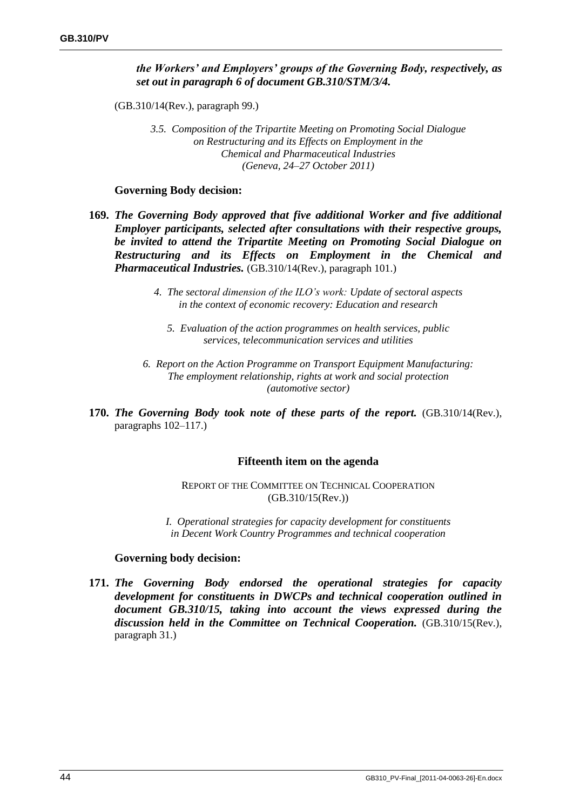# *the Workers' and Employers' groups of the Governing Body, respectively, as set out in paragraph 6 of document GB.310/STM/3/4.*

(GB.310/14(Rev.), paragraph 99.)

*3.5. Composition of the Tripartite Meeting on Promoting Social Dialogue on Restructuring and its Effects on Employment in the Chemical and Pharmaceutical Industries (Geneva, 24–27 October 2011)*

### **Governing Body decision:**

- **169.** *The Governing Body approved that five additional Worker and five additional Employer participants, selected after consultations with their respective groups, be invited to attend the Tripartite Meeting on Promoting Social Dialogue on Restructuring and its Effects on Employment in the Chemical and Pharmaceutical Industries.* (GB.310/14(Rev.), paragraph 101.)
	- *4. The sectoral dimension of the ILO's work: Update of sectoral aspects in the context of economic recovery: Education and research*
		- *5. Evaluation of the action programmes on health services, public services, telecommunication services and utilities*
	- *6. Report on the Action Programme on Transport Equipment Manufacturing: The employment relationship, rights at work and social protection (automotive sector)*
- **170.** *The Governing Body took note of these parts of the report.* (GB.310/14(Rev.), paragraphs 102–117.)

### **Fifteenth item on the agenda**

REPORT OF THE COMMITTEE ON TECHNICAL COOPERATION (GB.310/15(Rev.))

*I. Operational strategies for capacity development for constituents in Decent Work Country Programmes and technical cooperation*

### **Governing body decision:**

**171.** *The Governing Body endorsed the operational strategies for capacity development for constituents in DWCPs and technical cooperation outlined in document GB.310/15, taking into account the views expressed during the discussion held in the Committee on Technical Cooperation.* (GB.310/15(Rev.), paragraph 31.)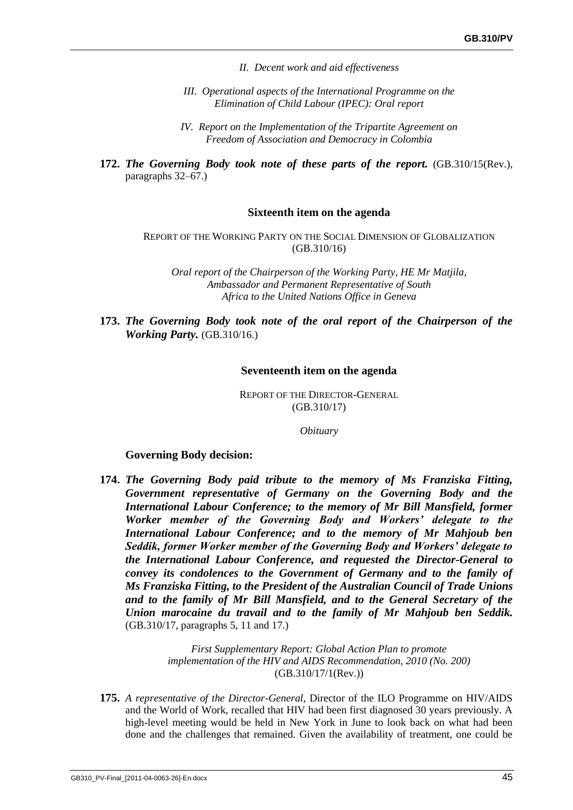- *II. Decent work and aid effectiveness*
- *III. Operational aspects of the International Programme on the Elimination of Child Labour (IPEC): Oral report*
- *IV. Report on the Implementation of the Tripartite Agreement on Freedom of Association and Democracy in Colombia*
- **172.** *The Governing Body took note of these parts of the report.* (GB.310/15(Rev.), paragraphs 32–67.)

### **Sixteenth item on the agenda**

REPORT OF THE WORKING PARTY ON THE SOCIAL DIMENSION OF GLOBALIZATION (GB.310/16)

*Oral report of the Chairperson of the Working Party, HE Mr Matjila, Ambassador and Permanent Representative of South Africa to the United Nations Office in Geneva*

**173.** *The Governing Body took note of the oral report of the Chairperson of the Working Party.* (GB.310/16.)

#### **Seventeenth item on the agenda**

REPORT OF THE DIRECTOR-GENERAL (GB.310/17)

*Obituary*

#### **Governing Body decision:**

**174.** *The Governing Body paid tribute to the memory of Ms Franziska Fitting, Government representative of Germany on the Governing Body and the International Labour Conference; to the memory of Mr Bill Mansfield, former Worker member of the Governing Body and Workers' delegate to the International Labour Conference; and to the memory of Mr Mahjoub ben Seddik, former Worker member of the Governing Body and Workers' delegate to the International Labour Conference, and requested the Director-General to convey its condolences to the Government of Germany and to the family of Ms Franziska Fitting, to the President of the Australian Council of Trade Unions and to the family of Mr Bill Mansfield, and to the General Secretary of the Union marocaine du travail and to the family of Mr Mahjoub ben Seddik.* (GB.310/17, paragraphs 5, 11 and 17.)

> *First Supplementary Report: Global Action Plan to promote implementation of the HIV and AIDS Recommendation, 2010 (No. 200)*  (GB.310/17/1(Rev.))

**175.** *A representative of the Director-General*, Director of the ILO Programme on HIV/AIDS and the World of Work, recalled that HIV had been first diagnosed 30 years previously. A high-level meeting would be held in New York in June to look back on what had been done and the challenges that remained. Given the availability of treatment, one could be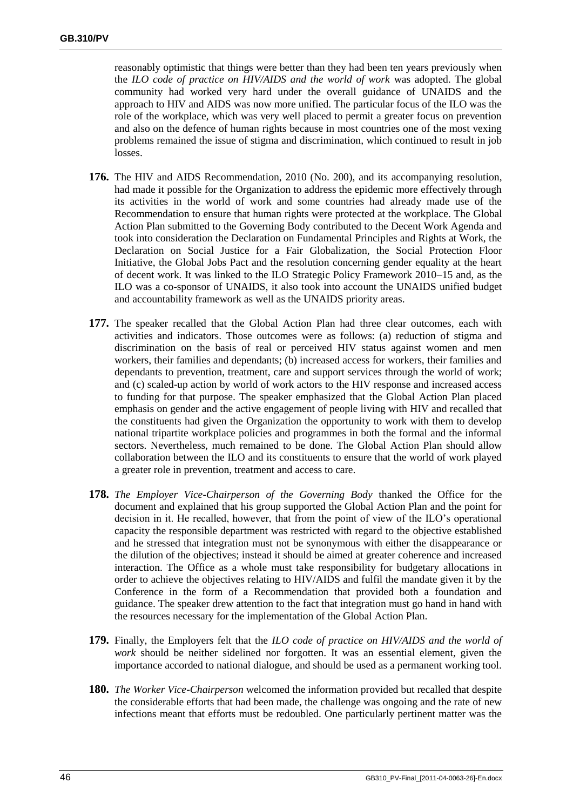reasonably optimistic that things were better than they had been ten years previously when the *ILO code of practice on HIV/AIDS and the world of work* was adopted. The global community had worked very hard under the overall guidance of UNAIDS and the approach to HIV and AIDS was now more unified. The particular focus of the ILO was the role of the workplace, which was very well placed to permit a greater focus on prevention and also on the defence of human rights because in most countries one of the most vexing problems remained the issue of stigma and discrimination, which continued to result in job losses.

- **176.** The HIV and AIDS Recommendation, 2010 (No. 200), and its accompanying resolution, had made it possible for the Organization to address the epidemic more effectively through its activities in the world of work and some countries had already made use of the Recommendation to ensure that human rights were protected at the workplace. The Global Action Plan submitted to the Governing Body contributed to the Decent Work Agenda and took into consideration the Declaration on Fundamental Principles and Rights at Work, the Declaration on Social Justice for a Fair Globalization, the Social Protection Floor Initiative, the Global Jobs Pact and the resolution concerning gender equality at the heart of decent work. It was linked to the ILO Strategic Policy Framework 2010–15 and, as the ILO was a co-sponsor of UNAIDS, it also took into account the UNAIDS unified budget and accountability framework as well as the UNAIDS priority areas.
- **177.** The speaker recalled that the Global Action Plan had three clear outcomes, each with activities and indicators. Those outcomes were as follows: (a) reduction of stigma and discrimination on the basis of real or perceived HIV status against women and men workers, their families and dependants; (b) increased access for workers, their families and dependants to prevention, treatment, care and support services through the world of work; and (c) scaled-up action by world of work actors to the HIV response and increased access to funding for that purpose. The speaker emphasized that the Global Action Plan placed emphasis on gender and the active engagement of people living with HIV and recalled that the constituents had given the Organization the opportunity to work with them to develop national tripartite workplace policies and programmes in both the formal and the informal sectors. Nevertheless, much remained to be done. The Global Action Plan should allow collaboration between the ILO and its constituents to ensure that the world of work played a greater role in prevention, treatment and access to care.
- **178.** *The Employer Vice-Chairperson of the Governing Body* thanked the Office for the document and explained that his group supported the Global Action Plan and the point for decision in it. He recalled, however, that from the point of view of the ILO's operational capacity the responsible department was restricted with regard to the objective established and he stressed that integration must not be synonymous with either the disappearance or the dilution of the objectives; instead it should be aimed at greater coherence and increased interaction. The Office as a whole must take responsibility for budgetary allocations in order to achieve the objectives relating to HIV/AIDS and fulfil the mandate given it by the Conference in the form of a Recommendation that provided both a foundation and guidance. The speaker drew attention to the fact that integration must go hand in hand with the resources necessary for the implementation of the Global Action Plan.
- **179.** Finally, the Employers felt that the *ILO code of practice on HIV/AIDS and the world of work* should be neither sidelined nor forgotten. It was an essential element, given the importance accorded to national dialogue, and should be used as a permanent working tool.
- **180.** *The Worker Vice-Chairperson* welcomed the information provided but recalled that despite the considerable efforts that had been made, the challenge was ongoing and the rate of new infections meant that efforts must be redoubled. One particularly pertinent matter was the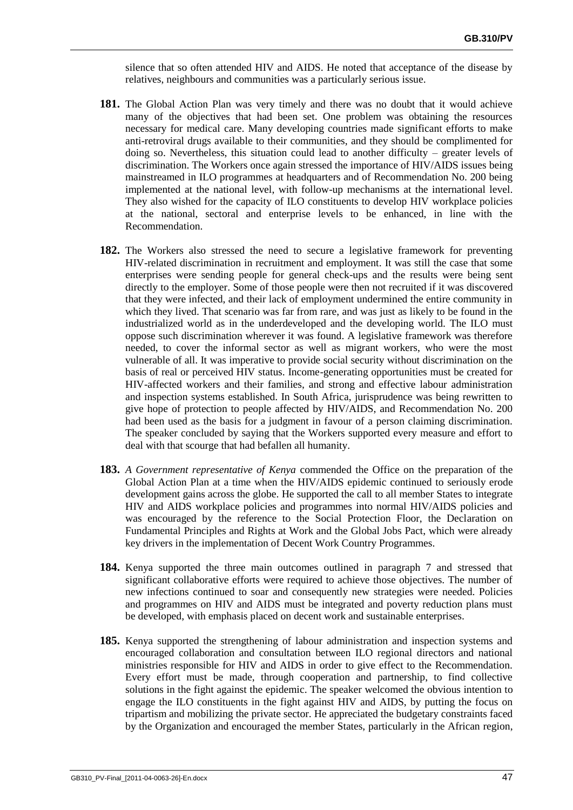silence that so often attended HIV and AIDS. He noted that acceptance of the disease by relatives, neighbours and communities was a particularly serious issue.

- **181.** The Global Action Plan was very timely and there was no doubt that it would achieve many of the objectives that had been set. One problem was obtaining the resources necessary for medical care. Many developing countries made significant efforts to make anti-retroviral drugs available to their communities, and they should be complimented for doing so. Nevertheless, this situation could lead to another difficulty – greater levels of discrimination. The Workers once again stressed the importance of HIV/AIDS issues being mainstreamed in ILO programmes at headquarters and of Recommendation No. 200 being implemented at the national level, with follow-up mechanisms at the international level. They also wished for the capacity of ILO constituents to develop HIV workplace policies at the national, sectoral and enterprise levels to be enhanced, in line with the Recommendation.
- **182.** The Workers also stressed the need to secure a legislative framework for preventing HIV-related discrimination in recruitment and employment. It was still the case that some enterprises were sending people for general check-ups and the results were being sent directly to the employer. Some of those people were then not recruited if it was discovered that they were infected, and their lack of employment undermined the entire community in which they lived. That scenario was far from rare, and was just as likely to be found in the industrialized world as in the underdeveloped and the developing world. The ILO must oppose such discrimination wherever it was found. A legislative framework was therefore needed, to cover the informal sector as well as migrant workers, who were the most vulnerable of all. It was imperative to provide social security without discrimination on the basis of real or perceived HIV status. Income-generating opportunities must be created for HIV-affected workers and their families, and strong and effective labour administration and inspection systems established. In South Africa, jurisprudence was being rewritten to give hope of protection to people affected by HIV/AIDS, and Recommendation No. 200 had been used as the basis for a judgment in favour of a person claiming discrimination. The speaker concluded by saying that the Workers supported every measure and effort to deal with that scourge that had befallen all humanity.
- **183.** *A Government representative of Kenya* commended the Office on the preparation of the Global Action Plan at a time when the HIV/AIDS epidemic continued to seriously erode development gains across the globe. He supported the call to all member States to integrate HIV and AIDS workplace policies and programmes into normal HIV/AIDS policies and was encouraged by the reference to the Social Protection Floor, the Declaration on Fundamental Principles and Rights at Work and the Global Jobs Pact, which were already key drivers in the implementation of Decent Work Country Programmes.
- **184.** Kenya supported the three main outcomes outlined in paragraph 7 and stressed that significant collaborative efforts were required to achieve those objectives. The number of new infections continued to soar and consequently new strategies were needed. Policies and programmes on HIV and AIDS must be integrated and poverty reduction plans must be developed, with emphasis placed on decent work and sustainable enterprises.
- **185.** Kenya supported the strengthening of labour administration and inspection systems and encouraged collaboration and consultation between ILO regional directors and national ministries responsible for HIV and AIDS in order to give effect to the Recommendation. Every effort must be made, through cooperation and partnership, to find collective solutions in the fight against the epidemic. The speaker welcomed the obvious intention to engage the ILO constituents in the fight against HIV and AIDS, by putting the focus on tripartism and mobilizing the private sector. He appreciated the budgetary constraints faced by the Organization and encouraged the member States, particularly in the African region,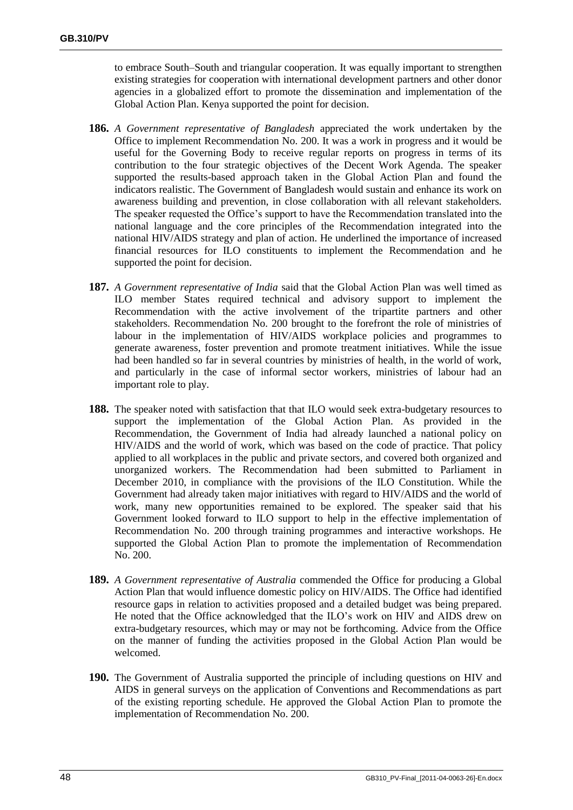to embrace South–South and triangular cooperation. It was equally important to strengthen existing strategies for cooperation with international development partners and other donor agencies in a globalized effort to promote the dissemination and implementation of the Global Action Plan. Kenya supported the point for decision.

- **186.** *A Government representative of Bangladesh* appreciated the work undertaken by the Office to implement Recommendation No. 200. It was a work in progress and it would be useful for the Governing Body to receive regular reports on progress in terms of its contribution to the four strategic objectives of the Decent Work Agenda. The speaker supported the results-based approach taken in the Global Action Plan and found the indicators realistic. The Government of Bangladesh would sustain and enhance its work on awareness building and prevention, in close collaboration with all relevant stakeholders. The speaker requested the Office's support to have the Recommendation translated into the national language and the core principles of the Recommendation integrated into the national HIV/AIDS strategy and plan of action. He underlined the importance of increased financial resources for ILO constituents to implement the Recommendation and he supported the point for decision.
- **187.** *A Government representative of India* said that the Global Action Plan was well timed as ILO member States required technical and advisory support to implement the Recommendation with the active involvement of the tripartite partners and other stakeholders. Recommendation No. 200 brought to the forefront the role of ministries of labour in the implementation of HIV/AIDS workplace policies and programmes to generate awareness, foster prevention and promote treatment initiatives. While the issue had been handled so far in several countries by ministries of health, in the world of work, and particularly in the case of informal sector workers, ministries of labour had an important role to play.
- **188.** The speaker noted with satisfaction that that ILO would seek extra-budgetary resources to support the implementation of the Global Action Plan. As provided in the Recommendation, the Government of India had already launched a national policy on HIV/AIDS and the world of work, which was based on the code of practice. That policy applied to all workplaces in the public and private sectors, and covered both organized and unorganized workers. The Recommendation had been submitted to Parliament in December 2010, in compliance with the provisions of the ILO Constitution. While the Government had already taken major initiatives with regard to HIV/AIDS and the world of work, many new opportunities remained to be explored. The speaker said that his Government looked forward to ILO support to help in the effective implementation of Recommendation No. 200 through training programmes and interactive workshops. He supported the Global Action Plan to promote the implementation of Recommendation No. 200.
- **189.** *A Government representative of Australia* commended the Office for producing a Global Action Plan that would influence domestic policy on HIV/AIDS. The Office had identified resource gaps in relation to activities proposed and a detailed budget was being prepared. He noted that the Office acknowledged that the ILO's work on HIV and AIDS drew on extra-budgetary resources, which may or may not be forthcoming. Advice from the Office on the manner of funding the activities proposed in the Global Action Plan would be welcomed.
- **190.** The Government of Australia supported the principle of including questions on HIV and AIDS in general surveys on the application of Conventions and Recommendations as part of the existing reporting schedule. He approved the Global Action Plan to promote the implementation of Recommendation No. 200.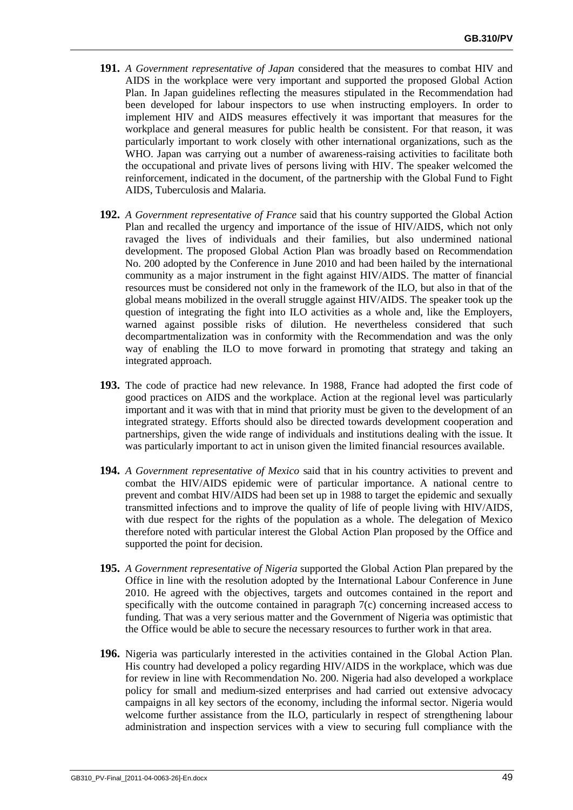- **191.** *A Government representative of Japan* considered that the measures to combat HIV and AIDS in the workplace were very important and supported the proposed Global Action Plan. In Japan guidelines reflecting the measures stipulated in the Recommendation had been developed for labour inspectors to use when instructing employers. In order to implement HIV and AIDS measures effectively it was important that measures for the workplace and general measures for public health be consistent. For that reason, it was particularly important to work closely with other international organizations, such as the WHO. Japan was carrying out a number of awareness-raising activities to facilitate both the occupational and private lives of persons living with HIV. The speaker welcomed the reinforcement, indicated in the document, of the partnership with the Global Fund to Fight AIDS, Tuberculosis and Malaria.
- **192.** *A Government representative of France* said that his country supported the Global Action Plan and recalled the urgency and importance of the issue of HIV/AIDS, which not only ravaged the lives of individuals and their families, but also undermined national development. The proposed Global Action Plan was broadly based on Recommendation No. 200 adopted by the Conference in June 2010 and had been hailed by the international community as a major instrument in the fight against HIV/AIDS. The matter of financial resources must be considered not only in the framework of the ILO, but also in that of the global means mobilized in the overall struggle against HIV/AIDS. The speaker took up the question of integrating the fight into ILO activities as a whole and, like the Employers, warned against possible risks of dilution. He nevertheless considered that such decompartmentalization was in conformity with the Recommendation and was the only way of enabling the ILO to move forward in promoting that strategy and taking an integrated approach.
- **193.** The code of practice had new relevance. In 1988, France had adopted the first code of good practices on AIDS and the workplace. Action at the regional level was particularly important and it was with that in mind that priority must be given to the development of an integrated strategy. Efforts should also be directed towards development cooperation and partnerships, given the wide range of individuals and institutions dealing with the issue. It was particularly important to act in unison given the limited financial resources available.
- **194.** *A Government representative of Mexico* said that in his country activities to prevent and combat the HIV/AIDS epidemic were of particular importance. A national centre to prevent and combat HIV/AIDS had been set up in 1988 to target the epidemic and sexually transmitted infections and to improve the quality of life of people living with HIV/AIDS, with due respect for the rights of the population as a whole. The delegation of Mexico therefore noted with particular interest the Global Action Plan proposed by the Office and supported the point for decision.
- **195.** *A Government representative of Nigeria* supported the Global Action Plan prepared by the Office in line with the resolution adopted by the International Labour Conference in June 2010. He agreed with the objectives, targets and outcomes contained in the report and specifically with the outcome contained in paragraph 7(c) concerning increased access to funding. That was a very serious matter and the Government of Nigeria was optimistic that the Office would be able to secure the necessary resources to further work in that area.
- **196.** Nigeria was particularly interested in the activities contained in the Global Action Plan. His country had developed a policy regarding HIV/AIDS in the workplace, which was due for review in line with Recommendation No. 200. Nigeria had also developed a workplace policy for small and medium-sized enterprises and had carried out extensive advocacy campaigns in all key sectors of the economy, including the informal sector. Nigeria would welcome further assistance from the ILO, particularly in respect of strengthening labour administration and inspection services with a view to securing full compliance with the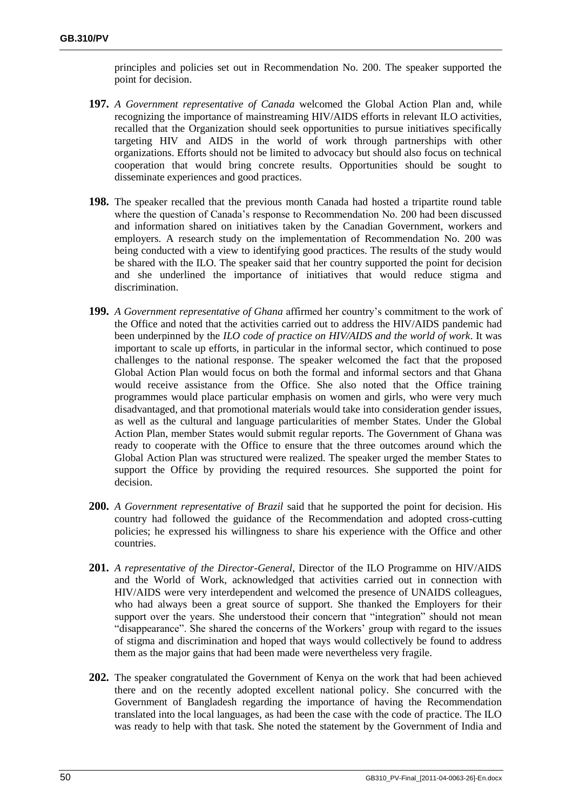principles and policies set out in Recommendation No. 200. The speaker supported the point for decision.

- **197.** *A Government representative of Canada* welcomed the Global Action Plan and, while recognizing the importance of mainstreaming HIV/AIDS efforts in relevant ILO activities, recalled that the Organization should seek opportunities to pursue initiatives specifically targeting HIV and AIDS in the world of work through partnerships with other organizations. Efforts should not be limited to advocacy but should also focus on technical cooperation that would bring concrete results. Opportunities should be sought to disseminate experiences and good practices.
- **198.** The speaker recalled that the previous month Canada had hosted a tripartite round table where the question of Canada's response to Recommendation No. 200 had been discussed and information shared on initiatives taken by the Canadian Government, workers and employers. A research study on the implementation of Recommendation No. 200 was being conducted with a view to identifying good practices. The results of the study would be shared with the ILO. The speaker said that her country supported the point for decision and she underlined the importance of initiatives that would reduce stigma and discrimination.
- **199.** *A Government representative of Ghana* affirmed her country's commitment to the work of the Office and noted that the activities carried out to address the HIV/AIDS pandemic had been underpinned by the *ILO code of practice on HIV/AIDS and the world of work*. It was important to scale up efforts, in particular in the informal sector, which continued to pose challenges to the national response. The speaker welcomed the fact that the proposed Global Action Plan would focus on both the formal and informal sectors and that Ghana would receive assistance from the Office. She also noted that the Office training programmes would place particular emphasis on women and girls, who were very much disadvantaged, and that promotional materials would take into consideration gender issues, as well as the cultural and language particularities of member States. Under the Global Action Plan, member States would submit regular reports. The Government of Ghana was ready to cooperate with the Office to ensure that the three outcomes around which the Global Action Plan was structured were realized. The speaker urged the member States to support the Office by providing the required resources. She supported the point for decision.
- **200.** *A Government representative of Brazil* said that he supported the point for decision. His country had followed the guidance of the Recommendation and adopted cross-cutting policies; he expressed his willingness to share his experience with the Office and other countries.
- **201.** *A representative of the Director-General*, Director of the ILO Programme on HIV/AIDS and the World of Work, acknowledged that activities carried out in connection with HIV/AIDS were very interdependent and welcomed the presence of UNAIDS colleagues, who had always been a great source of support. She thanked the Employers for their support over the years. She understood their concern that "integration" should not mean "disappearance". She shared the concerns of the Workers' group with regard to the issues of stigma and discrimination and hoped that ways would collectively be found to address them as the major gains that had been made were nevertheless very fragile.
- **202.** The speaker congratulated the Government of Kenya on the work that had been achieved there and on the recently adopted excellent national policy. She concurred with the Government of Bangladesh regarding the importance of having the Recommendation translated into the local languages, as had been the case with the code of practice. The ILO was ready to help with that task. She noted the statement by the Government of India and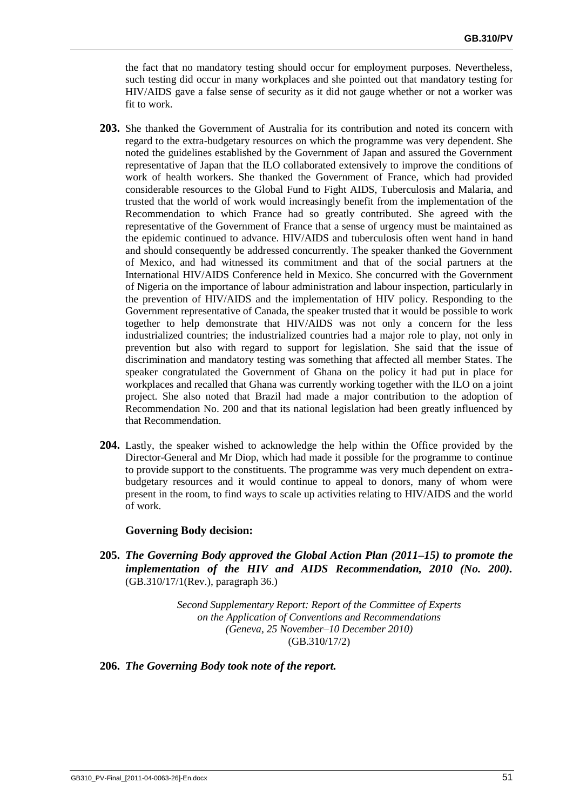the fact that no mandatory testing should occur for employment purposes. Nevertheless, such testing did occur in many workplaces and she pointed out that mandatory testing for HIV/AIDS gave a false sense of security as it did not gauge whether or not a worker was fit to work.

- **203.** She thanked the Government of Australia for its contribution and noted its concern with regard to the extra-budgetary resources on which the programme was very dependent. She noted the guidelines established by the Government of Japan and assured the Government representative of Japan that the ILO collaborated extensively to improve the conditions of work of health workers. She thanked the Government of France, which had provided considerable resources to the Global Fund to Fight AIDS, Tuberculosis and Malaria, and trusted that the world of work would increasingly benefit from the implementation of the Recommendation to which France had so greatly contributed. She agreed with the representative of the Government of France that a sense of urgency must be maintained as the epidemic continued to advance. HIV/AIDS and tuberculosis often went hand in hand and should consequently be addressed concurrently. The speaker thanked the Government of Mexico, and had witnessed its commitment and that of the social partners at the International HIV/AIDS Conference held in Mexico. She concurred with the Government of Nigeria on the importance of labour administration and labour inspection, particularly in the prevention of HIV/AIDS and the implementation of HIV policy. Responding to the Government representative of Canada, the speaker trusted that it would be possible to work together to help demonstrate that HIV/AIDS was not only a concern for the less industrialized countries; the industrialized countries had a major role to play, not only in prevention but also with regard to support for legislation. She said that the issue of discrimination and mandatory testing was something that affected all member States. The speaker congratulated the Government of Ghana on the policy it had put in place for workplaces and recalled that Ghana was currently working together with the ILO on a joint project. She also noted that Brazil had made a major contribution to the adoption of Recommendation No. 200 and that its national legislation had been greatly influenced by that Recommendation.
- **204.** Lastly, the speaker wished to acknowledge the help within the Office provided by the Director-General and Mr Diop, which had made it possible for the programme to continue to provide support to the constituents. The programme was very much dependent on extrabudgetary resources and it would continue to appeal to donors, many of whom were present in the room, to find ways to scale up activities relating to HIV/AIDS and the world of work.

# **Governing Body decision:**

**205.** *The Governing Body approved the Global Action Plan (2011–15) to promote the implementation of the HIV and AIDS Recommendation, 2010 (No. 200).* (GB.310/17/1(Rev.), paragraph 36.)

> *Second Supplementary Report: Report of the Committee of Experts on the Application of Conventions and Recommendations (Geneva, 25 November–10 December 2010)* (GB.310/17/2)

# **206.** *The Governing Body took note of the report.*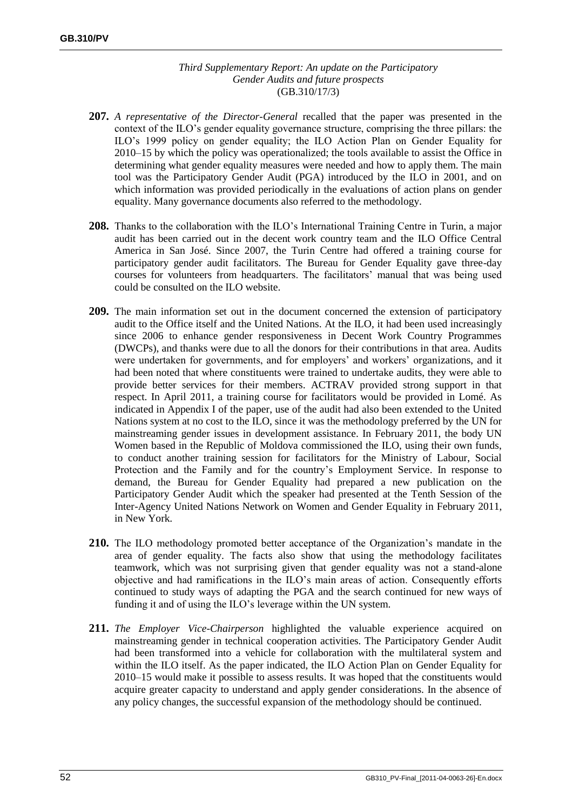## *Third Supplementary Report: An update on the Participatory Gender Audits and future prospects* (GB.310/17/3)

- **207.** *A representative of the Director-General* recalled that the paper was presented in the context of the ILO's gender equality governance structure, comprising the three pillars: the ILO's 1999 policy on gender equality; the ILO Action Plan on Gender Equality for 2010–15 by which the policy was operationalized; the tools available to assist the Office in determining what gender equality measures were needed and how to apply them. The main tool was the Participatory Gender Audit (PGA) introduced by the ILO in 2001, and on which information was provided periodically in the evaluations of action plans on gender equality. Many governance documents also referred to the methodology.
- **208.** Thanks to the collaboration with the ILO's International Training Centre in Turin, a major audit has been carried out in the decent work country team and the ILO Office Central America in San José. Since 2007, the Turin Centre had offered a training course for participatory gender audit facilitators. The Bureau for Gender Equality gave three-day courses for volunteers from headquarters. The facilitators' manual that was being used could be consulted on the ILO website.
- **209.** The main information set out in the document concerned the extension of participatory audit to the Office itself and the United Nations. At the ILO, it had been used increasingly since 2006 to enhance gender responsiveness in Decent Work Country Programmes (DWCPs), and thanks were due to all the donors for their contributions in that area. Audits were undertaken for governments, and for employers' and workers' organizations, and it had been noted that where constituents were trained to undertake audits, they were able to provide better services for their members. ACTRAV provided strong support in that respect. In April 2011, a training course for facilitators would be provided in Lomé. As indicated in Appendix I of the paper, use of the audit had also been extended to the United Nations system at no cost to the ILO, since it was the methodology preferred by the UN for mainstreaming gender issues in development assistance. In February 2011, the body UN Women based in the Republic of Moldova commissioned the ILO, using their own funds, to conduct another training session for facilitators for the Ministry of Labour, Social Protection and the Family and for the country's Employment Service. In response to demand, the Bureau for Gender Equality had prepared a new publication on the Participatory Gender Audit which the speaker had presented at the Tenth Session of the Inter-Agency United Nations Network on Women and Gender Equality in February 2011, in New York.
- **210.** The ILO methodology promoted better acceptance of the Organization's mandate in the area of gender equality. The facts also show that using the methodology facilitates teamwork, which was not surprising given that gender equality was not a stand-alone objective and had ramifications in the ILO's main areas of action. Consequently efforts continued to study ways of adapting the PGA and the search continued for new ways of funding it and of using the ILO's leverage within the UN system.
- **211.** *The Employer Vice-Chairperson* highlighted the valuable experience acquired on mainstreaming gender in technical cooperation activities. The Participatory Gender Audit had been transformed into a vehicle for collaboration with the multilateral system and within the ILO itself. As the paper indicated, the ILO Action Plan on Gender Equality for 2010–15 would make it possible to assess results. It was hoped that the constituents would acquire greater capacity to understand and apply gender considerations. In the absence of any policy changes, the successful expansion of the methodology should be continued.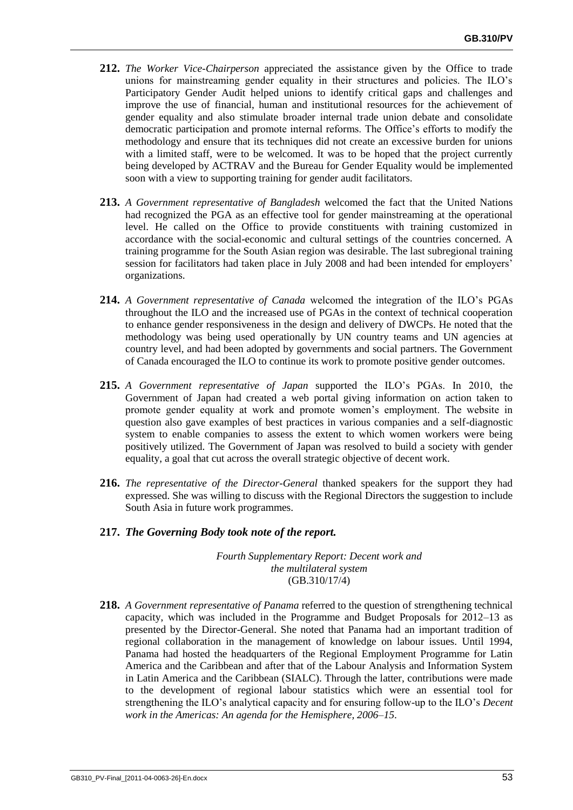- **212.** *The Worker Vice-Chairperson* appreciated the assistance given by the Office to trade unions for mainstreaming gender equality in their structures and policies. The ILO's Participatory Gender Audit helped unions to identify critical gaps and challenges and improve the use of financial, human and institutional resources for the achievement of gender equality and also stimulate broader internal trade union debate and consolidate democratic participation and promote internal reforms. The Office's efforts to modify the methodology and ensure that its techniques did not create an excessive burden for unions with a limited staff, were to be welcomed. It was to be hoped that the project currently being developed by ACTRAV and the Bureau for Gender Equality would be implemented soon with a view to supporting training for gender audit facilitators.
- **213.** *A Government representative of Bangladesh* welcomed the fact that the United Nations had recognized the PGA as an effective tool for gender mainstreaming at the operational level. He called on the Office to provide constituents with training customized in accordance with the social-economic and cultural settings of the countries concerned. A training programme for the South Asian region was desirable. The last subregional training session for facilitators had taken place in July 2008 and had been intended for employers' organizations.
- **214.** *A Government representative of Canada* welcomed the integration of the ILO's PGAs throughout the ILO and the increased use of PGAs in the context of technical cooperation to enhance gender responsiveness in the design and delivery of DWCPs. He noted that the methodology was being used operationally by UN country teams and UN agencies at country level, and had been adopted by governments and social partners. The Government of Canada encouraged the ILO to continue its work to promote positive gender outcomes.
- **215.** *A Government representative of Japan* supported the ILO's PGAs. In 2010, the Government of Japan had created a web portal giving information on action taken to promote gender equality at work and promote women's employment. The website in question also gave examples of best practices in various companies and a self-diagnostic system to enable companies to assess the extent to which women workers were being positively utilized. The Government of Japan was resolved to build a society with gender equality, a goal that cut across the overall strategic objective of decent work.
- **216.** *The representative of the Director-General* thanked speakers for the support they had expressed. She was willing to discuss with the Regional Directors the suggestion to include South Asia in future work programmes.

# **217.** *The Governing Body took note of the report.*

*Fourth Supplementary Report: Decent work and the multilateral system* (GB.310/17/4)

**218.** *A Government representative of Panama* referred to the question of strengthening technical capacity, which was included in the Programme and Budget Proposals for 2012–13 as presented by the Director-General. She noted that Panama had an important tradition of regional collaboration in the management of knowledge on labour issues. Until 1994, Panama had hosted the headquarters of the Regional Employment Programme for Latin America and the Caribbean and after that of the Labour Analysis and Information System in Latin America and the Caribbean (SIALC). Through the latter, contributions were made to the development of regional labour statistics which were an essential tool for strengthening the ILO's analytical capacity and for ensuring follow-up to the ILO's *Decent work in the Americas: An agenda for the Hemisphere, 2006–15*.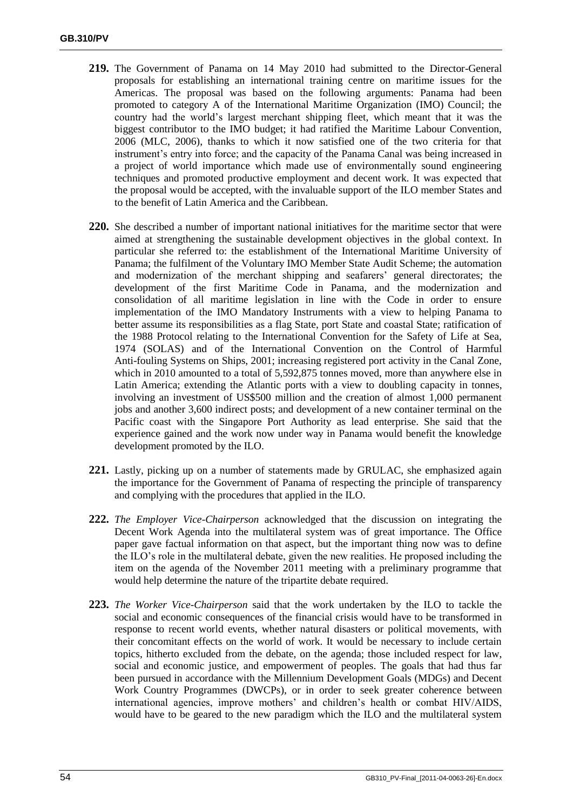- **219.** The Government of Panama on 14 May 2010 had submitted to the Director-General proposals for establishing an international training centre on maritime issues for the Americas. The proposal was based on the following arguments: Panama had been promoted to category A of the International Maritime Organization (IMO) Council; the country had the world's largest merchant shipping fleet, which meant that it was the biggest contributor to the IMO budget; it had ratified the Maritime Labour Convention, 2006 (MLC, 2006), thanks to which it now satisfied one of the two criteria for that instrument's entry into force; and the capacity of the Panama Canal was being increased in a project of world importance which made use of environmentally sound engineering techniques and promoted productive employment and decent work. It was expected that the proposal would be accepted, with the invaluable support of the ILO member States and to the benefit of Latin America and the Caribbean.
- **220.** She described a number of important national initiatives for the maritime sector that were aimed at strengthening the sustainable development objectives in the global context. In particular she referred to: the establishment of the International Maritime University of Panama; the fulfilment of the Voluntary IMO Member State Audit Scheme; the automation and modernization of the merchant shipping and seafarers' general directorates; the development of the first Maritime Code in Panama, and the modernization and consolidation of all maritime legislation in line with the Code in order to ensure implementation of the IMO Mandatory Instruments with a view to helping Panama to better assume its responsibilities as a flag State, port State and coastal State; ratification of the 1988 Protocol relating to the International Convention for the Safety of Life at Sea, 1974 (SOLAS) and of the International Convention on the Control of Harmful Anti-fouling Systems on Ships, 2001; increasing registered port activity in the Canal Zone, which in 2010 amounted to a total of 5,592,875 tonnes moved, more than anywhere else in Latin America; extending the Atlantic ports with a view to doubling capacity in tonnes, involving an investment of US\$500 million and the creation of almost 1,000 permanent jobs and another 3,600 indirect posts; and development of a new container terminal on the Pacific coast with the Singapore Port Authority as lead enterprise. She said that the experience gained and the work now under way in Panama would benefit the knowledge development promoted by the ILO.
- **221.** Lastly, picking up on a number of statements made by GRULAC, she emphasized again the importance for the Government of Panama of respecting the principle of transparency and complying with the procedures that applied in the ILO.
- **222.** *The Employer Vice-Chairperson* acknowledged that the discussion on integrating the Decent Work Agenda into the multilateral system was of great importance. The Office paper gave factual information on that aspect, but the important thing now was to define the ILO's role in the multilateral debate, given the new realities. He proposed including the item on the agenda of the November 2011 meeting with a preliminary programme that would help determine the nature of the tripartite debate required.
- **223.** *The Worker Vice-Chairperson* said that the work undertaken by the ILO to tackle the social and economic consequences of the financial crisis would have to be transformed in response to recent world events, whether natural disasters or political movements, with their concomitant effects on the world of work. It would be necessary to include certain topics, hitherto excluded from the debate, on the agenda; those included respect for law, social and economic justice, and empowerment of peoples. The goals that had thus far been pursued in accordance with the Millennium Development Goals (MDGs) and Decent Work Country Programmes (DWCPs), or in order to seek greater coherence between international agencies, improve mothers' and children's health or combat HIV/AIDS, would have to be geared to the new paradigm which the ILO and the multilateral system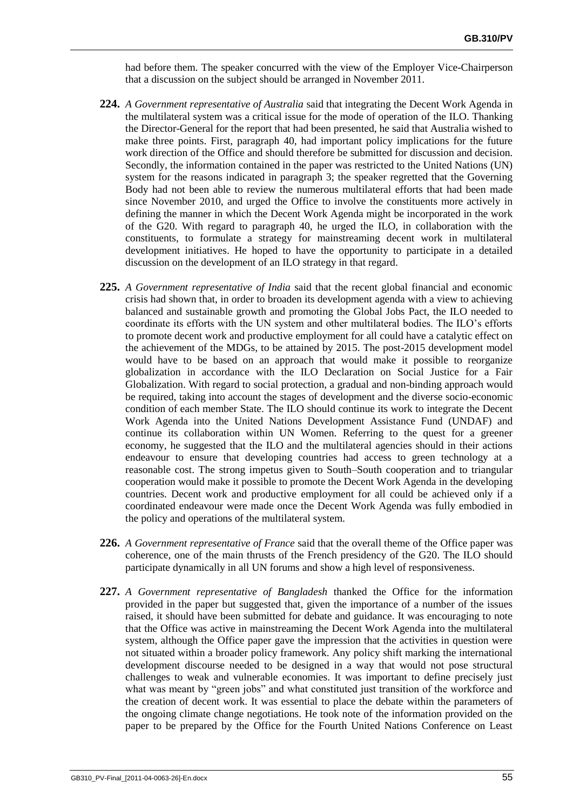had before them. The speaker concurred with the view of the Employer Vice-Chairperson that a discussion on the subject should be arranged in November 2011.

- **224.** *A Government representative of Australia* said that integrating the Decent Work Agenda in the multilateral system was a critical issue for the mode of operation of the ILO. Thanking the Director-General for the report that had been presented, he said that Australia wished to make three points. First, paragraph 40, had important policy implications for the future work direction of the Office and should therefore be submitted for discussion and decision. Secondly, the information contained in the paper was restricted to the United Nations (UN) system for the reasons indicated in paragraph 3; the speaker regretted that the Governing Body had not been able to review the numerous multilateral efforts that had been made since November 2010, and urged the Office to involve the constituents more actively in defining the manner in which the Decent Work Agenda might be incorporated in the work of the G20. With regard to paragraph 40, he urged the ILO, in collaboration with the constituents, to formulate a strategy for mainstreaming decent work in multilateral development initiatives. He hoped to have the opportunity to participate in a detailed discussion on the development of an ILO strategy in that regard.
- **225.** *A Government representative of India* said that the recent global financial and economic crisis had shown that, in order to broaden its development agenda with a view to achieving balanced and sustainable growth and promoting the Global Jobs Pact, the ILO needed to coordinate its efforts with the UN system and other multilateral bodies. The ILO's efforts to promote decent work and productive employment for all could have a catalytic effect on the achievement of the MDGs, to be attained by 2015. The post-2015 development model would have to be based on an approach that would make it possible to reorganize globalization in accordance with the ILO Declaration on Social Justice for a Fair Globalization. With regard to social protection, a gradual and non-binding approach would be required, taking into account the stages of development and the diverse socio-economic condition of each member State. The ILO should continue its work to integrate the Decent Work Agenda into the United Nations Development Assistance Fund (UNDAF) and continue its collaboration within UN Women. Referring to the quest for a greener economy, he suggested that the ILO and the multilateral agencies should in their actions endeavour to ensure that developing countries had access to green technology at a reasonable cost. The strong impetus given to South–South cooperation and to triangular cooperation would make it possible to promote the Decent Work Agenda in the developing countries. Decent work and productive employment for all could be achieved only if a coordinated endeavour were made once the Decent Work Agenda was fully embodied in the policy and operations of the multilateral system.
- **226.** *A Government representative of France* said that the overall theme of the Office paper was coherence, one of the main thrusts of the French presidency of the G20. The ILO should participate dynamically in all UN forums and show a high level of responsiveness.
- **227.** *A Government representative of Bangladesh* thanked the Office for the information provided in the paper but suggested that, given the importance of a number of the issues raised, it should have been submitted for debate and guidance. It was encouraging to note that the Office was active in mainstreaming the Decent Work Agenda into the multilateral system, although the Office paper gave the impression that the activities in question were not situated within a broader policy framework. Any policy shift marking the international development discourse needed to be designed in a way that would not pose structural challenges to weak and vulnerable economies. It was important to define precisely just what was meant by "green jobs" and what constituted just transition of the workforce and the creation of decent work. It was essential to place the debate within the parameters of the ongoing climate change negotiations. He took note of the information provided on the paper to be prepared by the Office for the Fourth United Nations Conference on Least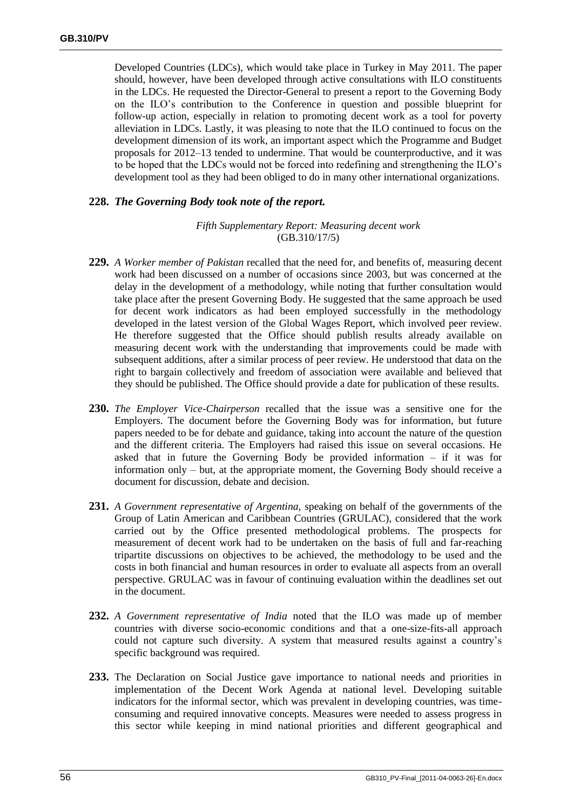Developed Countries (LDCs), which would take place in Turkey in May 2011. The paper should, however, have been developed through active consultations with ILO constituents in the LDCs. He requested the Director-General to present a report to the Governing Body on the ILO's contribution to the Conference in question and possible blueprint for follow-up action, especially in relation to promoting decent work as a tool for poverty alleviation in LDCs. Lastly, it was pleasing to note that the ILO continued to focus on the development dimension of its work, an important aspect which the Programme and Budget proposals for 2012–13 tended to undermine. That would be counterproductive, and it was to be hoped that the LDCs would not be forced into redefining and strengthening the ILO's development tool as they had been obliged to do in many other international organizations.

# **228.** *The Governing Body took note of the report.*

## *Fifth Supplementary Report: Measuring decent work* (GB.310/17/5)

- **229.** *A Worker member of Pakistan* recalled that the need for, and benefits of, measuring decent work had been discussed on a number of occasions since 2003, but was concerned at the delay in the development of a methodology, while noting that further consultation would take place after the present Governing Body. He suggested that the same approach be used for decent work indicators as had been employed successfully in the methodology developed in the latest version of the Global Wages Report, which involved peer review. He therefore suggested that the Office should publish results already available on measuring decent work with the understanding that improvements could be made with subsequent additions, after a similar process of peer review. He understood that data on the right to bargain collectively and freedom of association were available and believed that they should be published. The Office should provide a date for publication of these results.
- **230.** *The Employer Vice-Chairperson* recalled that the issue was a sensitive one for the Employers. The document before the Governing Body was for information, but future papers needed to be for debate and guidance, taking into account the nature of the question and the different criteria. The Employers had raised this issue on several occasions. He asked that in future the Governing Body be provided information – if it was for information only – but, at the appropriate moment, the Governing Body should receive a document for discussion, debate and decision.
- **231.** *A Government representative of Argentina,* speaking on behalf of the governments of the Group of Latin American and Caribbean Countries (GRULAC), considered that the work carried out by the Office presented methodological problems. The prospects for measurement of decent work had to be undertaken on the basis of full and far-reaching tripartite discussions on objectives to be achieved, the methodology to be used and the costs in both financial and human resources in order to evaluate all aspects from an overall perspective. GRULAC was in favour of continuing evaluation within the deadlines set out in the document.
- **232.** *A Government representative of India* noted that the ILO was made up of member countries with diverse socio-economic conditions and that a one-size-fits-all approach could not capture such diversity. A system that measured results against a country's specific background was required.
- **233.** The Declaration on Social Justice gave importance to national needs and priorities in implementation of the Decent Work Agenda at national level. Developing suitable indicators for the informal sector, which was prevalent in developing countries, was timeconsuming and required innovative concepts. Measures were needed to assess progress in this sector while keeping in mind national priorities and different geographical and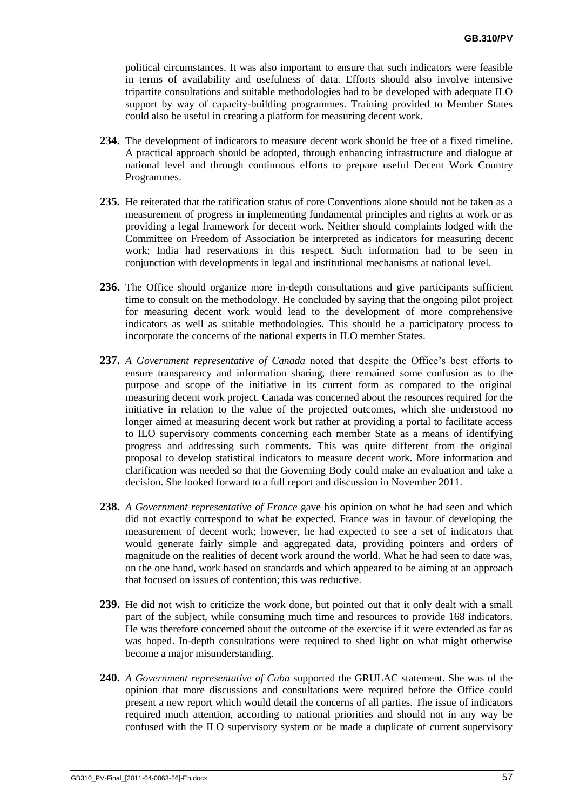political circumstances. It was also important to ensure that such indicators were feasible in terms of availability and usefulness of data. Efforts should also involve intensive tripartite consultations and suitable methodologies had to be developed with adequate ILO support by way of capacity-building programmes. Training provided to Member States could also be useful in creating a platform for measuring decent work.

- **234.** The development of indicators to measure decent work should be free of a fixed timeline. A practical approach should be adopted, through enhancing infrastructure and dialogue at national level and through continuous efforts to prepare useful Decent Work Country Programmes.
- **235.** He reiterated that the ratification status of core Conventions alone should not be taken as a measurement of progress in implementing fundamental principles and rights at work or as providing a legal framework for decent work. Neither should complaints lodged with the Committee on Freedom of Association be interpreted as indicators for measuring decent work: India had reservations in this respect. Such information had to be seen in conjunction with developments in legal and institutional mechanisms at national level.
- 236. The Office should organize more in-depth consultations and give participants sufficient time to consult on the methodology. He concluded by saying that the ongoing pilot project for measuring decent work would lead to the development of more comprehensive indicators as well as suitable methodologies. This should be a participatory process to incorporate the concerns of the national experts in ILO member States.
- **237.** *A Government representative of Canada* noted that despite the Office's best efforts to ensure transparency and information sharing, there remained some confusion as to the purpose and scope of the initiative in its current form as compared to the original measuring decent work project. Canada was concerned about the resources required for the initiative in relation to the value of the projected outcomes, which she understood no longer aimed at measuring decent work but rather at providing a portal to facilitate access to ILO supervisory comments concerning each member State as a means of identifying progress and addressing such comments. This was quite different from the original proposal to develop statistical indicators to measure decent work. More information and clarification was needed so that the Governing Body could make an evaluation and take a decision. She looked forward to a full report and discussion in November 2011.
- **238.** *A Government representative of France* gave his opinion on what he had seen and which did not exactly correspond to what he expected. France was in favour of developing the measurement of decent work; however, he had expected to see a set of indicators that would generate fairly simple and aggregated data, providing pointers and orders of magnitude on the realities of decent work around the world. What he had seen to date was, on the one hand, work based on standards and which appeared to be aiming at an approach that focused on issues of contention; this was reductive.
- **239.** He did not wish to criticize the work done, but pointed out that it only dealt with a small part of the subject, while consuming much time and resources to provide 168 indicators. He was therefore concerned about the outcome of the exercise if it were extended as far as was hoped. In-depth consultations were required to shed light on what might otherwise become a major misunderstanding.
- **240.** *A Government representative of Cuba* supported the GRULAC statement. She was of the opinion that more discussions and consultations were required before the Office could present a new report which would detail the concerns of all parties. The issue of indicators required much attention, according to national priorities and should not in any way be confused with the ILO supervisory system or be made a duplicate of current supervisory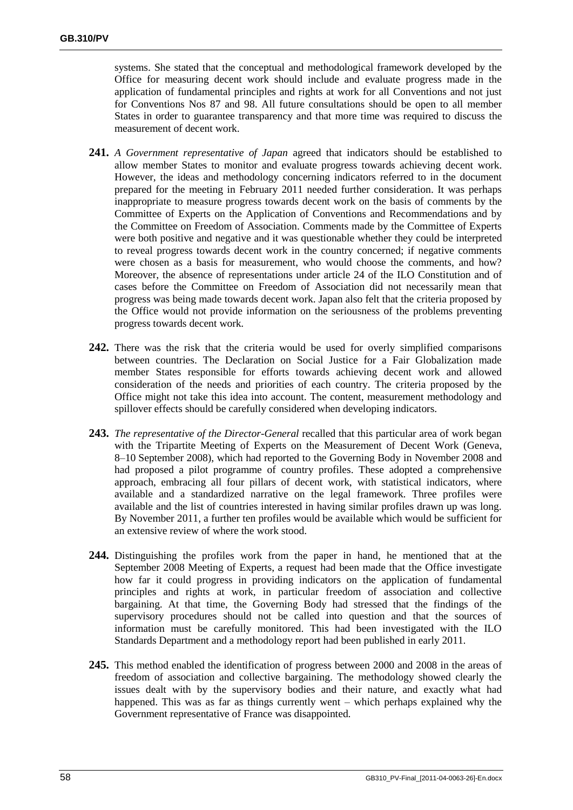systems. She stated that the conceptual and methodological framework developed by the Office for measuring decent work should include and evaluate progress made in the application of fundamental principles and rights at work for all Conventions and not just for Conventions Nos 87 and 98. All future consultations should be open to all member States in order to guarantee transparency and that more time was required to discuss the measurement of decent work.

- **241.** *A Government representative of Japan* agreed that indicators should be established to allow member States to monitor and evaluate progress towards achieving decent work. However, the ideas and methodology concerning indicators referred to in the document prepared for the meeting in February 2011 needed further consideration. It was perhaps inappropriate to measure progress towards decent work on the basis of comments by the Committee of Experts on the Application of Conventions and Recommendations and by the Committee on Freedom of Association. Comments made by the Committee of Experts were both positive and negative and it was questionable whether they could be interpreted to reveal progress towards decent work in the country concerned; if negative comments were chosen as a basis for measurement, who would choose the comments, and how? Moreover, the absence of representations under article 24 of the ILO Constitution and of cases before the Committee on Freedom of Association did not necessarily mean that progress was being made towards decent work. Japan also felt that the criteria proposed by the Office would not provide information on the seriousness of the problems preventing progress towards decent work.
- **242.** There was the risk that the criteria would be used for overly simplified comparisons between countries. The Declaration on Social Justice for a Fair Globalization made member States responsible for efforts towards achieving decent work and allowed consideration of the needs and priorities of each country. The criteria proposed by the Office might not take this idea into account. The content, measurement methodology and spillover effects should be carefully considered when developing indicators.
- **243.** *The representative of the Director-General* recalled that this particular area of work began with the Tripartite Meeting of Experts on the Measurement of Decent Work (Geneva, 8–10 September 2008), which had reported to the Governing Body in November 2008 and had proposed a pilot programme of country profiles. These adopted a comprehensive approach, embracing all four pillars of decent work, with statistical indicators, where available and a standardized narrative on the legal framework. Three profiles were available and the list of countries interested in having similar profiles drawn up was long. By November 2011, a further ten profiles would be available which would be sufficient for an extensive review of where the work stood.
- **244.** Distinguishing the profiles work from the paper in hand, he mentioned that at the September 2008 Meeting of Experts, a request had been made that the Office investigate how far it could progress in providing indicators on the application of fundamental principles and rights at work, in particular freedom of association and collective bargaining. At that time, the Governing Body had stressed that the findings of the supervisory procedures should not be called into question and that the sources of information must be carefully monitored. This had been investigated with the ILO Standards Department and a methodology report had been published in early 2011.
- **245.** This method enabled the identification of progress between 2000 and 2008 in the areas of freedom of association and collective bargaining. The methodology showed clearly the issues dealt with by the supervisory bodies and their nature, and exactly what had happened. This was as far as things currently went – which perhaps explained why the Government representative of France was disappointed.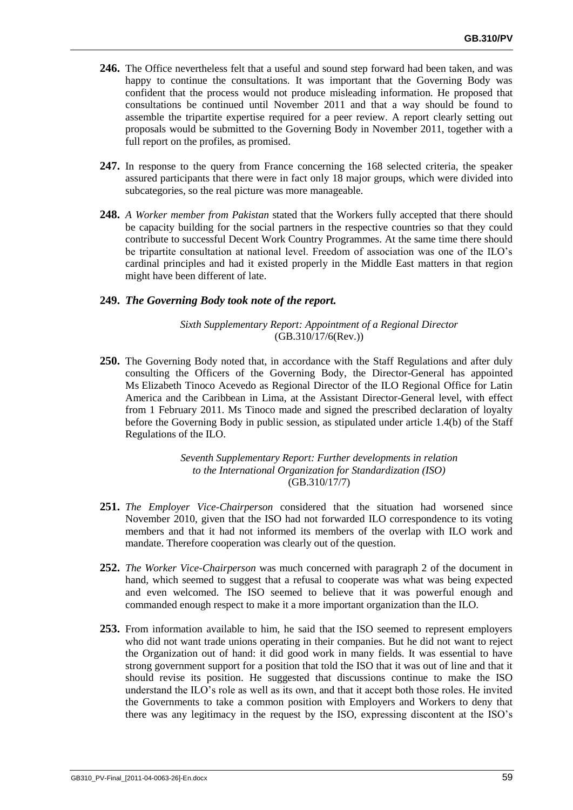- **246.** The Office nevertheless felt that a useful and sound step forward had been taken, and was happy to continue the consultations. It was important that the Governing Body was confident that the process would not produce misleading information. He proposed that consultations be continued until November 2011 and that a way should be found to assemble the tripartite expertise required for a peer review. A report clearly setting out proposals would be submitted to the Governing Body in November 2011, together with a full report on the profiles, as promised.
- **247.** In response to the query from France concerning the 168 selected criteria, the speaker assured participants that there were in fact only 18 major groups, which were divided into subcategories, so the real picture was more manageable.
- **248.** *A Worker member from Pakistan* stated that the Workers fully accepted that there should be capacity building for the social partners in the respective countries so that they could contribute to successful Decent Work Country Programmes. At the same time there should be tripartite consultation at national level. Freedom of association was one of the ILO's cardinal principles and had it existed properly in the Middle East matters in that region might have been different of late.

# **249.** *The Governing Body took note of the report.*

*Sixth Supplementary Report: Appointment of a Regional Director* (GB.310/17/6(Rev.))

**250.** The Governing Body noted that, in accordance with the Staff Regulations and after duly consulting the Officers of the Governing Body, the Director-General has appointed Ms Elizabeth Tinoco Acevedo as Regional Director of the ILO Regional Office for Latin America and the Caribbean in Lima, at the Assistant Director-General level, with effect from 1 February 2011. Ms Tinoco made and signed the prescribed declaration of loyalty before the Governing Body in public session, as stipulated under article 1.4(b) of the Staff Regulations of the ILO.

> *Seventh Supplementary Report: Further developments in relation to the International Organization for Standardization (ISO)* (GB.310/17/7)

- **251.** *The Employer Vice-Chairperson* considered that the situation had worsened since November 2010, given that the ISO had not forwarded ILO correspondence to its voting members and that it had not informed its members of the overlap with ILO work and mandate. Therefore cooperation was clearly out of the question.
- **252.** *The Worker Vice-Chairperson* was much concerned with paragraph 2 of the document in hand, which seemed to suggest that a refusal to cooperate was what was being expected and even welcomed. The ISO seemed to believe that it was powerful enough and commanded enough respect to make it a more important organization than the ILO.
- **253.** From information available to him, he said that the ISO seemed to represent employers who did not want trade unions operating in their companies. But he did not want to reject the Organization out of hand: it did good work in many fields. It was essential to have strong government support for a position that told the ISO that it was out of line and that it should revise its position. He suggested that discussions continue to make the ISO understand the ILO's role as well as its own, and that it accept both those roles. He invited the Governments to take a common position with Employers and Workers to deny that there was any legitimacy in the request by the ISO, expressing discontent at the ISO's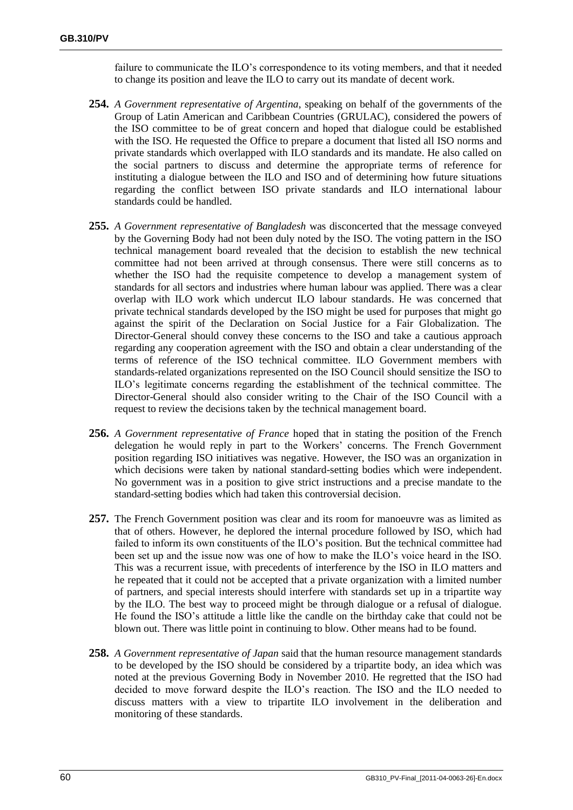failure to communicate the ILO's correspondence to its voting members, and that it needed to change its position and leave the ILO to carry out its mandate of decent work.

- **254.** *A Government representative of Argentina*, speaking on behalf of the governments of the Group of Latin American and Caribbean Countries (GRULAC), considered the powers of the ISO committee to be of great concern and hoped that dialogue could be established with the ISO. He requested the Office to prepare a document that listed all ISO norms and private standards which overlapped with ILO standards and its mandate. He also called on the social partners to discuss and determine the appropriate terms of reference for instituting a dialogue between the ILO and ISO and of determining how future situations regarding the conflict between ISO private standards and ILO international labour standards could be handled.
- **255.** *A Government representative of Bangladesh* was disconcerted that the message conveyed by the Governing Body had not been duly noted by the ISO. The voting pattern in the ISO technical management board revealed that the decision to establish the new technical committee had not been arrived at through consensus. There were still concerns as to whether the ISO had the requisite competence to develop a management system of standards for all sectors and industries where human labour was applied. There was a clear overlap with ILO work which undercut ILO labour standards. He was concerned that private technical standards developed by the ISO might be used for purposes that might go against the spirit of the Declaration on Social Justice for a Fair Globalization. The Director-General should convey these concerns to the ISO and take a cautious approach regarding any cooperation agreement with the ISO and obtain a clear understanding of the terms of reference of the ISO technical committee. ILO Government members with standards-related organizations represented on the ISO Council should sensitize the ISO to ILO's legitimate concerns regarding the establishment of the technical committee. The Director-General should also consider writing to the Chair of the ISO Council with a request to review the decisions taken by the technical management board.
- **256.** *A Government representative of France* hoped that in stating the position of the French delegation he would reply in part to the Workers' concerns. The French Government position regarding ISO initiatives was negative. However, the ISO was an organization in which decisions were taken by national standard-setting bodies which were independent. No government was in a position to give strict instructions and a precise mandate to the standard-setting bodies which had taken this controversial decision.
- **257.** The French Government position was clear and its room for manoeuvre was as limited as that of others. However, he deplored the internal procedure followed by ISO, which had failed to inform its own constituents of the ILO's position. But the technical committee had been set up and the issue now was one of how to make the ILO's voice heard in the ISO. This was a recurrent issue, with precedents of interference by the ISO in ILO matters and he repeated that it could not be accepted that a private organization with a limited number of partners, and special interests should interfere with standards set up in a tripartite way by the ILO. The best way to proceed might be through dialogue or a refusal of dialogue. He found the ISO's attitude a little like the candle on the birthday cake that could not be blown out. There was little point in continuing to blow. Other means had to be found.
- **258.** *A Government representative of Japan* said that the human resource management standards to be developed by the ISO should be considered by a tripartite body, an idea which was noted at the previous Governing Body in November 2010. He regretted that the ISO had decided to move forward despite the ILO's reaction. The ISO and the ILO needed to discuss matters with a view to tripartite ILO involvement in the deliberation and monitoring of these standards.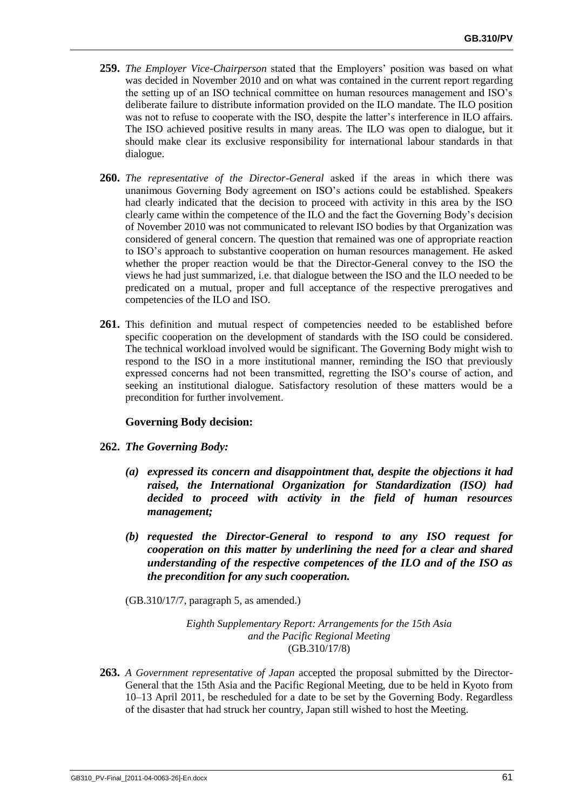- **259.** *The Employer Vice-Chairperson* stated that the Employers' position was based on what was decided in November 2010 and on what was contained in the current report regarding the setting up of an ISO technical committee on human resources management and ISO's deliberate failure to distribute information provided on the ILO mandate. The ILO position was not to refuse to cooperate with the ISO, despite the latter's interference in ILO affairs. The ISO achieved positive results in many areas. The ILO was open to dialogue, but it should make clear its exclusive responsibility for international labour standards in that dialogue.
- **260.** *The representative of the Director-General* asked if the areas in which there was unanimous Governing Body agreement on ISO's actions could be established. Speakers had clearly indicated that the decision to proceed with activity in this area by the ISO clearly came within the competence of the ILO and the fact the Governing Body's decision of November 2010 was not communicated to relevant ISO bodies by that Organization was considered of general concern. The question that remained was one of appropriate reaction to ISO's approach to substantive cooperation on human resources management. He asked whether the proper reaction would be that the Director-General convey to the ISO the views he had just summarized, i.e. that dialogue between the ISO and the ILO needed to be predicated on a mutual, proper and full acceptance of the respective prerogatives and competencies of the ILO and ISO.
- **261.** This definition and mutual respect of competencies needed to be established before specific cooperation on the development of standards with the ISO could be considered. The technical workload involved would be significant. The Governing Body might wish to respond to the ISO in a more institutional manner, reminding the ISO that previously expressed concerns had not been transmitted, regretting the ISO's course of action, and seeking an institutional dialogue. Satisfactory resolution of these matters would be a precondition for further involvement.

# **Governing Body decision:**

- **262.** *The Governing Body:*
	- *(a) expressed its concern and disappointment that, despite the objections it had raised, the International Organization for Standardization (ISO) had decided to proceed with activity in the field of human resources management;*
	- *(b) requested the Director-General to respond to any ISO request for cooperation on this matter by underlining the need for a clear and shared understanding of the respective competences of the ILO and of the ISO as the precondition for any such cooperation.*
	- (GB.310/17/7, paragraph 5, as amended.)

*Eighth Supplementary Report: Arrangements for the 15th Asia and the Pacific Regional Meeting* (GB.310/17/8)

**263.** *A Government representative of Japan* accepted the proposal submitted by the Director-General that the 15th Asia and the Pacific Regional Meeting, due to be held in Kyoto from 10–13 April 2011, be rescheduled for a date to be set by the Governing Body. Regardless of the disaster that had struck her country, Japan still wished to host the Meeting.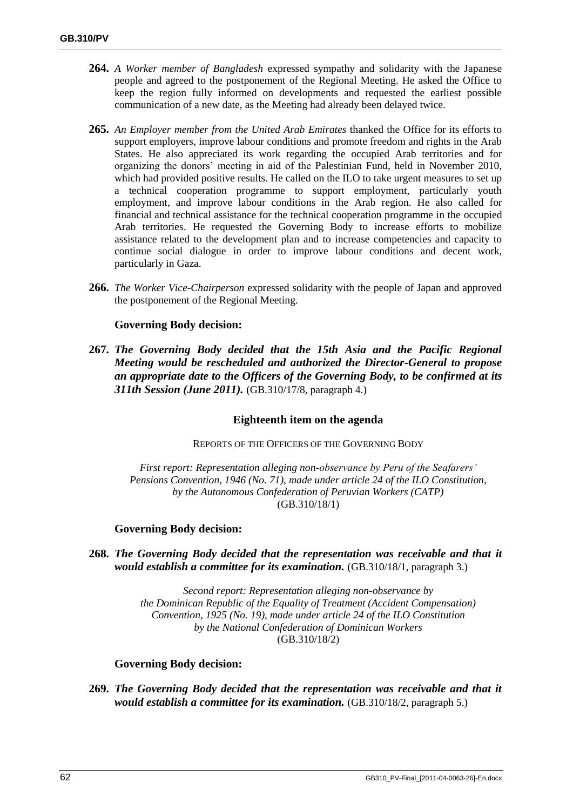- **264.** *A Worker member of Bangladesh* expressed sympathy and solidarity with the Japanese people and agreed to the postponement of the Regional Meeting. He asked the Office to keep the region fully informed on developments and requested the earliest possible communication of a new date, as the Meeting had already been delayed twice.
- **265.** *An Employer member from the United Arab Emirates* thanked the Office for its efforts to support employers, improve labour conditions and promote freedom and rights in the Arab States. He also appreciated its work regarding the occupied Arab territories and for organizing the donors' meeting in aid of the Palestinian Fund, held in November 2010, which had provided positive results. He called on the ILO to take urgent measures to set up a technical cooperation programme to support employment, particularly youth employment, and improve labour conditions in the Arab region. He also called for financial and technical assistance for the technical cooperation programme in the occupied Arab territories. He requested the Governing Body to increase efforts to mobilize assistance related to the development plan and to increase competencies and capacity to continue social dialogue in order to improve labour conditions and decent work, particularly in Gaza.
- **266.** *The Worker Vice-Chairperson* expressed solidarity with the people of Japan and approved the postponement of the Regional Meeting.

## **Governing Body decision:**

**267.** *The Governing Body decided that the 15th Asia and the Pacific Regional Meeting would be rescheduled and authorized the Director-General to propose an appropriate date to the Officers of the Governing Body, to be confirmed at its 311th Session (June 2011).* (GB.310/17/8, paragraph 4.)

### **Eighteenth item on the agenda**

REPORTS OF THE OFFICERS OF THE GOVERNING BODY

*First report: Representation alleging non-observance by Peru of the Seafarers' Pensions Convention, 1946 (No. 71), made under article 24 of the ILO Constitution, by the Autonomous Confederation of Peruvian Workers (CATP)* (GB.310/18/1)

### **Governing Body decision:**

**268.** *The Governing Body decided that the representation was receivable and that it would establish a committee for its examination.* (GB.310/18/1, paragraph 3.)

> *Second report: Representation alleging non-observance by the Dominican Republic of the Equality of Treatment (Accident Compensation) Convention, 1925 (No. 19), made under article 24 of the ILO Constitution by the National Confederation of Dominican Workers* (GB.310/18/2)

### **Governing Body decision:**

**269.** *The Governing Body decided that the representation was receivable and that it would establish a committee for its examination.* (GB.310/18/2, paragraph 5.)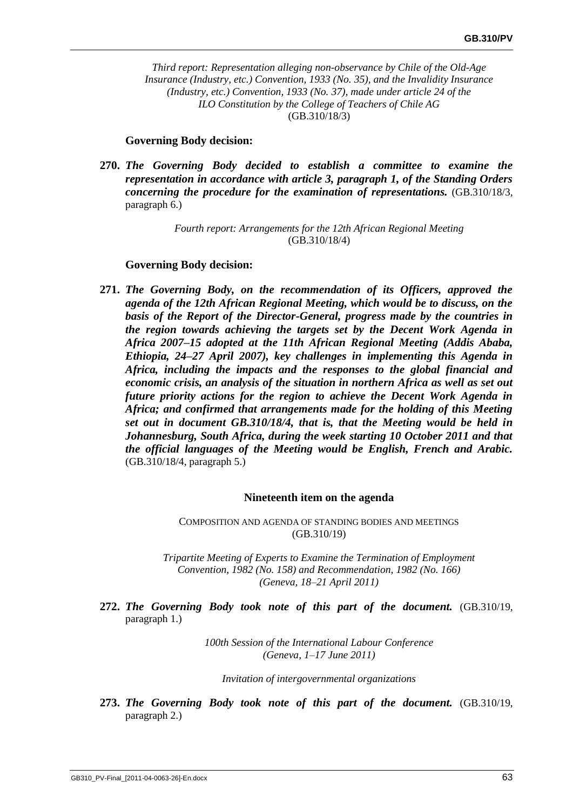*Third report: Representation alleging non-observance by Chile of the Old-Age Insurance (Industry, etc.) Convention, 1933 (No. 35), and the Invalidity Insurance (Industry, etc.) Convention, 1933 (No. 37), made under article 24 of the ILO Constitution by the College of Teachers of Chile AG* (GB.310/18/3)

### **Governing Body decision:**

**270.** *The Governing Body decided to establish a committee to examine the representation in accordance with article 3, paragraph 1, of the Standing Orders concerning the procedure for the examination of representations.* (GB.310/18/3, paragraph 6.)

### *Fourth report: Arrangements for the 12th African Regional Meeting* (GB.310/18/4)

#### **Governing Body decision:**

**271.** *The Governing Body, on the recommendation of its Officers, approved the agenda of the 12th African Regional Meeting, which would be to discuss, on the basis of the Report of the Director-General, progress made by the countries in the region towards achieving the targets set by the Decent Work Agenda in Africa 2007–15 adopted at the 11th African Regional Meeting (Addis Ababa, Ethiopia, 24–27 April 2007), key challenges in implementing this Agenda in Africa, including the impacts and the responses to the global financial and economic crisis, an analysis of the situation in northern Africa as well as set out future priority actions for the region to achieve the Decent Work Agenda in Africa; and confirmed that arrangements made for the holding of this Meeting set out in document GB.310/18/4, that is, that the Meeting would be held in Johannesburg, South Africa, during the week starting 10 October 2011 and that the official languages of the Meeting would be English, French and Arabic.*  (GB.310/18/4, paragraph 5.)

#### **Nineteenth item on the agenda**

COMPOSITION AND AGENDA OF STANDING BODIES AND MEETINGS (GB.310/19)

*Tripartite Meeting of Experts to Examine the Termination of Employment Convention, 1982 (No. 158) and Recommendation, 1982 (No. 166) (Geneva, 18–21 April 2011)*

**272.** *The Governing Body took note of this part of the document.* (GB.310/19, paragraph 1.)

> *100th Session of the International Labour Conference (Geneva, 1–17 June 2011)*

*Invitation of intergovernmental organizations*

**273.** *The Governing Body took note of this part of the document.* (GB.310/19, paragraph 2.)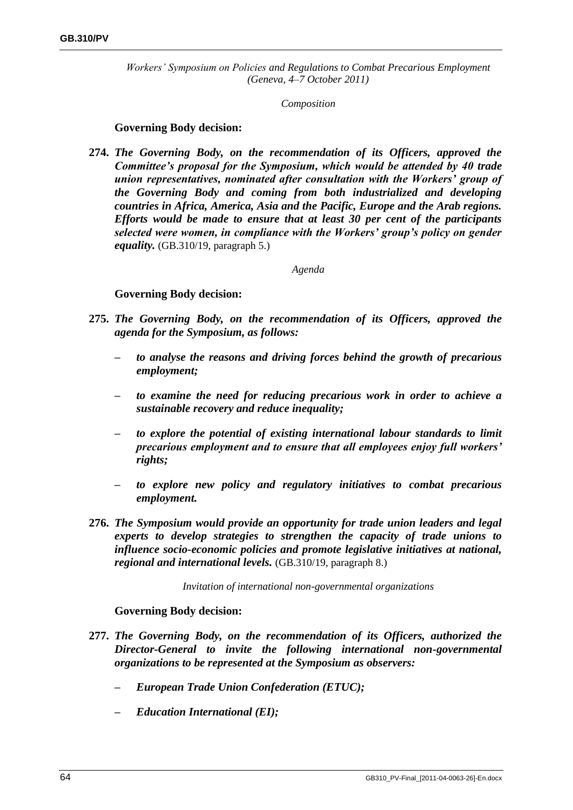*Workers' Symposium on Policies and Regulations to Combat Precarious Employment (Geneva, 4–7 October 2011)*

*Composition*

## **Governing Body decision:**

**274.** *The Governing Body, on the recommendation of its Officers, approved the Committee's proposal for the Symposium, which would be attended by 40 trade union representatives, nominated after consultation with the Workers' group of the Governing Body and coming from both industrialized and developing countries in Africa, America, Asia and the Pacific, Europe and the Arab regions. Efforts would be made to ensure that at least 30 per cent of the participants selected were women, in compliance with the Workers' group's policy on gender equality.* (GB.310/19, paragraph 5.)

### *Agenda*

# **Governing Body decision:**

- **275.** *The Governing Body, on the recommendation of its Officers, approved the agenda for the Symposium, as follows:*
	- *– to analyse the reasons and driving forces behind the growth of precarious employment;*
	- *– to examine the need for reducing precarious work in order to achieve a sustainable recovery and reduce inequality;*
	- *– to explore the potential of existing international labour standards to limit precarious employment and to ensure that all employees enjoy full workers' rights;*
	- *– to explore new policy and regulatory initiatives to combat precarious employment.*
- **276.** *The Symposium would provide an opportunity for trade union leaders and legal experts to develop strategies to strengthen the capacity of trade unions to influence socio-economic policies and promote legislative initiatives at national, regional and international levels.* (GB.310/19, paragraph 8.)

*Invitation of international non-governmental organizations*

- **277.** *The Governing Body, on the recommendation of its Officers, authorized the Director-General to invite the following international non-governmental organizations to be represented at the Symposium as observers:*
	- *– European Trade Union Confederation (ETUC);*
	- *– Education International (EI);*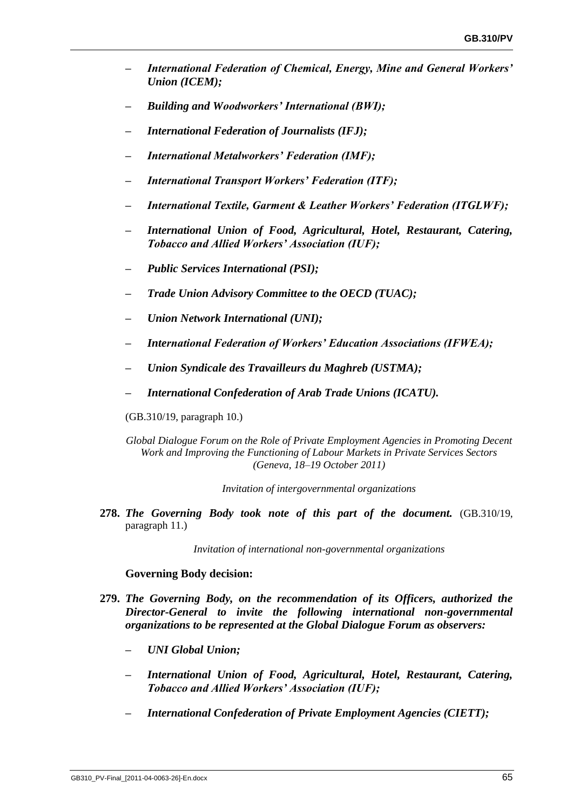- *– International Federation of Chemical, Energy, Mine and General Workers' Union (ICEM);*
- *– Building and Woodworkers' International (BWI);*
- *– International Federation of Journalists (IFJ);*
- *– International Metalworkers' Federation (IMF);*
- *– International Transport Workers' Federation (ITF);*
- *– International Textile, Garment & Leather Workers' Federation (ITGLWF);*
- *– International Union of Food, Agricultural, Hotel, Restaurant, Catering, Tobacco and Allied Workers' Association (IUF);*
- *– Public Services International (PSI);*
- *– Trade Union Advisory Committee to the OECD (TUAC);*
- *– Union Network International (UNI);*
- *– International Federation of Workers' Education Associations (IFWEA);*
- *– Union Syndicale des Travailleurs du Maghreb (USTMA);*
- *– International Confederation of Arab Trade Unions (ICATU).*

(GB.310/19, paragraph 10.)

*Global Dialogue Forum on the Role of Private Employment Agencies in Promoting Decent Work and Improving the Functioning of Labour Markets in Private Services Sectors (Geneva, 18–19 October 2011)*

*Invitation of intergovernmental organizations*

**278.** *The Governing Body took note of this part of the document.* (GB.310/19, paragraph 11.)

*Invitation of international non-governmental organizations*

#### **Governing Body decision:**

- **279.** *The Governing Body, on the recommendation of its Officers, authorized the Director-General to invite the following international non-governmental organizations to be represented at the Global Dialogue Forum as observers:*
	- *– UNI Global Union;*
	- *– International Union of Food, Agricultural, Hotel, Restaurant, Catering, Tobacco and Allied Workers' Association (IUF);*
	- *– International Confederation of Private Employment Agencies (CIETT);*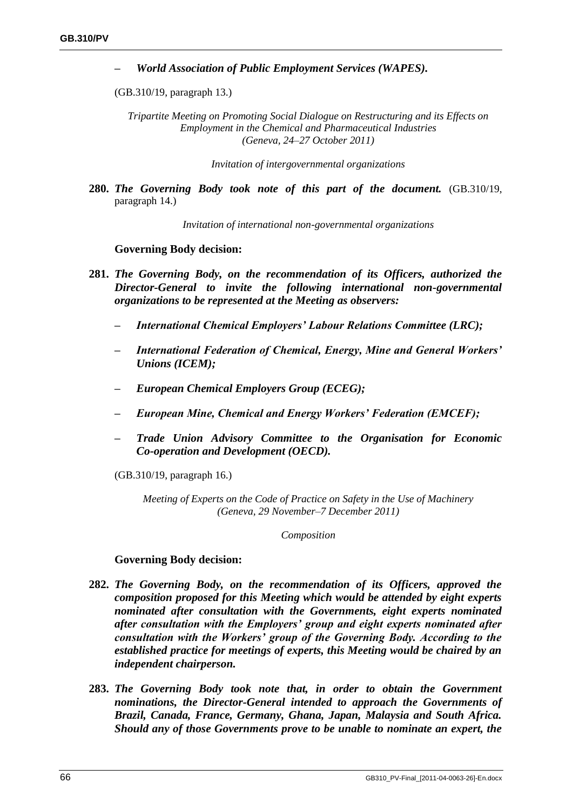*– World Association of Public Employment Services (WAPES).*

(GB.310/19, paragraph 13.)

*Tripartite Meeting on Promoting Social Dialogue on Restructuring and its Effects on Employment in the Chemical and Pharmaceutical Industries (Geneva, 24–27 October 2011)*

*Invitation of intergovernmental organizations*

**280.** *The Governing Body took note of this part of the document.* (GB.310/19, paragraph 14.)

*Invitation of international non-governmental organizations*

#### **Governing Body decision:**

- **281.** *The Governing Body, on the recommendation of its Officers, authorized the Director-General to invite the following international non-governmental organizations to be represented at the Meeting as observers:*
	- *– International Chemical Employers' Labour Relations Committee (LRC);*
	- *– International Federation of Chemical, Energy, Mine and General Workers' Unions (ICEM);*
	- *– European Chemical Employers Group (ECEG);*
	- *– European Mine, Chemical and Energy Workers' Federation (EMCEF);*
	- *– Trade Union Advisory Committee to the Organisation for Economic Co-operation and Development (OECD).*

(GB.310/19, paragraph 16.)

*Meeting of Experts on the Code of Practice on Safety in the Use of Machinery (Geneva, 29 November–7 December 2011)*

*Composition*

#### **Governing Body decision:**

- **282.** *The Governing Body, on the recommendation of its Officers, approved the composition proposed for this Meeting which would be attended by eight experts nominated after consultation with the Governments, eight experts nominated after consultation with the Employers' group and eight experts nominated after consultation with the Workers' group of the Governing Body. According to the established practice for meetings of experts, this Meeting would be chaired by an independent chairperson.*
- **283.** *The Governing Body took note that, in order to obtain the Government nominations, the Director-General intended to approach the Governments of Brazil, Canada, France, Germany, Ghana, Japan, Malaysia and South Africa. Should any of those Governments prove to be unable to nominate an expert, the*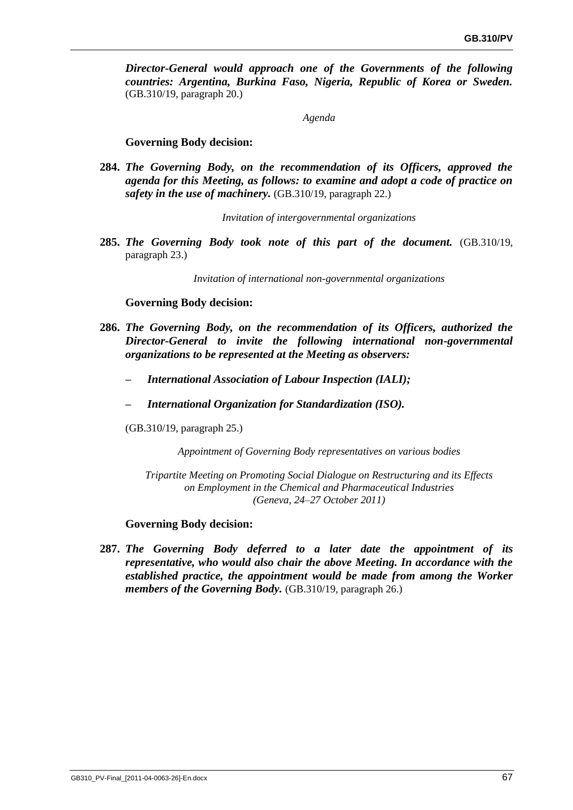*Director-General would approach one of the Governments of the following countries: Argentina, Burkina Faso, Nigeria, Republic of Korea or Sweden.*  (GB.310/19, paragraph 20.)

*Agenda*

#### **Governing Body decision:**

**284.** *The Governing Body, on the recommendation of its Officers, approved the agenda for this Meeting, as follows: to examine and adopt a code of practice on safety in the use of machinery.* (GB.310/19, paragraph 22.)

*Invitation of intergovernmental organizations*

**285.** *The Governing Body took note of this part of the document.* (GB.310/19, paragraph 23.)

*Invitation of international non-governmental organizations*

#### **Governing Body decision:**

- **286.** *The Governing Body, on the recommendation of its Officers, authorized the Director-General to invite the following international non-governmental organizations to be represented at the Meeting as observers:*
	- *– International Association of Labour Inspection (IALI);*
	- *– International Organization for Standardization (ISO).*

(GB.310/19, paragraph 25.)

*Appointment of Governing Body representatives on various bodies*

*Tripartite Meeting on Promoting Social Dialogue on Restructuring and its Effects on Employment in the Chemical and Pharmaceutical Industries (Geneva, 24–27 October 2011)*

#### **Governing Body decision:**

**287.** *The Governing Body deferred to a later date the appointment of its representative, who would also chair the above Meeting. In accordance with the established practice, the appointment would be made from among the Worker members of the Governing Body.* (GB.310/19, paragraph 26.)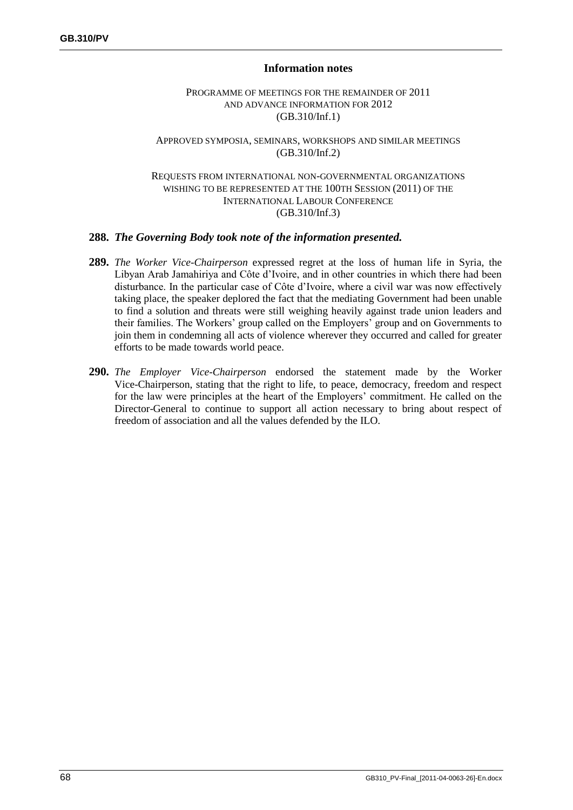### **Information notes**

#### PROGRAMME OF MEETINGS FOR THE REMAINDER OF 2011 AND ADVANCE INFORMATION FOR 2012 (GB.310/Inf.1)

#### APPROVED SYMPOSIA, SEMINARS, WORKSHOPS AND SIMILAR MEETINGS (GB.310/Inf.2)

#### REQUESTS FROM INTERNATIONAL NON-GOVERNMENTAL ORGANIZATIONS WISHING TO BE REPRESENTED AT THE 100TH SESSION (2011) OF THE INTERNATIONAL LABOUR CONFERENCE (GB.310/Inf.3)

### **288.** *The Governing Body took note of the information presented.*

- **289.** *The Worker Vice-Chairperson* expressed regret at the loss of human life in Syria, the Libyan Arab Jamahiriya and Côte d'Ivoire, and in other countries in which there had been disturbance. In the particular case of Côte d'Ivoire, where a civil war was now effectively taking place, the speaker deplored the fact that the mediating Government had been unable to find a solution and threats were still weighing heavily against trade union leaders and their families. The Workers' group called on the Employers' group and on Governments to join them in condemning all acts of violence wherever they occurred and called for greater efforts to be made towards world peace.
- **290.** *The Employer Vice-Chairperson* endorsed the statement made by the Worker Vice-Chairperson, stating that the right to life, to peace, democracy, freedom and respect for the law were principles at the heart of the Employers' commitment. He called on the Director-General to continue to support all action necessary to bring about respect of freedom of association and all the values defended by the ILO.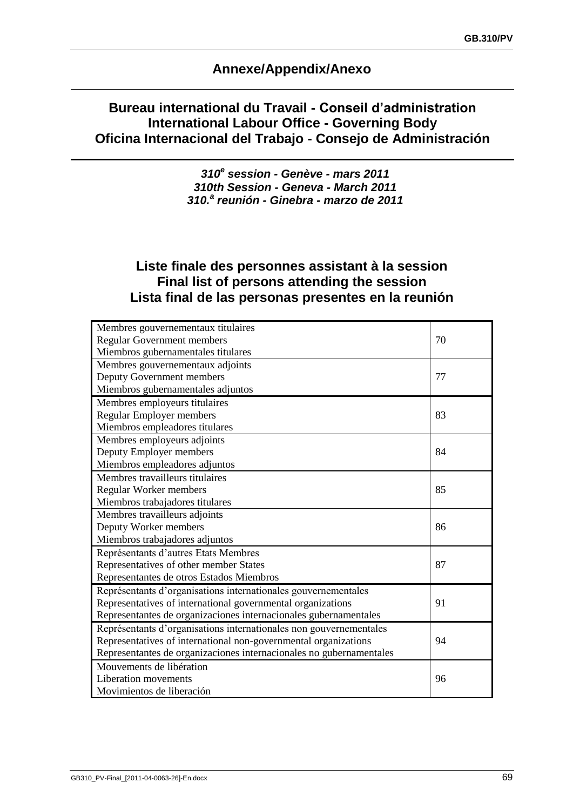# **Annexe/Appendix/Anexo**

# **Bureau international du Travail - Conseil d'administration International Labour Office - Governing Body Oficina Internacional del Trabajo - Consejo de Administración**

*310<sup>e</sup> session - Genève - mars 2011 310th Session - Geneva - March 2011 310.<sup>a</sup> reunión - Ginebra - marzo de 2011*

# **Liste finale des personnes assistant à la session Final list of persons attending the session Lista final de las personas presentes en la reunión**

| Membres gouvernementaux titulaires                                  |    |
|---------------------------------------------------------------------|----|
| <b>Regular Government members</b>                                   | 70 |
| Miembros gubernamentales titulares                                  |    |
| Membres gouvernementaux adjoints                                    |    |
| Deputy Government members                                           | 77 |
| Miembros gubernamentales adjuntos                                   |    |
| Membres employeurs titulaires                                       |    |
| <b>Regular Employer members</b>                                     | 83 |
| Miembros empleadores titulares                                      |    |
| Membres employeurs adjoints                                         |    |
| Deputy Employer members                                             | 84 |
| Miembros empleadores adjuntos                                       |    |
| Membres travailleurs titulaires                                     |    |
| Regular Worker members                                              | 85 |
| Miembros trabajadores titulares                                     |    |
| Membres travailleurs adjoints                                       |    |
| Deputy Worker members                                               | 86 |
| Miembros trabajadores adjuntos                                      |    |
| Représentants d'autres Etats Membres                                |    |
| Representatives of other member States                              | 87 |
| Representantes de otros Estados Miembros                            |    |
| Représentants d'organisations internationales gouvernementales      |    |
| Representatives of international governmental organizations         | 91 |
| Representantes de organizaciones internacionales gubernamentales    |    |
| Représentants d'organisations internationales non gouvernementales  |    |
| Representatives of international non-governmental organizations     | 94 |
| Representantes de organizaciones internacionales no gubernamentales |    |
| Mouvements de libération                                            |    |
| Liberation movements                                                | 96 |
| Movimientos de liberación                                           |    |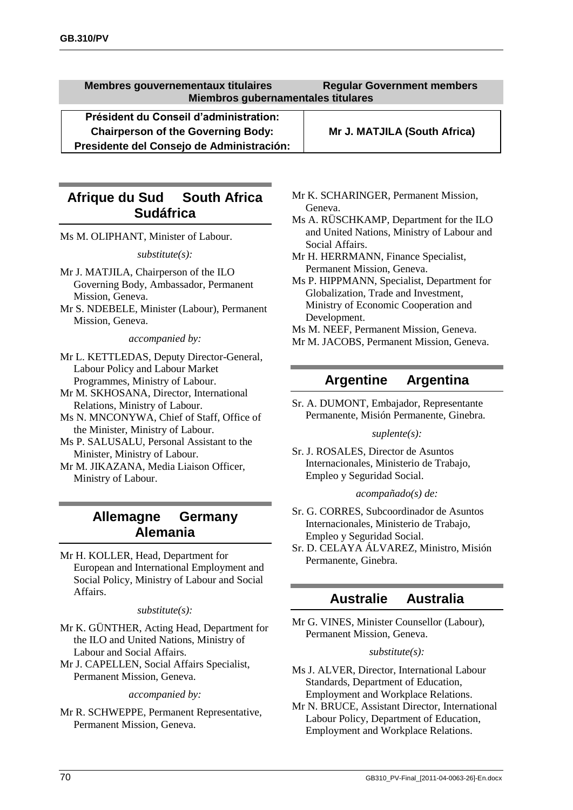**Membres gouvernementaux titulaires Regular Government members Miembros gubernamentales titulares**

**Président du Conseil d'administration: Chairperson of the Governing Body: Mr J. MATJILA (South Africa) Presidente del Consejo de Administración:**

# **Afrique du Sud South Africa Sudáfrica**

Ms M. OLIPHANT, Minister of Labour.

*substitute(s):*

- Mr J. MATJILA, Chairperson of the ILO Governing Body, Ambassador, Permanent Mission, Geneva.
- Mr S. NDEBELE, Minister (Labour), Permanent Mission, Geneva.

*accompanied by:*

- Mr L. KETTLEDAS, Deputy Director-General, Labour Policy and Labour Market Programmes, Ministry of Labour.
- Mr M. SKHOSANA, Director, International Relations, Ministry of Labour.
- Ms N. MNCONYWA, Chief of Staff, Office of the Minister, Ministry of Labour.
- Ms P. SALUSALU, Personal Assistant to the Minister, Ministry of Labour.
- Mr M. JIKAZANA, Media Liaison Officer, Ministry of Labour.

## **Allemagne Germany Alemania**

Mr H. KOLLER, Head, Department for European and International Employment and Social Policy, Ministry of Labour and Social Affairs.

#### *substitute(s):*

- Mr K. GÜNTHER, Acting Head, Department for the ILO and United Nations, Ministry of Labour and Social Affairs.
- Mr J. CAPELLEN, Social Affairs Specialist, Permanent Mission, Geneva.

*accompanied by:*

Mr R. SCHWEPPE, Permanent Representative, Permanent Mission, Geneva.

- Mr K. SCHARINGER, Permanent Mission, Geneva.
- Ms A. RÜSCHKAMP, Department for the ILO and United Nations, Ministry of Labour and Social Affairs.
- Mr H. HERRMANN, Finance Specialist, Permanent Mission, Geneva.
- Ms P. HIPPMANN, Specialist, Department for Globalization, Trade and Investment, Ministry of Economic Cooperation and Development.
- Ms M. NEEF, Permanent Mission, Geneva.
- Mr M. JACOBS, Permanent Mission, Geneva.

# **Argentine Argentina**

Sr. A. DUMONT, Embajador, Representante Permanente, Misión Permanente, Ginebra.

#### *suplente(s):*

Sr. J. ROSALES, Director de Asuntos Internacionales, Ministerio de Trabajo, Empleo y Seguridad Social.

#### *acompañado(s) de:*

- Sr. G. CORRES, Subcoordinador de Asuntos Internacionales, Ministerio de Trabajo, Empleo y Seguridad Social.
- Sr. D. CELAYA ÁLVAREZ, Ministro, Misión Permanente, Ginebra.

## **Australie Australia**

Mr G. VINES, Minister Counsellor (Labour), Permanent Mission, Geneva.

#### *substitute(s):*

- Ms J. ALVER, Director, International Labour Standards, Department of Education, Employment and Workplace Relations.
- Mr N. BRUCE, Assistant Director, International Labour Policy, Department of Education, Employment and Workplace Relations.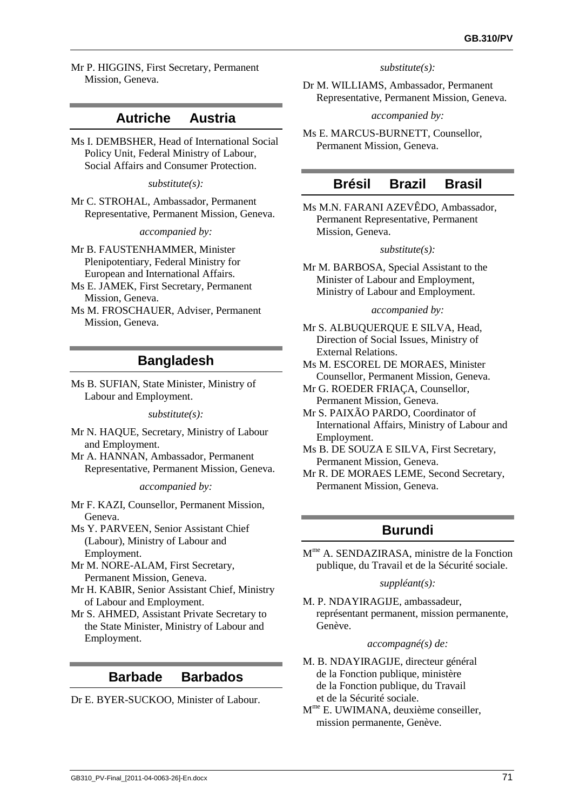Mr P. HIGGINS, First Secretary, Permanent Mission, Geneva.

### **Autriche Austria**

Ms I. DEMBSHER, Head of International Social Policy Unit, Federal Ministry of Labour, Social Affairs and Consumer Protection.

*substitute(s):*

Mr C. STROHAL, Ambassador, Permanent Representative, Permanent Mission, Geneva.

*accompanied by:*

Mr B. FAUSTENHAMMER, Minister Plenipotentiary, Federal Ministry for European and International Affairs.

Ms E. JAMEK, First Secretary, Permanent Mission, Geneva.

Ms M. FROSCHAUER, Adviser, Permanent Mission, Geneva.

## **Bangladesh**

Ms B. SUFIAN, State Minister, Ministry of Labour and Employment.

*substitute(s):*

Mr N. HAQUE, Secretary, Ministry of Labour and Employment.

Mr A. HANNAN, Ambassador, Permanent Representative, Permanent Mission, Geneva.

*accompanied by:*

Mr F. KAZI, Counsellor, Permanent Mission, Geneva.

Ms Y. PARVEEN, Senior Assistant Chief (Labour), Ministry of Labour and Employment.

Mr M. NORE-ALAM, First Secretary, Permanent Mission, Geneva.

- Mr H. KABIR, Senior Assistant Chief, Ministry of Labour and Employment.
- Mr S. AHMED, Assistant Private Secretary to the State Minister, Ministry of Labour and Employment.

## **Barbade Barbados**

Dr E. BYER-SUCKOO, Minister of Labour.

*substitute(s):*

Dr M. WILLIAMS, Ambassador, Permanent Representative, Permanent Mission, Geneva.

*accompanied by:*

Ms E. MARCUS-BURNETT, Counsellor, Permanent Mission, Geneva.

### **Brésil Brazil Brasil**

Ms M.N. FARANI AZEVÊDO, Ambassador, Permanent Representative, Permanent Mission, Geneva.

#### *substitute(s):*

Mr M. BARBOSA, Special Assistant to the Minister of Labour and Employment, Ministry of Labour and Employment.

#### *accompanied by:*

Mr S. ALBUQUERQUE E SILVA, Head, Direction of Social Issues, Ministry of External Relations.

- Ms M. ESCOREL DE MORAES, Minister Counsellor, Permanent Mission, Geneva.
- Mr G. ROEDER FRIAÇA, Counsellor, Permanent Mission, Geneva.

Mr S. PAIXÃO PARDO, Coordinator of International Affairs, Ministry of Labour and Employment.

Ms B. DE SOUZA E SILVA, First Secretary, Permanent Mission, Geneva.

Mr R. DE MORAES LEME, Second Secretary, Permanent Mission, Geneva.

## **Burundi**

M me A. SENDAZIRASA, ministre de la Fonction publique, du Travail et de la Sécurité sociale.

#### *suppléant(s):*

M. P. NDAYIRAGIJE, ambassadeur, représentant permanent, mission permanente, Genève.

#### *accompagné(s) de:*

- M. B. NDAYIRAGIJE, directeur général de la Fonction publique, ministère de la Fonction publique, du Travail et de la Sécurité sociale.
- M me E. UWIMANA, deuxième conseiller, mission permanente, Genève.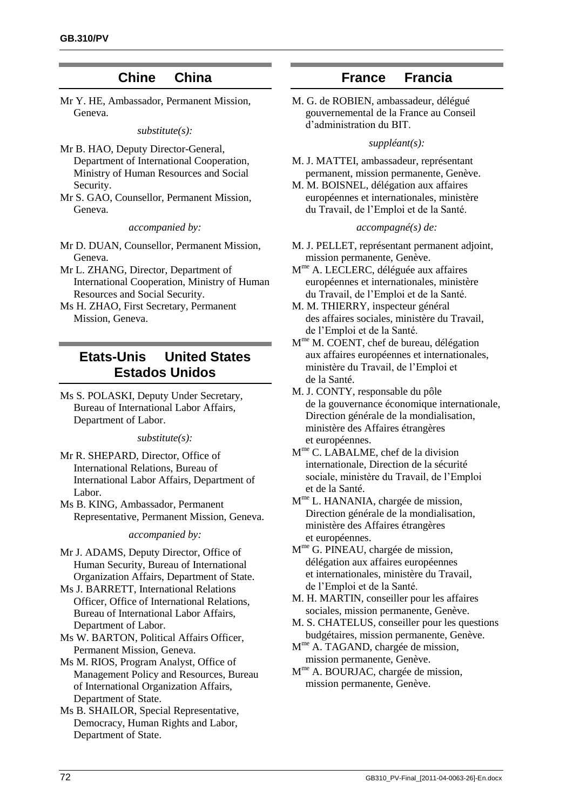## **Chine China**

<span id="page-79-0"></span>Mr Y. HE, Ambassador, Permanent Mission, Geneva.

#### *substitute(s):*

- Mr B. HAO, Deputy Director-General, Department of International Cooperation, Ministry of Human Resources and Social Security.
- Mr S. GAO, Counsellor, Permanent Mission, Geneva.

*accompanied by:*

- Mr D. DUAN, Counsellor, Permanent Mission, Geneva.
- Mr L. ZHANG, Director, Department of International Cooperation, Ministry of Human Resources and Social Security.
- Ms H. ZHAO, First Secretary, Permanent Mission, Geneva.

# **Etats-Unis United States Estados Unidos**

Ms S. POLASKI, Deputy Under Secretary, Bureau of International Labor Affairs, Department of Labor.

*substitute(s):*

- Mr R. SHEPARD, Director, Office of International Relations, Bureau of International Labor Affairs, Department of Labor.
- Ms B. KING, Ambassador, Permanent Representative, Permanent Mission, Geneva.

#### *accompanied by:*

- Mr J. ADAMS, Deputy Director, Office of Human Security, Bureau of International Organization Affairs, Department of State.
- Ms J. BARRETT, International Relations Officer, Office of International Relations, Bureau of International Labor Affairs, Department of Labor.
- Ms W. BARTON, Political Affairs Officer, Permanent Mission, Geneva.
- Ms M. RIOS, Program Analyst, Office of Management Policy and Resources, Bureau of International Organization Affairs, Department of State.
- Ms B. SHAILOR, Special Representative, Democracy, Human Rights and Labor, Department of State.

### **France Francia**

M. G. de ROBIEN, ambassadeur, délégué gouvernemental de la France au Conseil d'administration du BIT.

#### *suppléant(s):*

- M. J. MATTEI, ambassadeur, représentant permanent, mission permanente, Genève.
- M. M. BOISNEL, délégation aux affaires européennes et internationales, ministère du Travail, de l'Emploi et de la Santé.

#### *accompagné(s) de:*

- M. J. PELLET, représentant permanent adjoint, mission permanente, Genève.
- M me A. LECLERC, déléguée aux affaires européennes et internationales, ministère du Travail, de l'Emploi et de la Santé.
- M. M. THIERRY, inspecteur général des affaires sociales, ministère du Travail, de l'Emploi et de la Santé.
- M<sup>me</sup> M. COENT, chef de bureau, délégation aux affaires européennes et internationales, ministère du Travail, de l'Emploi et de la Santé.
- M. J. CONTY, responsable du pôle de la gouvernance économique internationale, Direction générale de la mondialisation, ministère des Affaires étrangères et européennes.
- M me C. LABALME, chef de la division internationale, Direction de la sécurité sociale, ministère du Travail, de l'Emploi et de la Santé.
- M<sup>me</sup> L. HANANIA, chargée de mission, Direction générale de la mondialisation, ministère des Affaires étrangères et européennes.
- M me G. PINEAU, chargée de mission, délégation aux affaires européennes et internationales, ministère du Travail, de l'Emploi et de la Santé.
- M. H. MARTIN, conseiller pour les affaires sociales, mission permanente, Genève.
- M. S. CHATELUS, conseiller pour les questions budgétaires, mission permanente, Genève.
- M<sup>me</sup> A. TAGAND, chargée de mission, mission permanente, Genève.
- M<sup>me</sup> A. BOURJAC, chargée de mission, mission permanente, Genève.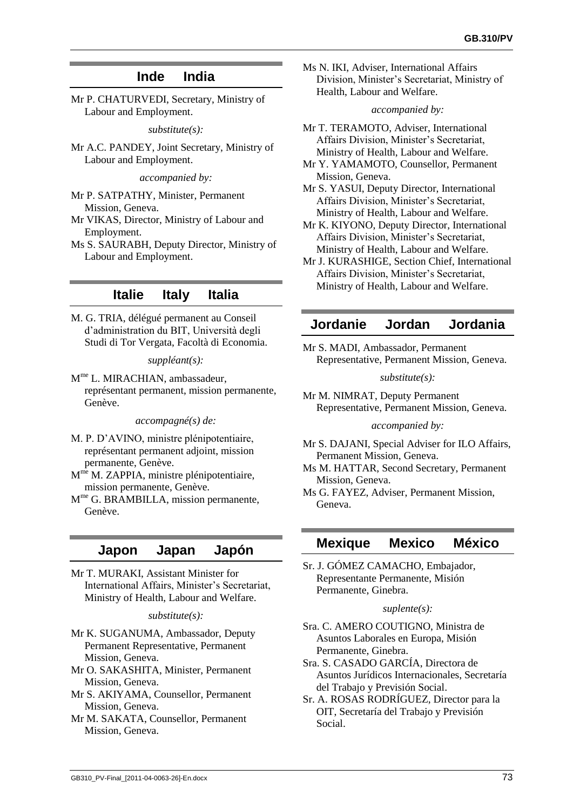## **Inde India**

Mr P. CHATURVEDI, Secretary, Ministry of Labour and Employment.

*substitute(s):*

Mr A.C. PANDEY, Joint Secretary, Ministry of Labour and Employment.

*accompanied by:*

Mr P. SATPATHY, Minister, Permanent Mission, Geneva.

Mr VIKAS, Director, Ministry of Labour and Employment.

Ms S. SAURABH, Deputy Director, Ministry of Labour and Employment.

### **Italie Italy Italia**

M. G. TRIA, délégué permanent au Conseil d'administration du BIT, Università degli Studi di Tor Vergata, Facoltà di Economia.

#### *suppléant(s):*

M<sup>me</sup> L. MIRACHIAN, ambassadeur, représentant permanent, mission permanente, Genève.

*accompagné(s) de:*

M. P. D'AVINO, ministre plénipotentiaire, représentant permanent adjoint, mission permanente, Genève.

M<sup>me</sup> M. ZAPPIA, ministre plénipotentiaire, mission permanente, Genève.

M<sup>me</sup> G. BRAMBILLA, mission permanente, Genève.

### **Japon Japan Japón**

Mr T. MURAKI, Assistant Minister for International Affairs, Minister's Secretariat, Ministry of Health, Labour and Welfare.

#### *substitute(s):*

Mr K. SUGANUMA, Ambassador, Deputy Permanent Representative, Permanent Mission, Geneva.

Mr O. SAKASHITA, Minister, Permanent Mission, Geneva.

Mr S. AKIYAMA, Counsellor, Permanent Mission, Geneva.

Mr M. SAKATA, Counsellor, Permanent Mission, Geneva.

Ms N. IKI, Adviser, International Affairs Division, Minister's Secretariat, Ministry of Health, Labour and Welfare.

#### *accompanied by:*

Mr T. TERAMOTO, Adviser, International Affairs Division, Minister's Secretariat, Ministry of Health, Labour and Welfare.

Mr Y. YAMAMOTO, Counsellor, Permanent Mission, Geneva.

Mr S. YASUI, Deputy Director, International Affairs Division, Minister's Secretariat, Ministry of Health, Labour and Welfare.

Mr K. KIYONO, Deputy Director, International Affairs Division, Minister's Secretariat, Ministry of Health, Labour and Welfare.

Mr J. KURASHIGE, Section Chief, International Affairs Division, Minister's Secretariat, Ministry of Health, Labour and Welfare.

### **Jordanie Jordan Jordania**

Mr S. MADI, Ambassador, Permanent Representative, Permanent Mission, Geneva.

*substitute(s):*

Mr M. NIMRAT, Deputy Permanent Representative, Permanent Mission, Geneva.

#### *accompanied by:*

Mr S. DAJANI, Special Adviser for ILO Affairs, Permanent Mission, Geneva.

Ms M. HATTAR, Second Secretary, Permanent Mission, Geneva.

Ms G. FAYEZ, Adviser, Permanent Mission, Geneva.

### **Mexique Mexico México**

Sr. J. GÓMEZ CAMACHO, Embajador, Representante Permanente, Misión Permanente, Ginebra.

#### *suplente(s):*

Sra. C. AMERO COUTIGNO, Ministra de Asuntos Laborales en Europa, Misión Permanente, Ginebra.

Sra. S. CASADO GARCÍA, Directora de Asuntos Jurídicos Internacionales, Secretaría del Trabajo y Previsión Social.

Sr. A. ROSAS RODRÍGUEZ, Director para la OIT, Secretaría del Trabajo y Previsión Social.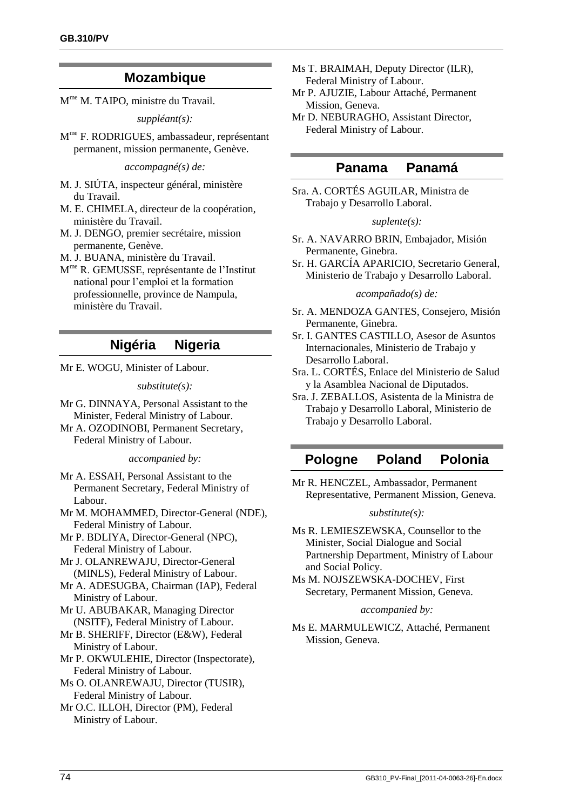### **Mozambique**

M<sup>me</sup> M. TAIPO, ministre du Travail.

*suppléant(s):*

M me F. RODRIGUES, ambassadeur, représentant permanent, mission permanente, Genève.

*accompagné(s) de:*

- M. J. SIÚTA, inspecteur général, ministère du Travail.
- M. E. CHIMELA, directeur de la coopération, ministère du Travail.
- M. J. DENGO, premier secrétaire, mission permanente, Genève.
- M. J. BUANA, ministère du Travail.
- M me R. GEMUSSE, représentante de l'Institut national pour l'emploi et la formation professionnelle, province de Nampula, ministère du Travail.

## **Nigéria Nigeria**

Mr E. WOGU, Minister of Labour.

*substitute(s):*

Mr G. DINNAYA, Personal Assistant to the Minister, Federal Ministry of Labour.

Mr A. OZODINOBI, Permanent Secretary, Federal Ministry of Labour.

*accompanied by:*

- Mr A. ESSAH, Personal Assistant to the Permanent Secretary, Federal Ministry of Labour.
- Mr M. MOHAMMED, Director-General (NDE), Federal Ministry of Labour.
- Mr P. BDLIYA, Director-General (NPC), Federal Ministry of Labour.
- Mr J. OLANREWAJU, Director-General (MINLS), Federal Ministry of Labour.
- Mr A. ADESUGBA, Chairman (IAP), Federal Ministry of Labour.
- Mr U. ABUBAKAR, Managing Director (NSITF), Federal Ministry of Labour.
- Mr B. SHERIFF, Director (E&W), Federal Ministry of Labour.
- Mr P. OKWULEHIE, Director (Inspectorate), Federal Ministry of Labour.
- Ms O. OLANREWAJU, Director (TUSIR), Federal Ministry of Labour.
- Mr O.C. ILLOH, Director (PM), Federal Ministry of Labour.

Ms T. BRAIMAH, Deputy Director (ILR), Federal Ministry of Labour.

- Mr P. AJUZIE, Labour Attaché, Permanent Mission, Geneva.
- Mr D. NEBURAGHO, Assistant Director, Federal Ministry of Labour.

### **Panama Panamá**

Sra. A. CORTÉS AGUILAR, Ministra de Trabajo y Desarrollo Laboral.

#### *suplente(s):*

- Sr. A. NAVARRO BRIN, Embajador, Misión Permanente, Ginebra.
- Sr. H. GARCÍA APARICIO, Secretario General, Ministerio de Trabajo y Desarrollo Laboral.

*acompañado(s) de:*

- Sr. A. MENDOZA GANTES, Consejero, Misión Permanente, Ginebra.
- Sr. I. GANTES CASTILLO, Asesor de Asuntos Internacionales, Ministerio de Trabajo y Desarrollo Laboral.
- Sra. L. CORTÉS, Enlace del Ministerio de Salud y la Asamblea Nacional de Diputados.
- Sra. J. ZEBALLOS, Asistenta de la Ministra de Trabajo y Desarrollo Laboral, Ministerio de Trabajo y Desarrollo Laboral.

### **Pologne Poland Polonia**

Mr R. HENCZEL, Ambassador, Permanent Representative, Permanent Mission, Geneva.

#### *substitute(s):*

- Ms R. LEMIESZEWSKA, Counsellor to the Minister, Social Dialogue and Social Partnership Department, Ministry of Labour and Social Policy.
- Ms M. NOJSZEWSKA-DOCHEV, First Secretary, Permanent Mission, Geneva.

*accompanied by:*

Ms E. MARMULEWICZ, Attaché, Permanent Mission, Geneva.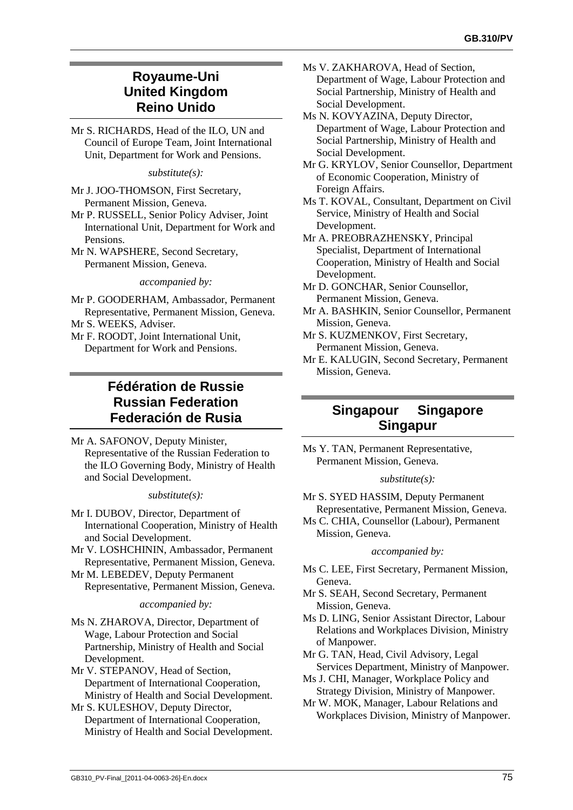# **Royaume-Uni United Kingdom Reino Unido**

Mr S. RICHARDS, Head of the ILO, UN and Council of Europe Team, Joint International Unit, Department for Work and Pensions.

*substitute(s):*

Mr J. JOO-THOMSON, First Secretary, Permanent Mission, Geneva.

- Mr P. RUSSELL, Senior Policy Adviser, Joint International Unit, Department for Work and Pensions.
- Mr N. WAPSHERE, Second Secretary, Permanent Mission, Geneva.

*accompanied by:*

- Mr P. GOODERHAM, Ambassador, Permanent Representative, Permanent Mission, Geneva.
- Mr S. WEEKS, Adviser.
- Mr F. ROODT, Joint International Unit, Department for Work and Pensions.

# **Fédération de Russie Russian Federation Federación de Rusia**

Mr A. SAFONOV, Deputy Minister, Representative of the Russian Federation to the ILO Governing Body, Ministry of Health and Social Development.

#### *substitute(s):*

- Mr I. DUBOV, Director, Department of International Cooperation, Ministry of Health and Social Development.
- Mr V. LOSHCHININ, Ambassador, Permanent Representative, Permanent Mission, Geneva.
- Mr M. LEBEDEV, Deputy Permanent Representative, Permanent Mission, Geneva.

*accompanied by:*

Ms N. ZHAROVA, Director, Department of Wage, Labour Protection and Social Partnership, Ministry of Health and Social Development.

- Mr V. STEPANOV, Head of Section, Department of International Cooperation, Ministry of Health and Social Development.
- Mr S. KULESHOV, Deputy Director, Department of International Cooperation, Ministry of Health and Social Development.
- Ms V. ZAKHAROVA, Head of Section, Department of Wage, Labour Protection and Social Partnership, Ministry of Health and Social Development.
- Ms N. KOVYAZINA, Deputy Director, Department of Wage, Labour Protection and Social Partnership, Ministry of Health and Social Development.
- Mr G. KRYLOV, Senior Counsellor, Department of Economic Cooperation, Ministry of Foreign Affairs.
- Ms T. KOVAL, Consultant, Department on Civil Service, Ministry of Health and Social Development.
- Mr A. PREOBRAZHENSKY, Principal Specialist, Department of International Cooperation, Ministry of Health and Social Development.
- Mr D. GONCHAR, Senior Counsellor, Permanent Mission, Geneva.
- Mr A. BASHKIN, Senior Counsellor, Permanent Mission, Geneva.
- Mr S. KUZMENKOV, First Secretary, Permanent Mission, Geneva.
- Mr E. KALUGIN, Second Secretary, Permanent Mission, Geneva.

# **Singapour Singapore Singapur**

Ms Y. TAN, Permanent Representative, Permanent Mission, Geneva.

*substitute(s):*

- Mr S. SYED HASSIM, Deputy Permanent Representative, Permanent Mission, Geneva.
- Ms C. CHIA, Counsellor (Labour), Permanent Mission, Geneva.

*accompanied by:*

- Ms C. LEE, First Secretary, Permanent Mission, Geneva.
- Mr S. SEAH, Second Secretary, Permanent Mission, Geneva.
- Ms D. LING, Senior Assistant Director, Labour Relations and Workplaces Division, Ministry of Manpower.
- Mr G. TAN, Head, Civil Advisory, Legal Services Department, Ministry of Manpower.
- Ms J. CHI, Manager, Workplace Policy and Strategy Division, Ministry of Manpower.
- Mr W. MOK, Manager, Labour Relations and Workplaces Division, Ministry of Manpower.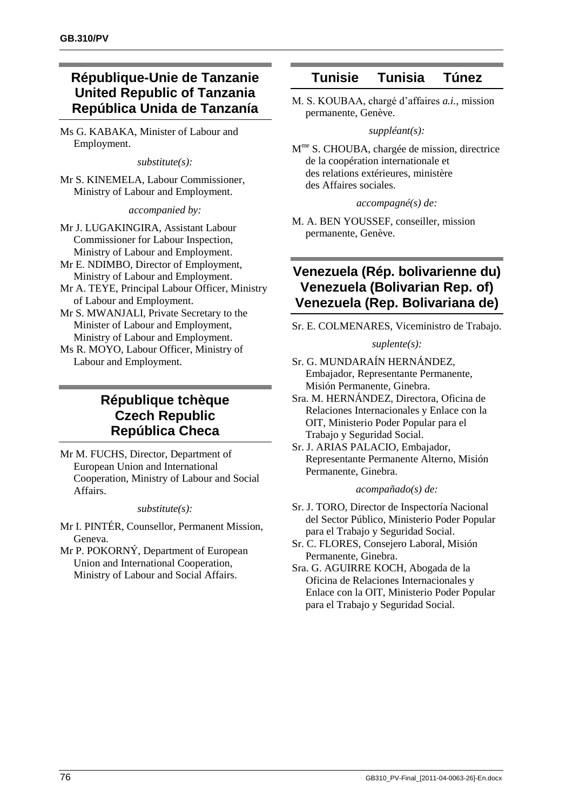# **République-Unie de Tanzanie United Republic of Tanzania República Unida de Tanzanía**

Ms G. KABAKA, Minister of Labour and Employment.

*substitute(s):*

Mr S. KINEMELA, Labour Commissioner, Ministry of Labour and Employment.

*accompanied by:*

- Mr J. LUGAKINGIRA, Assistant Labour Commissioner for Labour Inspection, Ministry of Labour and Employment.
- Mr E. NDIMBO, Director of Employment, Ministry of Labour and Employment.
- Mr A. TEYE, Principal Labour Officer, Ministry of Labour and Employment.
- Mr S. MWANJALI, Private Secretary to the Minister of Labour and Employment, Ministry of Labour and Employment.
- Ms R. MOYO, Labour Officer, Ministry of Labour and Employment.

# **République tchèque Czech Republic República Checa**

Mr M. FUCHS, Director, Department of European Union and International Cooperation, Ministry of Labour and Social Affairs.

#### *substitute(s):*

- Mr I. PINTÉR, Counsellor, Permanent Mission, Geneva.
- Mr P. POKORNÝ, Department of European Union and International Cooperation, Ministry of Labour and Social Affairs.

## **Tunisie Tunisia Túnez**

M. S. KOUBAA, chargé d'affaires *a.i.*, mission permanente, Genève.

### *suppléant(s):*

M me S. CHOUBA, chargée de mission, directrice de la coopération internationale et des relations extérieures, ministère des Affaires sociales.

### *accompagné(s) de:*

M. A. BEN YOUSSEF, conseiller, mission permanente, Genève.

# **Venezuela (Rép. bolivarienne du) Venezuela (Bolivarian Rep. of) Venezuela (Rep. Bolivariana de)**

Sr. E. COLMENARES, Viceministro de Trabajo.

### *suplente(s):*

- Sr. G. MUNDARAÍN HERNÁNDEZ, Embajador, Representante Permanente, Misión Permanente, Ginebra.
- Sra. M. HERNÁNDEZ, Directora, Oficina de Relaciones Internacionales y Enlace con la OIT, Ministerio Poder Popular para el Trabajo y Seguridad Social.
- Sr. J. ARIAS PALACIO, Embajador, Representante Permanente Alterno, Misión Permanente, Ginebra.

### *acompañado(s) de:*

- Sr. J. TORO, Director de Inspectoría Nacional del Sector Público, Ministerio Poder Popular para el Trabajo y Seguridad Social.
- Sr. C. FLORES, Consejero Laboral, Misión Permanente, Ginebra.
- Sra. G. AGUIRRE KOCH, Abogada de la Oficina de Relaciones Internacionales y Enlace con la OIT, Ministerio Poder Popular para el Trabajo y Seguridad Social.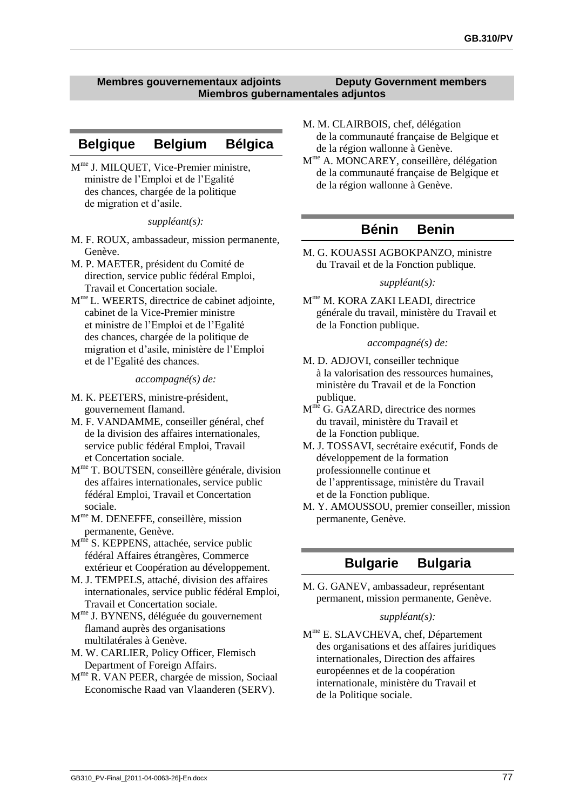#### **Membres gouvernementaux adjoints Deputy Government members Miembros gubernamentales adjuntos**

### **Belgique Belgium Bélgica**

M me J. MILQUET, Vice-Premier ministre, ministre de l'Emploi et de l'Egalité des chances, chargée de la politique de migration et d'asile.

#### *suppléant(s):*

- M. F. ROUX, ambassadeur, mission permanente, Genève.
- M. P. MAETER, président du Comité de direction, service public fédéral Emploi, Travail et Concertation sociale.
- M<sup>me</sup> L. WEERTS, directrice de cabinet adjointe, cabinet de la Vice-Premier ministre et ministre de l'Emploi et de l'Egalité des chances, chargée de la politique de migration et d'asile, ministère de l'Emploi et de l'Egalité des chances.

#### *accompagné(s) de:*

- M. K. PEETERS, ministre-président, gouvernement flamand.
- M. F. VANDAMME, conseiller général, chef de la division des affaires internationales, service public fédéral Emploi, Travail et Concertation sociale.
- M me T. BOUTSEN, conseillère générale, division des affaires internationales, service public fédéral Emploi, Travail et Concertation sociale.
- M me M. DENEFFE, conseillère, mission permanente, Genève.
- M<sup>me</sup> S. KEPPENS, attachée, service public fédéral Affaires étrangères, Commerce extérieur et Coopération au développement.
- M. J. TEMPELS, attaché, division des affaires internationales, service public fédéral Emploi, Travail et Concertation sociale.
- M me J. BYNENS, déléguée du gouvernement flamand auprès des organisations multilatérales à Genève.
- M. W. CARLIER, Policy Officer, Flemisch Department of Foreign Affairs.
- M me R. VAN PEER, chargée de mission, Sociaal Economische Raad van Vlaanderen (SERV).
- M. M. CLAIRBOIS, chef, délégation de la communauté française de Belgique et de la région wallonne à Genève.
- M me A. MONCAREY, conseillère, délégation de la communauté française de Belgique et de la région wallonne à Genève.

### **Bénin Benin**

M. G. KOUASSI AGBOKPANZO, ministre du Travail et de la Fonction publique.

#### *suppléant(s):*

M<sup>me</sup> M. KORA ZAKI LEADI, directrice générale du travail, ministère du Travail et de la Fonction publique.

#### *accompagné(s) de:*

- M. D. ADJOVI, conseiller technique à la valorisation des ressources humaines, ministère du Travail et de la Fonction publique.
- M<sup>me</sup> G. GAZARD, directrice des normes du travail, ministère du Travail et de la Fonction publique.
- M. J. TOSSAVI, secrétaire exécutif, Fonds de développement de la formation professionnelle continue et de l'apprentissage, ministère du Travail et de la Fonction publique.
- M. Y. AMOUSSOU, premier conseiller, mission permanente, Genève.

### **Bulgarie Bulgaria**

M. G. GANEV, ambassadeur, représentant permanent, mission permanente, Genève.

#### *suppléant(s):*

M<sup>me</sup> E. SLAVCHEVA, chef, Département des organisations et des affaires juridiques internationales, Direction des affaires européennes et de la coopération internationale, ministère du Travail et de la Politique sociale.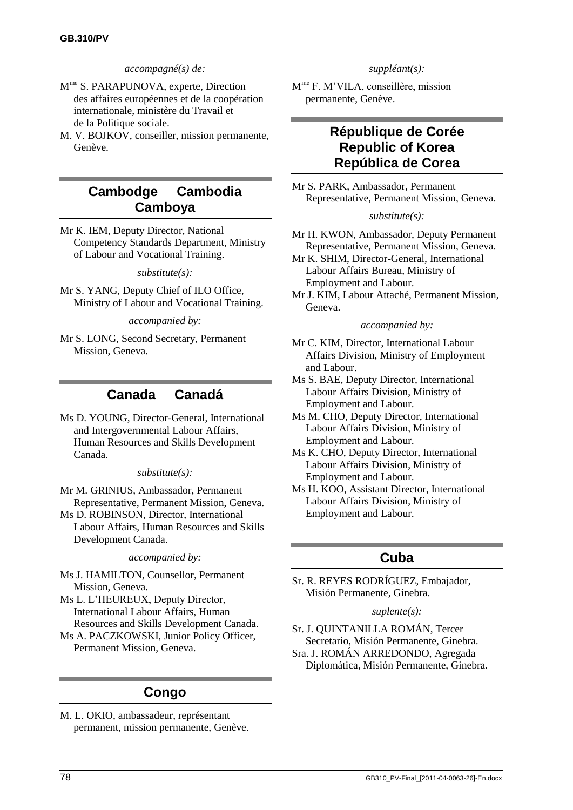#### *accompagné(s) de:*

- M<sup>me</sup> S. PARAPUNOVA, experte, Direction des affaires européennes et de la coopération internationale, ministère du Travail et de la Politique sociale.
- M. V. BOJKOV, conseiller, mission permanente, Genève.

# **Cambodge Cambodia Camboya**

Mr K. IEM, Deputy Director, National Competency Standards Department, Ministry of Labour and Vocational Training.

*substitute(s):*

Mr S. YANG, Deputy Chief of ILO Office, Ministry of Labour and Vocational Training.

*accompanied by:*

Mr S. LONG, Second Secretary, Permanent Mission, Geneva.

### **Canada Canadá**

Ms D. YOUNG, Director-General, International and Intergovernmental Labour Affairs, Human Resources and Skills Development Canada.

#### *substitute(s):*

- Mr M. GRINIUS, Ambassador, Permanent Representative, Permanent Mission, Geneva.
- Ms D. ROBINSON, Director, International Labour Affairs, Human Resources and Skills Development Canada.

*accompanied by:*

- Ms J. HAMILTON, Counsellor, Permanent Mission, Geneva.
- Ms L. L'HEUREUX, Deputy Director, International Labour Affairs, Human Resources and Skills Development Canada.
- Ms A. PACZKOWSKI, Junior Policy Officer, Permanent Mission, Geneva.

## **Congo**

M. L. OKIO, ambassadeur, représentant permanent, mission permanente, Genève. *suppléant(s):*

M me F. M'VILA, conseillère, mission permanente, Genève.

## **République de Corée Republic of Korea República de Corea**

Mr S. PARK, Ambassador, Permanent Representative, Permanent Mission, Geneva.

#### *substitute(s):*

- Mr H. KWON, Ambassador, Deputy Permanent Representative, Permanent Mission, Geneva.
- Mr K. SHIM, Director-General, International Labour Affairs Bureau, Ministry of Employment and Labour.
- Mr J. KIM, Labour Attaché, Permanent Mission, Geneva.

#### *accompanied by:*

Mr C. KIM, Director, International Labour Affairs Division, Ministry of Employment and Labour.

- Ms S. BAE, Deputy Director, International Labour Affairs Division, Ministry of Employment and Labour.
- Ms M. CHO, Deputy Director, International Labour Affairs Division, Ministry of Employment and Labour.
- Ms K. CHO, Deputy Director, International Labour Affairs Division, Ministry of Employment and Labour.
- Ms H. KOO, Assistant Director, International Labour Affairs Division, Ministry of Employment and Labour.

## **Cuba**

Sr. R. REYES RODRÍGUEZ, Embajador, Misión Permanente, Ginebra.

#### *suplente(s):*

Sr. J. QUINTANILLA ROMÁN, Tercer Secretario, Misión Permanente, Ginebra. Sra. J. ROMÁN ARREDONDO, Agregada Diplomática, Misión Permanente, Ginebra.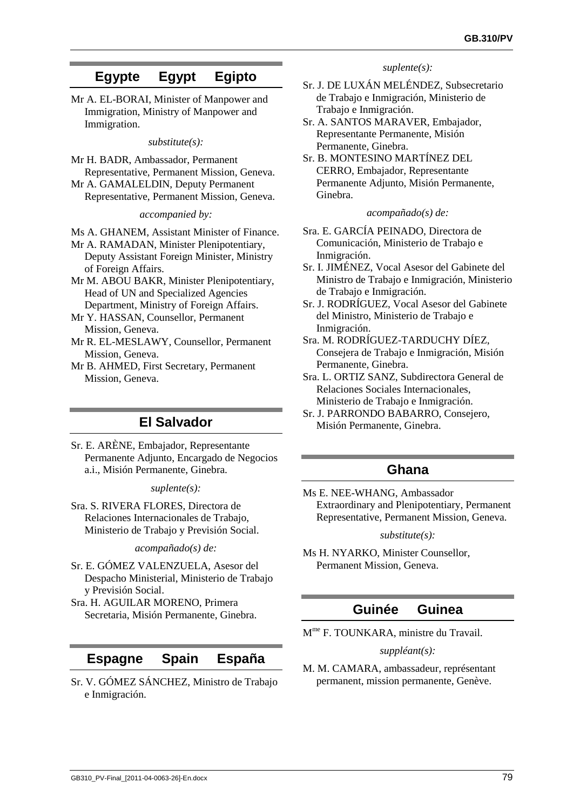# <span id="page-86-0"></span>**Egypte Egypt Egipto**

Mr A. EL-BORAI, Minister of Manpower and Immigration, Ministry of Manpower and Immigration.

*substitute(s):*

Mr H. BADR, Ambassador, Permanent Representative, Permanent Mission, Geneva.

Mr A. GAMALELDIN, Deputy Permanent Representative, Permanent Mission, Geneva.

*accompanied by:*

Ms A. GHANEM, Assistant Minister of Finance.

- Mr A. RAMADAN, Minister Plenipotentiary, Deputy Assistant Foreign Minister, Ministry of Foreign Affairs.
- Mr M. ABOU BAKR, Minister Plenipotentiary, Head of UN and Specialized Agencies
- Department, Ministry of Foreign Affairs. Mr Y. HASSAN, Counsellor, Permanent Mission, Geneva.

Mr R. EL-MESLAWY, Counsellor, Permanent Mission, Geneva.

Mr B. AHMED, First Secretary, Permanent Mission, Geneva.

# **El Salvador**

Sr. E. ARÈNE, Embajador, Representante Permanente Adjunto, Encargado de Negocios a.i., Misión Permanente, Ginebra.

*suplente(s):*

Sra. S. RIVERA FLORES, Directora de Relaciones Internacionales de Trabajo, Ministerio de Trabajo y Previsión Social.

*acompañado(s) de:*

- Sr. E. GÓMEZ VALENZUELA, Asesor del Despacho Ministerial, Ministerio de Trabajo y Previsión Social.
- Sra. H. AGUILAR MORENO, Primera Secretaria, Misión Permanente, Ginebra.

## **Espagne Spain España**

Sr. V. GÓMEZ SÁNCHEZ, Ministro de Trabajo e Inmigración.

*suplente(s):*

- Sr. J. DE LUXÁN MELÉNDEZ, Subsecretario de Trabajo e Inmigración, Ministerio de Trabajo e Inmigración.
- Sr. A. SANTOS MARAVER, Embajador, Representante Permanente, Misión Permanente, Ginebra.
- Sr. B. MONTESINO MARTÍNEZ DEL CERRO, Embajador, Representante Permanente Adjunto, Misión Permanente, Ginebra.

*acompañado(s) de:*

- Sra. E. GARCÍA PEINADO, Directora de Comunicación, Ministerio de Trabajo e Inmigración.
- Sr. I. JIMÉNEZ, Vocal Asesor del Gabinete del Ministro de Trabajo e Inmigración, Ministerio de Trabajo e Inmigración.
- Sr. J. RODRÍGUEZ, Vocal Asesor del Gabinete del Ministro, Ministerio de Trabajo e Inmigración.
- Sra. M. RODRÍGUEZ-TARDUCHY DÍEZ, Consejera de Trabajo e Inmigración, Misión Permanente, Ginebra.
- Sra. L. ORTIZ SANZ, Subdirectora General de Relaciones Sociales Internacionales, Ministerio de Trabajo e Inmigración.
- Sr. J. PARRONDO BABARRO, Consejero, Misión Permanente, Ginebra.

## **Ghana**

Ms E. NEE-WHANG, Ambassador Extraordinary and Plenipotentiary, Permanent Representative, Permanent Mission, Geneva.

*substitute(s):*

Ms H. NYARKO, Minister Counsellor, Permanent Mission, Geneva.

# **Guinée Guinea**

M me F. TOUNKARA, ministre du Travail.

#### *suppléant(s):*

M. M. CAMARA, ambassadeur, représentant permanent, mission permanente, Genève.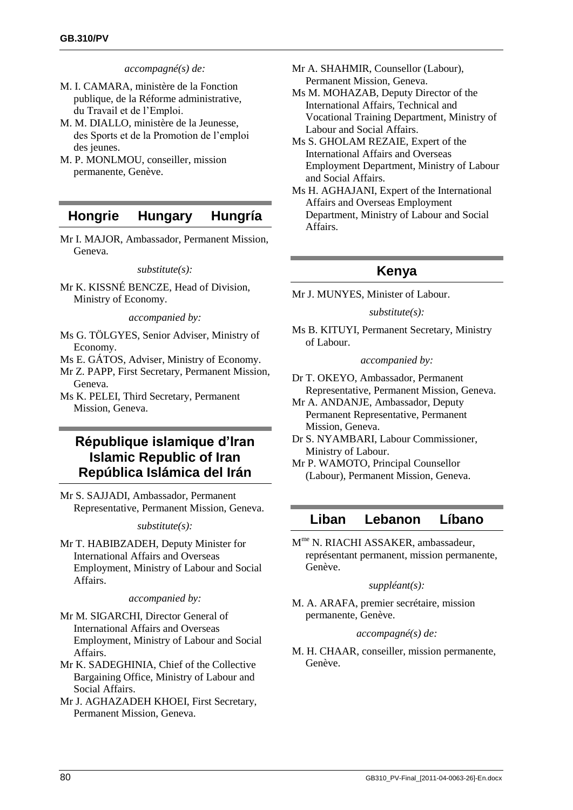#### *accompagné(s) de:*

- M. I. CAMARA, ministère de la Fonction publique, de la Réforme administrative, du Travail et de l'Emploi.
- M. M. DIALLO, ministère de la Jeunesse, des Sports et de la Promotion de l'emploi des jeunes.
- M. P. MONLMOU, conseiller, mission permanente, Genève.

### **Hongrie Hungary Hungría**

Mr I. MAJOR, Ambassador, Permanent Mission, Geneva.

#### *substitute(s):*

Mr K. KISSNÉ BENCZE, Head of Division, Ministry of Economy.

*accompanied by:*

- Ms G. TÖLGYES, Senior Adviser, Ministry of Economy.
- Ms E. GÁTOS, Adviser, Ministry of Economy.
- Mr Z. PAPP, First Secretary, Permanent Mission, Geneva.
- Ms K. PELEI, Third Secretary, Permanent Mission, Geneva.

# **République islamique d'Iran Islamic Republic of Iran República Islámica del Irán**

Mr S. SAJJADI, Ambassador, Permanent Representative, Permanent Mission, Geneva.

#### *substitute(s):*

Mr T. HABIBZADEH, Deputy Minister for International Affairs and Overseas Employment, Ministry of Labour and Social Affairs.

*accompanied by:*

- Mr M. SIGARCHI, Director General of International Affairs and Overseas Employment, Ministry of Labour and Social Affairs.
- Mr K. SADEGHINIA, Chief of the Collective Bargaining Office, Ministry of Labour and Social Affairs.
- Mr J. AGHAZADEH KHOEI, First Secretary, Permanent Mission, Geneva.
- Mr A. SHAHMIR, Counsellor (Labour), Permanent Mission, Geneva.
- Ms M. MOHAZAB, Deputy Director of the International Affairs, Technical and Vocational Training Department, Ministry of Labour and Social Affairs.
- Ms S. GHOLAM REZAIE, Expert of the International Affairs and Overseas Employment Department, Ministry of Labour and Social Affairs.
- Ms H. AGHAJANI, Expert of the International Affairs and Overseas Employment Department, Ministry of Labour and Social Affairs.

## **Kenya**

Mr J. MUNYES, Minister of Labour.

#### *substitute(s):*

Ms B. KITUYI, Permanent Secretary, Ministry of Labour.

*accompanied by:*

- Dr T. OKEYO, Ambassador, Permanent Representative, Permanent Mission, Geneva.
- Mr A. ANDANJE, Ambassador, Deputy Permanent Representative, Permanent Mission, Geneva.
- Dr S. NYAMBARI, Labour Commissioner, Ministry of Labour.
- Mr P. WAMOTO, Principal Counsellor (Labour), Permanent Mission, Geneva.

### **Liban Lebanon Líbano**

M me N. RIACHI ASSAKER, ambassadeur, représentant permanent, mission permanente, Genève.

#### *suppléant(s):*

M. A. ARAFA, premier secrétaire, mission permanente, Genève.

#### *accompagné(s) de:*

M. H. CHAAR, conseiller, mission permanente, Genève.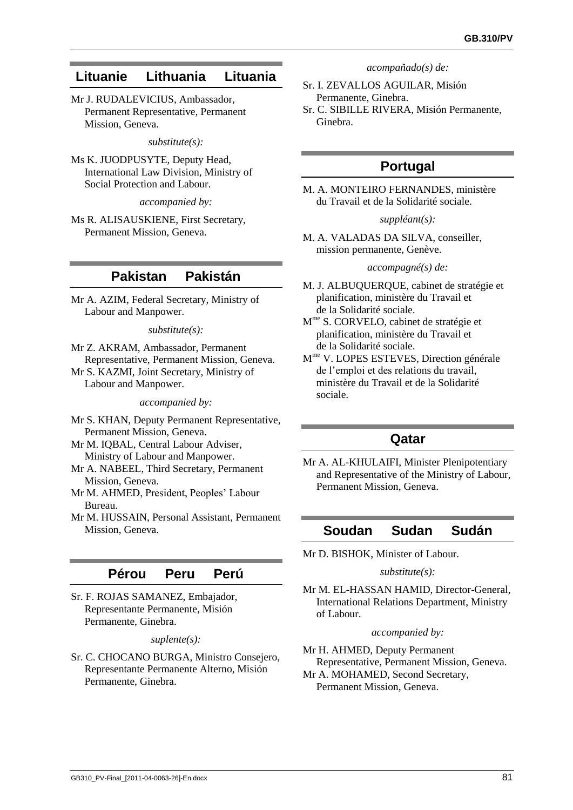# **Lituanie Lithuania Lituania**

Mr J. RUDALEVICIUS, Ambassador, Permanent Representative, Permanent Mission, Geneva.

#### *substitute(s):*

Ms K. JUODPUSYTE, Deputy Head, International Law Division, Ministry of Social Protection and Labour.

*accompanied by:*

Ms R. ALISAUSKIENE, First Secretary, Permanent Mission, Geneva.

## **Pakistan Pakistán**

Mr A. AZIM, Federal Secretary, Ministry of Labour and Manpower.

#### *substitute(s):*

Mr Z. AKRAM, Ambassador, Permanent Representative, Permanent Mission, Geneva. Mr S. KAZMI, Joint Secretary, Ministry of Labour and Manpower.

*accompanied by:*

- Mr S. KHAN, Deputy Permanent Representative, Permanent Mission, Geneva.
- Mr M. IQBAL, Central Labour Adviser, Ministry of Labour and Manpower.
- Mr A. NABEEL, Third Secretary, Permanent Mission, Geneva.
- Mr M. AHMED, President, Peoples' Labour Bureau.
- Mr M. HUSSAIN, Personal Assistant, Permanent Mission, Geneva.

# **Pérou Peru Perú**

Sr. F. ROJAS SAMANEZ, Embajador, Representante Permanente, Misión Permanente, Ginebra.

*suplente(s):*

Sr. C. CHOCANO BURGA, Ministro Consejero, Representante Permanente Alterno, Misión Permanente, Ginebra.

*acompañado(s) de:*

- Sr. I. ZEVALLOS AGUILAR, Misión Permanente, Ginebra.
- Sr. C. SIBILLE RIVERA, Misión Permanente, Ginebra.

# **Portugal**

M. A. MONTEIRO FERNANDES, ministère du Travail et de la Solidarité sociale.

#### *suppléant(s):*

M. A. VALADAS DA SILVA, conseiller, mission permanente, Genève.

### *accompagné(s) de:*

- M. J. ALBUQUERQUE, cabinet de stratégie et planification, ministère du Travail et de la Solidarité sociale.
- M me S. CORVELO, cabinet de stratégie et planification, ministère du Travail et de la Solidarité sociale.
- M me V. LOPES ESTEVES, Direction générale de l'emploi et des relations du travail, ministère du Travail et de la Solidarité sociale.

## **Qatar**

Mr A. AL-KHULAIFI, Minister Plenipotentiary and Representative of the Ministry of Labour, Permanent Mission, Geneva.

# **Soudan Sudan Sudán**

Mr D. BISHOK, Minister of Labour.

#### *substitute(s):*

Mr M. EL-HASSAN HAMID, Director-General, International Relations Department, Ministry of Labour.

#### *accompanied by:*

Mr H. AHMED, Deputy Permanent Representative, Permanent Mission, Geneva.

Mr A. MOHAMED, Second Secretary, Permanent Mission, Geneva.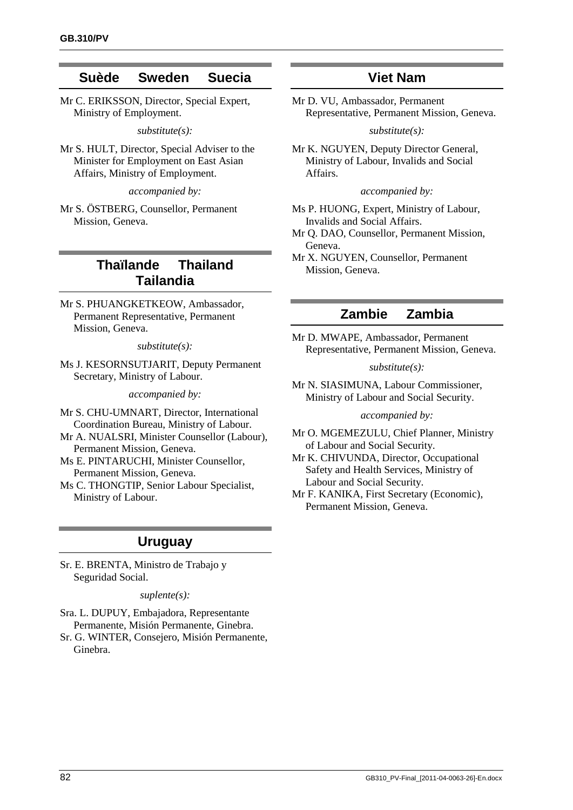## **Suède Sweden Suecia**

Mr C. ERIKSSON, Director, Special Expert, Ministry of Employment.

*substitute(s):*

Mr S. HULT, Director, Special Adviser to the Minister for Employment on East Asian Affairs, Ministry of Employment.

*accompanied by:*

Mr S. ÖSTBERG, Counsellor, Permanent Mission, Geneva.

# **Thaïlande Thailand Tailandia**

Mr S. PHUANGKETKEOW, Ambassador, Permanent Representative, Permanent Mission, Geneva.

*substitute(s):*

Ms J. KESORNSUTJARIT, Deputy Permanent Secretary, Ministry of Labour.

*accompanied by:*

- Mr S. CHU-UMNART, Director, International Coordination Bureau, Ministry of Labour.
- Mr A. NUALSRI, Minister Counsellor (Labour), Permanent Mission, Geneva.
- Ms E. PINTARUCHI, Minister Counsellor, Permanent Mission, Geneva.

Ms C. THONGTIP, Senior Labour Specialist, Ministry of Labour.

### **Uruguay**

Sr. E. BRENTA, Ministro de Trabajo y Seguridad Social.

#### *suplente(s):*

- Sra. L. DUPUY, Embajadora, Representante Permanente, Misión Permanente, Ginebra.
- Sr. G. WINTER, Consejero, Misión Permanente, Ginebra.

## **Viet Nam**

Mr D. VU, Ambassador, Permanent Representative, Permanent Mission, Geneva.

#### *substitute(s):*

Mr K. NGUYEN, Deputy Director General, Ministry of Labour, Invalids and Social Affairs.

#### *accompanied by:*

- Ms P. HUONG, Expert, Ministry of Labour, Invalids and Social Affairs.
- Mr Q. DAO, Counsellor, Permanent Mission, Geneva.

Mr X. NGUYEN, Counsellor, Permanent Mission, Geneva.

## **Zambie Zambia**

Mr D. MWAPE, Ambassador, Permanent Representative, Permanent Mission, Geneva.

#### *substitute(s):*

Mr N. SIASIMUNA, Labour Commissioner, Ministry of Labour and Social Security.

#### *accompanied by:*

Mr O. MGEMEZULU, Chief Planner, Ministry of Labour and Social Security.

Mr K. CHIVUNDA, Director, Occupational Safety and Health Services, Ministry of Labour and Social Security.

Mr F. KANIKA, First Secretary (Economic), Permanent Mission, Geneva.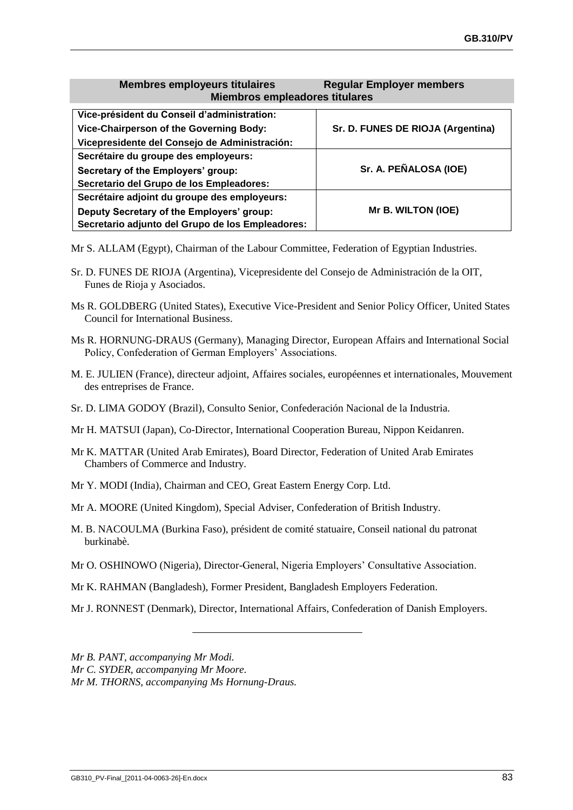#### **Membres employeurs titulaires Regular Employer members Miembros empleadores titulares**

| Vice-président du Conseil d'administration:      |                                   |  |
|--------------------------------------------------|-----------------------------------|--|
| Vice-Chairperson of the Governing Body:          | Sr. D. FUNES DE RIOJA (Argentina) |  |
| Vicepresidente del Consejo de Administración:    |                                   |  |
| Secrétaire du groupe des employeurs:             |                                   |  |
| Secretary of the Employers' group:               | Sr. A. PEÑALOSA (IOE)             |  |
| Secretario del Grupo de los Empleadores:         |                                   |  |
| Secrétaire adjoint du groupe des employeurs:     |                                   |  |
| Deputy Secretary of the Employers' group:        | Mr B. WILTON (IOE)                |  |
| Secretario adjunto del Grupo de los Empleadores: |                                   |  |

Mr S. ALLAM (Egypt), Chairman of the Labour Committee, Federation of Egyptian Industries.

- Sr. D. FUNES DE RIOJA (Argentina), Vicepresidente del Consejo de Administración de la OIT, Funes de Rioja y Asociados.
- Ms R. GOLDBERG (United States), Executive Vice-President and Senior Policy Officer, United States Council for International Business.
- Ms R. HORNUNG-DRAUS (Germany), Managing Director, European Affairs and International Social Policy, Confederation of German Employers' Associations.
- M. E. JULIEN (France), directeur adjoint, Affaires sociales, européennes et internationales, Mouvement des entreprises de France.
- Sr. D. LIMA GODOY (Brazil), Consulto Senior, Confederación Nacional de la Industria.
- Mr H. MATSUI (Japan), Co-Director, International Cooperation Bureau, Nippon Keidanren.
- Mr K. MATTAR (United Arab Emirates), Board Director, Federation of United Arab Emirates Chambers of Commerce and Industry.
- Mr Y. MODI (India), Chairman and CEO, Great Eastern Energy Corp. Ltd.
- Mr A. MOORE (United Kingdom), Special Adviser, Confederation of British Industry.
- M. B. NACOULMA (Burkina Faso), président de comité statuaire, Conseil national du patronat burkinabè.
- Mr O. OSHINOWO (Nigeria), Director-General, Nigeria Employers' Consultative Association.
- Mr K. RAHMAN (Bangladesh), Former President, Bangladesh Employers Federation.
- Mr J. RONNEST (Denmark), Director, International Affairs, Confederation of Danish Employers.

*Mr B. PANT, accompanying Mr Modi.*

*Mr C. SYDER, accompanying Mr Moore.*

*Mr M. THORNS, accompanying Ms Hornung-Draus.*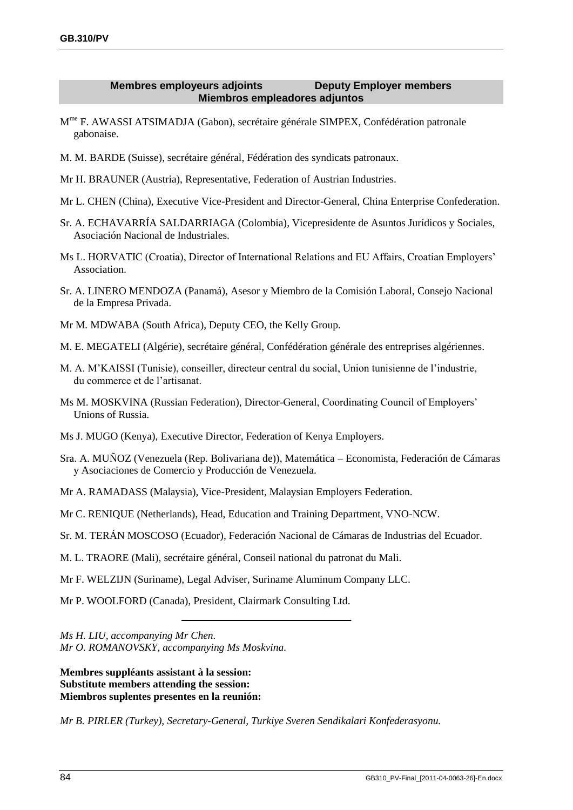### **Membres employeurs adjoints Deputy Employer members Miembros empleadores adjuntos**

- M<sup>me</sup> F. AWASSI ATSIMADJA (Gabon), secrétaire générale SIMPEX, Confédération patronale gabonaise.
- M. M. BARDE (Suisse), secrétaire général, Fédération des syndicats patronaux.
- Mr H. BRAUNER (Austria), Representative, Federation of Austrian Industries.
- Mr L. CHEN (China), Executive Vice-President and Director-General, China Enterprise Confederation.
- Sr. A. ECHAVARRÍA SALDARRIAGA (Colombia), Vicepresidente de Asuntos Jurídicos y Sociales, Asociación Nacional de Industriales.
- Ms L. HORVATIC (Croatia), Director of International Relations and EU Affairs, Croatian Employers' Association.
- Sr. A. LINERO MENDOZA (Panamá), Asesor y Miembro de la Comisión Laboral, Consejo Nacional de la Empresa Privada.
- Mr M. MDWABA (South Africa), Deputy CEO, the Kelly Group.
- M. E. MEGATELI (Algérie), secrétaire général, Confédération générale des entreprises algériennes.
- M. A. M'KAISSI (Tunisie), conseiller, directeur central du social, Union tunisienne de l'industrie, du commerce et de l'artisanat.
- Ms M. MOSKVINA (Russian Federation), Director-General, Coordinating Council of Employers' Unions of Russia.
- Ms J. MUGO (Kenya), Executive Director, Federation of Kenya Employers.
- Sra. A. MUÑOZ (Venezuela (Rep. Bolivariana de)), Matemática Economista, Federación de Cámaras y Asociaciones de Comercio y Producción de Venezuela.
- Mr A. RAMADASS (Malaysia), Vice-President, Malaysian Employers Federation.
- Mr C. RENIQUE (Netherlands), Head, Education and Training Department, VNO-NCW.
- Sr. M. TERÁN MOSCOSO (Ecuador), Federación Nacional de Cámaras de Industrias del Ecuador.
- M. L. TRAORE (Mali), secrétaire général, Conseil national du patronat du Mali.
- Mr F. WELZIJN (Suriname), Legal Adviser, Suriname Aluminum Company LLC.

Mr P. WOOLFORD (Canada), President, Clairmark Consulting Ltd.

*Ms H. LIU, accompanying Mr Chen. Mr O. ROMANOVSKY, accompanying Ms Moskvina.*

**Membres suppléants assistant à la session: Substitute members attending the session: Miembros suplentes presentes en la reunión:**

*Mr B. PIRLER (Turkey), Secretary-General, Turkiye Sveren Sendikalari Konfederasyonu.*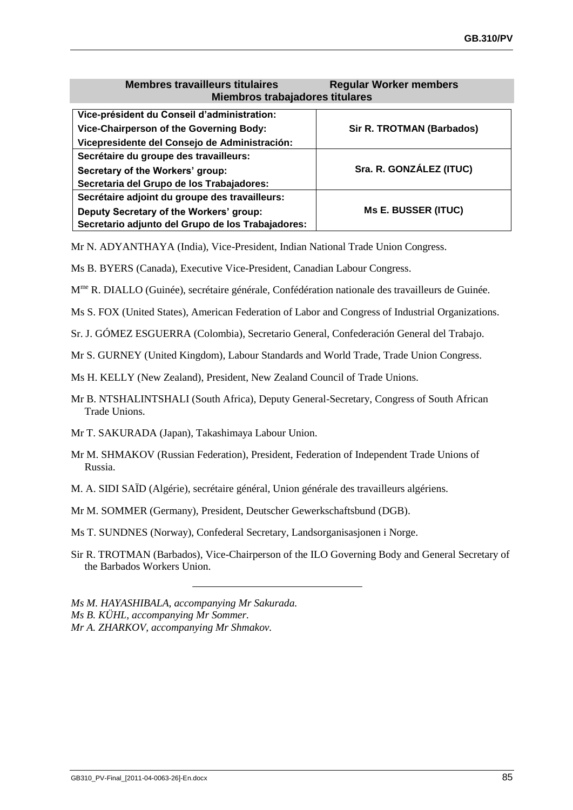#### **Membres travailleurs titulaires Regular Worker members Miembros trabajadores titulares**

<span id="page-92-0"></span>

| Vice-président du Conseil d'administration:       |                                  |
|---------------------------------------------------|----------------------------------|
| Vice-Chairperson of the Governing Body:           | <b>Sir R. TROTMAN (Barbados)</b> |
| Vicepresidente del Consejo de Administración:     |                                  |
| Secrétaire du groupe des travailleurs:            |                                  |
| Secretary of the Workers' group:                  | Sra. R. GONZÁLEZ (ITUC)          |
| Secretaria del Grupo de los Trabajadores:         |                                  |
| Secrétaire adjoint du groupe des travailleurs:    |                                  |
| Deputy Secretary of the Workers' group:           | <b>Ms E. BUSSER (ITUC)</b>       |
| Secretario adjunto del Grupo de los Trabajadores: |                                  |

Mr N. ADYANTHAYA (India), Vice-President, Indian National Trade Union Congress.

- Ms B. BYERS (Canada), Executive Vice-President, Canadian Labour Congress.
- M<sup>me</sup> R. DIALLO (Guinée), secrétaire générale, Confédération nationale des travailleurs de Guinée.
- Ms S. FOX (United States), American Federation of Labor and Congress of Industrial Organizations.
- Sr. J. GÓMEZ ESGUERRA (Colombia), Secretario General, Confederación General del Trabajo.
- Mr S. GURNEY (United Kingdom), Labour Standards and World Trade, Trade Union Congress.
- Ms H. KELLY (New Zealand), President, New Zealand Council of Trade Unions.
- Mr B. NTSHALINTSHALI (South Africa), Deputy General-Secretary, Congress of South African Trade Unions.
- Mr T. SAKURADA (Japan), Takashimaya Labour Union.
- Mr M. SHMAKOV (Russian Federation), President, Federation of Independent Trade Unions of Russia.
- M. A. SIDI SAÏD (Algérie), secrétaire général, Union générale des travailleurs algériens.
- Mr M. SOMMER (Germany), President, Deutscher Gewerkschaftsbund (DGB).

Ms T. SUNDNES (Norway), Confederal Secretary, Landsorganisasjonen i Norge.

- Sir R. TROTMAN (Barbados), Vice-Chairperson of the ILO Governing Body and General Secretary of the Barbados Workers Union.
- *Ms M. HAYASHIBALA, accompanying Mr Sakurada. Ms B. KÜHL, accompanying Mr Sommer. Mr A. ZHARKOV, accompanying Mr Shmakov.*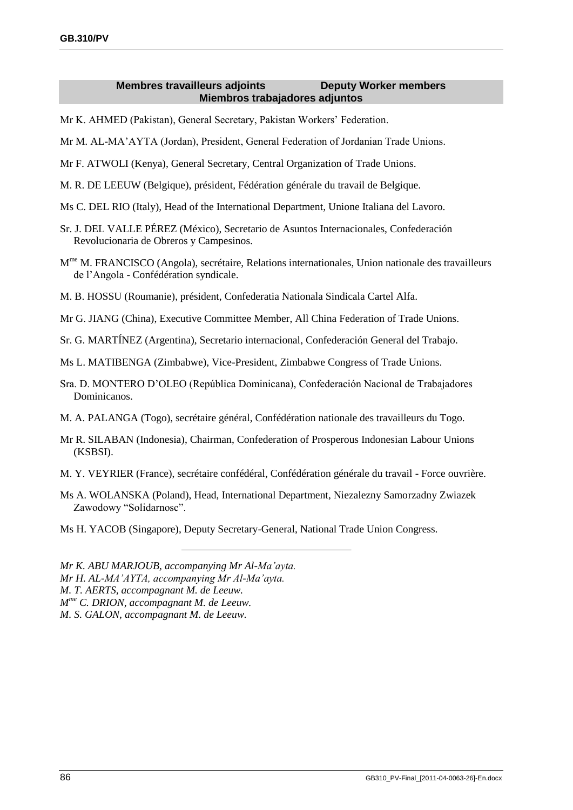### **Membres travailleurs adjoints Deputy Worker members Miembros trabajadores adjuntos**

- <span id="page-93-0"></span>Mr K. AHMED (Pakistan), General Secretary, Pakistan Workers' Federation.
- Mr M. AL-MA'AYTA (Jordan), President, General Federation of Jordanian Trade Unions.
- Mr F. ATWOLI (Kenya), General Secretary, Central Organization of Trade Unions.
- M. R. DE LEEUW (Belgique), président, Fédération générale du travail de Belgique.
- Ms C. DEL RIO (Italy), Head of the International Department, Unione Italiana del Lavoro.
- Sr. J. DEL VALLE PÉREZ (México), Secretario de Asuntos Internacionales, Confederación Revolucionaria de Obreros y Campesinos.
- M<sup>me</sup> M. FRANCISCO (Angola), secrétaire, Relations internationales, Union nationale des travailleurs de l'Angola - Confédération syndicale.
- M. B. HOSSU (Roumanie), président, Confederatia Nationala Sindicala Cartel Alfa.
- Mr G. JIANG (China), Executive Committee Member, All China Federation of Trade Unions.
- Sr. G. MARTÍNEZ (Argentina), Secretario internacional, Confederación General del Trabajo.
- Ms L. MATIBENGA (Zimbabwe), Vice-President, Zimbabwe Congress of Trade Unions.
- Sra. D. MONTERO D'OLEO (República Dominicana), Confederación Nacional de Trabajadores Dominicanos.
- M. A. PALANGA (Togo), secrétaire général, Confédération nationale des travailleurs du Togo.
- Mr R. SILABAN (Indonesia), Chairman, Confederation of Prosperous Indonesian Labour Unions (KSBSI).
- M. Y. VEYRIER (France), secrétaire confédéral, Confédération générale du travail Force ouvrière.
- Ms A. WOLANSKA (Poland), Head, International Department, Niezalezny Samorzadny Zwiazek Zawodowy "Solidarnosc".
- Ms H. YACOB (Singapore), Deputy Secretary-General, National Trade Union Congress.
- *Mr K. ABU MARJOUB, accompanying Mr Al-Ma'ayta.*
- *Mr H. AL-MA'AYTA, accompanying Mr Al-Ma'ayta.*
- *M. T. AERTS, accompagnant M. de Leeuw.*
- *M me C. DRION, accompagnant M. de Leeuw.*
- *M. S. GALON, accompagnant M. de Leeuw.*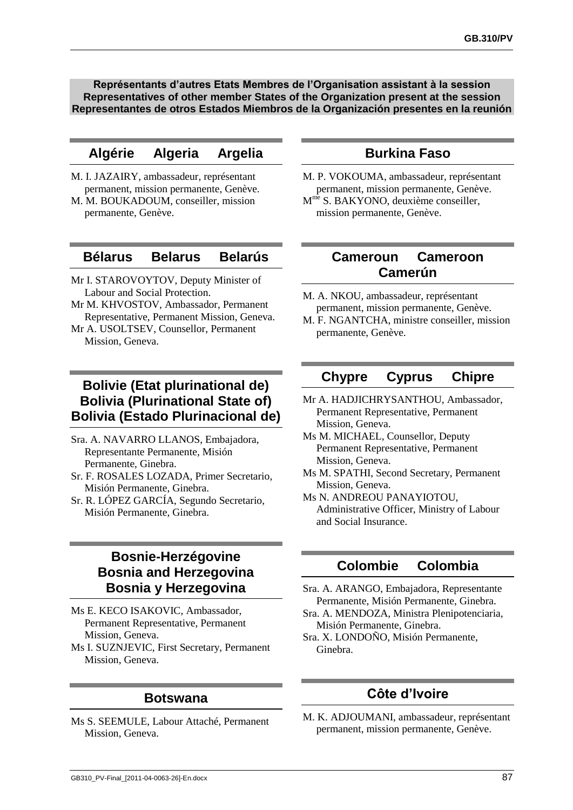<span id="page-94-0"></span>**Représentants d'autres Etats Membres de l'Organisation assistant à la session Representatives of other member States of the Organization present at the session Representantes de otros Estados Miembros de la Organización presentes en la reunión**

## **Algérie Algeria Argelia**

- M. I. JAZAIRY, ambassadeur, représentant permanent, mission permanente, Genève.
- M. M. BOUKADOUM, conseiller, mission permanente, Genève.

### **Bélarus Belarus Belarús**

- Mr I. STAROVOYTOV, Deputy Minister of Labour and Social Protection.
- Mr M. KHVOSTOV, Ambassador, Permanent Representative, Permanent Mission, Geneva.
- Mr A. USOLTSEV, Counsellor, Permanent Mission, Geneva.

## **Bolivie (Etat plurinational de) Bolivia (Plurinational State of) Bolivia (Estado Plurinacional de)**

- Sra. A. NAVARRO LLANOS, Embajadora, Representante Permanente, Misión Permanente, Ginebra.
- Sr. F. ROSALES LOZADA, Primer Secretario, Misión Permanente, Ginebra.
- Sr. R. LÓPEZ GARCÍA, Segundo Secretario, Misión Permanente, Ginebra.

## **Bosnie-Herzégovine Bosnia and Herzegovina Bosnia y Herzegovina**

- Ms E. KECO ISAKOVIC, Ambassador, Permanent Representative, Permanent Mission, Geneva.
- Ms I. SUZNJEVIC, First Secretary, Permanent Mission, Geneva.

### **Botswana**

Ms S. SEEMULE, Labour Attaché, Permanent Mission, Geneva.

## **Burkina Faso**

M. P. VOKOUMA, ambassadeur, représentant permanent, mission permanente, Genève. M<sup>me</sup> S. BAKYONO, deuxième conseiller, mission permanente, Genève.

## **Cameroun Cameroon Camerún**

- M. A. NKOU, ambassadeur, représentant permanent, mission permanente, Genève.
- M. F. NGANTCHA, ministre conseiller, mission permanente, Genève.

# **Chypre Cyprus Chipre**

- Mr A. HADJICHRYSANTHOU, Ambassador, Permanent Representative, Permanent Mission, Geneva.
- Ms M. MICHAEL, Counsellor, Deputy Permanent Representative, Permanent Mission, Geneva.
- Ms M. SPATHI, Second Secretary, Permanent Mission, Geneva.
- Ms N. ANDREOU PANAYIOTOU, Administrative Officer, Ministry of Labour and Social Insurance.

## **Colombie Colombia**

- Sra. A. ARANGO, Embajadora, Representante Permanente, Misión Permanente, Ginebra.
- Sra. A. MENDOZA, Ministra Plenipotenciaria, Misión Permanente, Ginebra.
- Sra. X. LONDOÑO, Misión Permanente, Ginebra.

## **Côte d'Ivoire**

M. K. ADJOUMANI, ambassadeur, représentant permanent, mission permanente, Genève.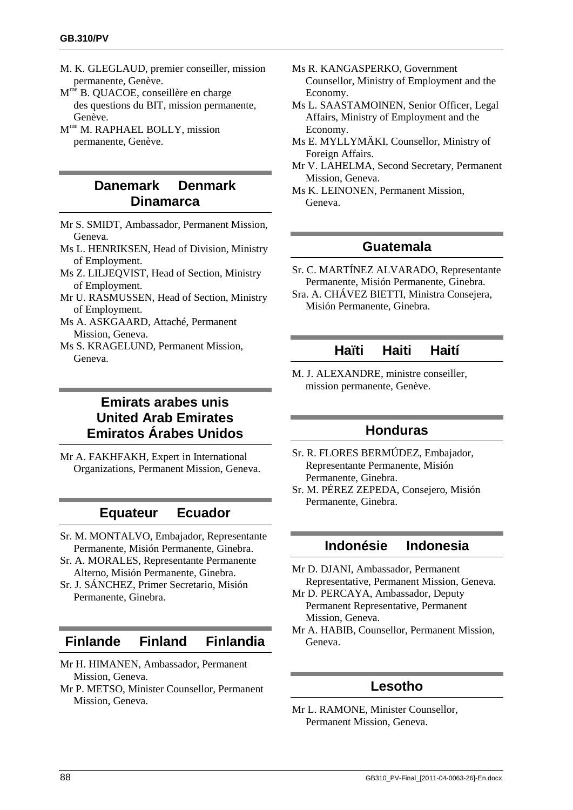- <span id="page-95-0"></span>M. K. GLEGLAUD, premier conseiller, mission permanente, Genève.
- M<sup>me</sup> B. QUACOE, conseillère en charge des questions du BIT, mission permanente, Genève.
- M me M. RAPHAEL BOLLY, mission permanente, Genève.

# **Danemark Denmark Dinamarca**

- Mr S. SMIDT, Ambassador, Permanent Mission, Geneva.
- Ms L. HENRIKSEN, Head of Division, Ministry of Employment.
- Ms Z. LILJEQVIST, Head of Section, Ministry of Employment.
- Mr U. RASMUSSEN, Head of Section, Ministry of Employment.
- Ms A. ASKGAARD, Attaché, Permanent Mission, Geneva.
- Ms S. KRAGELUND, Permanent Mission, Geneva.

# **Emirats arabes unis United Arab Emirates Emiratos Árabes Unidos**

Mr A. FAKHFAKH, Expert in International Organizations, Permanent Mission, Geneva.

## **Equateur Ecuador**

- Sr. M. MONTALVO, Embajador, Representante Permanente, Misión Permanente, Ginebra.
- Sr. A. MORALES, Representante Permanente Alterno, Misión Permanente, Ginebra.
- Sr. J. SÁNCHEZ, Primer Secretario, Misión Permanente, Ginebra.

## **Finlande Finland Finlandia**

- Mr H. HIMANEN, Ambassador, Permanent Mission, Geneva.
- Mr P. METSO, Minister Counsellor, Permanent Mission, Geneva.
- Ms R. KANGASPERKO, Government Counsellor, Ministry of Employment and the Economy.
- Ms L. SAASTAMOINEN, Senior Officer, Legal Affairs, Ministry of Employment and the Economy.
- Ms E. MYLLYMÄKI, Counsellor, Ministry of Foreign Affairs.
- Mr V. LAHELMA, Second Secretary, Permanent Mission, Geneva.
- Ms K. LEINONEN, Permanent Mission, Geneva.

### **Guatemala**

- Sr. C. MARTÍNEZ ALVARADO, Representante Permanente, Misión Permanente, Ginebra.
- Sra. A. CHÁVEZ BIETTI, Ministra Consejera, Misión Permanente, Ginebra.

### **Haïti Haiti Haití**

M. J. ALEXANDRE, ministre conseiller, mission permanente, Genève.

## **Honduras**

- Sr. R. FLORES BERMÚDEZ, Embajador, Representante Permanente, Misión Permanente, Ginebra.
- Sr. M. PÉREZ ZEPEDA, Consejero, Misión Permanente, Ginebra.

# **Indonésie Indonesia**

- Mr D. DJANI, Ambassador, Permanent Representative, Permanent Mission, Geneva.
- Mr D. PERCAYA, Ambassador, Deputy Permanent Representative, Permanent Mission, Geneva.
- Mr A. HABIB, Counsellor, Permanent Mission, Geneva.

## **Lesotho**

Mr L. RAMONE, Minister Counsellor, Permanent Mission, Geneva.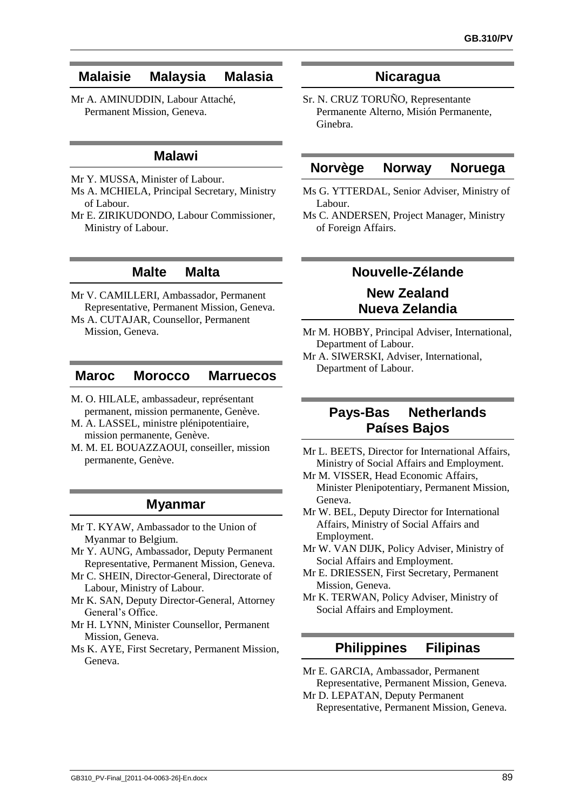## <span id="page-96-0"></span>**Malaisie Malaysia Malasia**

Mr A. AMINUDDIN, Labour Attaché, Permanent Mission, Geneva.

## **Malawi**

- Mr Y. MUSSA, Minister of Labour.
- Ms A. MCHIELA, Principal Secretary, Ministry of Labour.
- Mr E. ZIRIKUDONDO, Labour Commissioner, Ministry of Labour.

### **Malte Malta**

- Mr V. CAMILLERI, Ambassador, Permanent Representative, Permanent Mission, Geneva.
- Ms A. CUTAJAR, Counsellor, Permanent Mission, Geneva.

### **Maroc Morocco Marruecos**

- M. O. HILALE, ambassadeur, représentant permanent, mission permanente, Genève.
- M. A. LASSEL, ministre plénipotentiaire, mission permanente, Genève.
- M. M. EL BOUAZZAOUI, conseiller, mission permanente, Genève.

## **Myanmar**

- Mr T. KYAW, Ambassador to the Union of Myanmar to Belgium.
- Mr Y. AUNG, Ambassador, Deputy Permanent Representative, Permanent Mission, Geneva.
- Mr C. SHEIN, Director-General, Directorate of Labour, Ministry of Labour.
- Mr K. SAN, Deputy Director-General, Attorney General's Office.
- Mr H. LYNN, Minister Counsellor, Permanent Mission, Geneva.
- Ms K. AYE, First Secretary, Permanent Mission, Geneva.

### **Nicaragua**

Sr. N. CRUZ TORUÑO, Representante Permanente Alterno, Misión Permanente, Ginebra.

### **Norvège Norway Noruega**

- Ms G. YTTERDAL, Senior Adviser, Ministry of Labour.
- Ms C. ANDERSEN, Project Manager, Ministry of Foreign Affairs.

## **Nouvelle-Zélande**

# **New Zealand Nueva Zelandia**

- Mr M. HOBBY, Principal Adviser, International, Department of Labour.
- Mr A. SIWERSKI, Adviser, International, Department of Labour.

### **Pays-Bas Netherlands Países Bajos**

- Mr L. BEETS, Director for International Affairs, Ministry of Social Affairs and Employment.
- Mr M. VISSER, Head Economic Affairs, Minister Plenipotentiary, Permanent Mission, Geneva.
- Mr W. BEL, Deputy Director for International Affairs, Ministry of Social Affairs and Employment.
- Mr W. VAN DIJK, Policy Adviser, Ministry of Social Affairs and Employment.
- Mr E. DRIESSEN, First Secretary, Permanent Mission, Geneva.
- Mr K. TERWAN, Policy Adviser, Ministry of Social Affairs and Employment.

## **Philippines Filipinas**

- Mr E. GARCIA, Ambassador, Permanent Representative, Permanent Mission, Geneva.
- Mr D. LEPATAN, Deputy Permanent Representative, Permanent Mission, Geneva.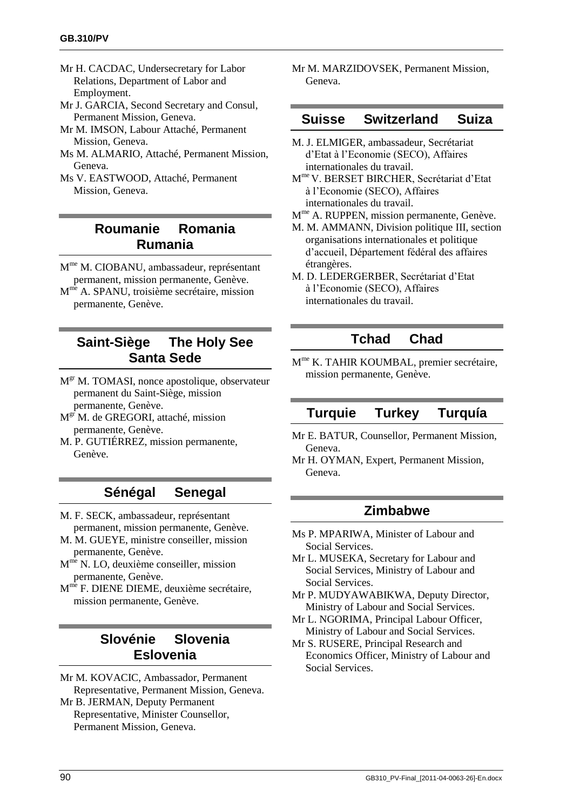- Mr H. CACDAC, Undersecretary for Labor Relations, Department of Labor and Employment.
- Mr J. GARCIA, Second Secretary and Consul, Permanent Mission, Geneva.
- Mr M. IMSON, Labour Attaché, Permanent Mission, Geneva.
- Ms M. ALMARIO, Attaché, Permanent Mission, Geneva.
- Ms V. EASTWOOD, Attaché, Permanent Mission, Geneva.

# **Roumanie Romania Rumania**

- M me M. CIOBANU, ambassadeur, représentant permanent, mission permanente, Genève.
- M<sup>me</sup> A. SPANU, troisième secrétaire, mission permanente, Genève.

# **Saint-Siège The Holy See Santa Sede**

- M<sup>gr</sup> M. TOMASI, nonce apostolique, observateur permanent du Saint-Siège, mission permanente, Genève.
- M<sup>gr</sup> M. de GREGORI, attaché, mission permanente, Genève.
- M. P. GUTIÉRREZ, mission permanente, Genève.

# **Sénégal Senegal**

- M. F. SECK, ambassadeur, représentant permanent, mission permanente, Genève.
- M. M. GUEYE, ministre conseiller, mission permanente, Genève.
- M<sup>me</sup> N. LO, deuxième conseiller, mission permanente, Genève.
- M<sup>me</sup> F. DIENE DIEME, deuxième secrétaire, mission permanente, Genève.

## **Slovénie Slovenia Eslovenia**

Mr M. KOVACIC, Ambassador, Permanent Representative, Permanent Mission, Geneva. Mr B. JERMAN, Deputy Permanent Representative, Minister Counsellor, Permanent Mission, Geneva.

Mr M. MARZIDOVSEK, Permanent Mission, Geneva.

### **Suisse Switzerland Suiza**

- M. J. ELMIGER, ambassadeur, Secrétariat d'Etat à l'Economie (SECO), Affaires internationales du travail.
- M me V. BERSET BIRCHER, Secrétariat d'Etat à l'Economie (SECO), Affaires internationales du travail.
- M<sup>me</sup> A. RUPPEN, mission permanente, Genève.
- M. M. AMMANN, Division politique III, section organisations internationales et politique d'accueil, Département fédéral des affaires étrangères.
- M. D. LEDERGERBER, Secrétariat d'Etat à l'Economie (SECO), Affaires internationales du travail.

# **Tchad Chad**

M me K. TAHIR KOUMBAL, premier secrétaire, mission permanente, Genève.

## **Turquie Turkey Turquía**

- Mr E. BATUR, Counsellor, Permanent Mission, Geneva.
- Mr H. OYMAN, Expert, Permanent Mission, Geneva.

## **Zimbabwe**

- Ms P. MPARIWA, Minister of Labour and Social Services.
- Mr L. MUSEKA, Secretary for Labour and Social Services, Ministry of Labour and Social Services.
- Mr P. MUDYAWABIKWA, Deputy Director, Ministry of Labour and Social Services.
- Mr L. NGORIMA, Principal Labour Officer, Ministry of Labour and Social Services.
- Mr S. RUSERE, Principal Research and Economics Officer, Ministry of Labour and Social Services.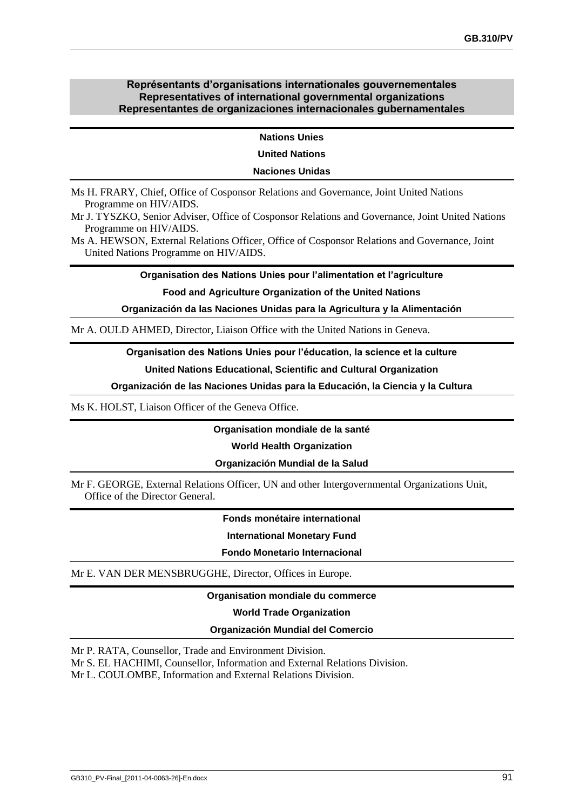#### **Représentants d'organisations internationales gouvernementales Representatives of international governmental organizations Representantes de organizaciones internacionales gubernamentales**

**Nations Unies**

**United Nations**

#### **Naciones Unidas**

Ms H. FRARY, Chief, Office of Cosponsor Relations and Governance, Joint United Nations Programme on HIV/AIDS.

Mr J. TYSZKO, Senior Adviser, Office of Cosponsor Relations and Governance, Joint United Nations Programme on HIV/AIDS.

Ms A. HEWSON, External Relations Officer, Office of Cosponsor Relations and Governance, Joint United Nations Programme on HIV/AIDS.

**Organisation des Nations Unies pour l'alimentation et l'agriculture**

#### **Food and Agriculture Organization of the United Nations**

**Organización da las Naciones Unidas para la Agricultura y la Alimentación**

Mr A. OULD AHMED, Director, Liaison Office with the United Nations in Geneva.

#### **Organisation des Nations Unies pour l'éducation, la science et la culture**

**United Nations Educational, Scientific and Cultural Organization**

**Organización de las Naciones Unidas para la Educación, la Ciencia y la Cultura**

Ms K. HOLST, Liaison Officer of the Geneva Office.

**Organisation mondiale de la santé**

**World Health Organization**

#### **Organización Mundial de la Salud**

Mr F. GEORGE, External Relations Officer, UN and other Intergovernmental Organizations Unit, Office of the Director General.

**Fonds monétaire international**

**International Monetary Fund**

**Fondo Monetario Internacional**

Mr E. VAN DER MENSBRUGGHE, Director, Offices in Europe.

#### **Organisation mondiale du commerce**

#### **World Trade Organization**

#### **Organización Mundial del Comercio**

Mr P. RATA, Counsellor, Trade and Environment Division.

Mr S. EL HACHIMI, Counsellor, Information and External Relations Division.

Mr L. COULOMBE, Information and External Relations Division.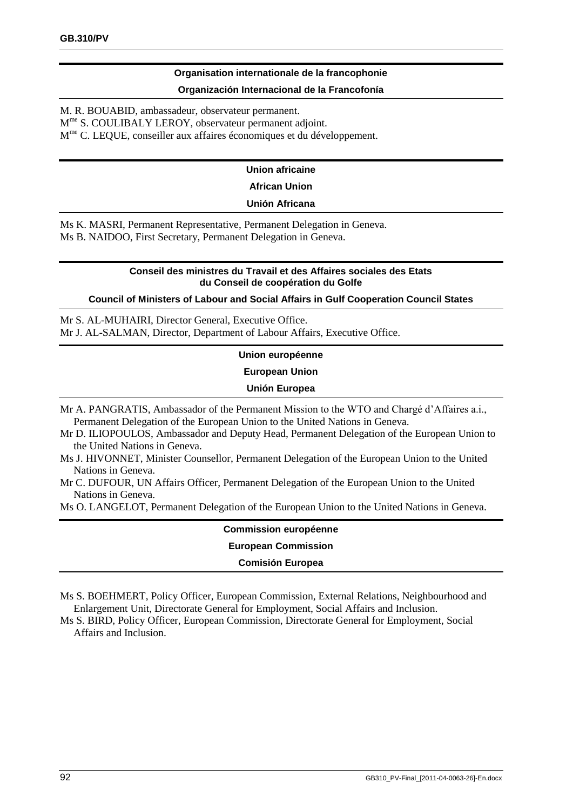### **Organisation internationale de la francophonie**

#### **Organización Internacional de la Francofonía**

M. R. BOUABID, ambassadeur, observateur permanent.

M<sup>me</sup> S. COULIBALY LEROY, observateur permanent adjoint.

M<sup>me</sup> C. LEQUE, conseiller aux affaires économiques et du développement.

### **Union africaine**

#### **African Union**

#### **Unión Africana**

Ms K. MASRI, Permanent Representative, Permanent Delegation in Geneva. Ms B. NAIDOO, First Secretary, Permanent Delegation in Geneva.

#### **Conseil des ministres du Travail et des Affaires sociales des Etats du Conseil de coopération du Golfe**

#### **Council of Ministers of Labour and Social Affairs in Gulf Cooperation Council States**

Mr S. AL-MUHAIRI, Director General, Executive Office. Mr J. AL-SALMAN, Director, Department of Labour Affairs, Executive Office.

#### **Union européenne**

**European Union**

#### **Unión Europea**

- Mr A. PANGRATIS, Ambassador of the Permanent Mission to the WTO and Chargé d'Affaires a.i., Permanent Delegation of the European Union to the United Nations in Geneva.
- Mr D. ILIOPOULOS, Ambassador and Deputy Head, Permanent Delegation of the European Union to the United Nations in Geneva.
- Ms J. HIVONNET, Minister Counsellor, Permanent Delegation of the European Union to the United Nations in Geneva.
- Mr C. DUFOUR, UN Affairs Officer, Permanent Delegation of the European Union to the United Nations in Geneva.

Ms O. LANGELOT, Permanent Delegation of the European Union to the United Nations in Geneva.

### **Commission européenne**

#### **European Commission**

#### **Comisión Europea**

Ms S. BOEHMERT, Policy Officer, European Commission, External Relations, Neighbourhood and Enlargement Unit, Directorate General for Employment, Social Affairs and Inclusion.

Ms S. BIRD, Policy Officer, European Commission, Directorate General for Employment, Social Affairs and Inclusion.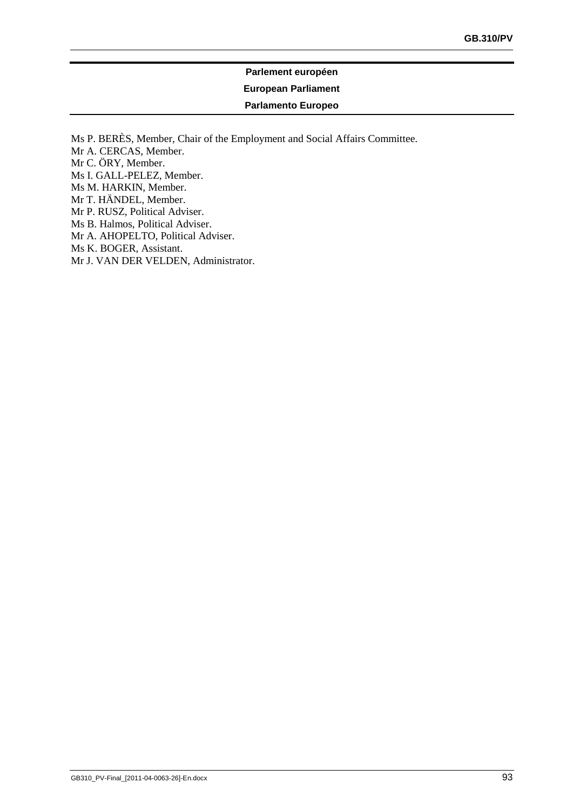# **Parlement européen European Parliament Parlamento Europeo**

<span id="page-100-0"></span>Ms P. BERÈS, Member, Chair of the Employment and Social Affairs Committee. Mr A. CERCAS, Member. Mr C. ÖRY, Member. Ms I. GALL-PELEZ, Member. Ms M. HARKIN, Member. Mr T. HÄNDEL, Member. Mr P. RUSZ, Political Adviser. Ms B. Halmos, Political Adviser. Mr A. AHOPELTO, Political Adviser. Ms K. BOGER, Assistant. Mr J. VAN DER VELDEN, Administrator.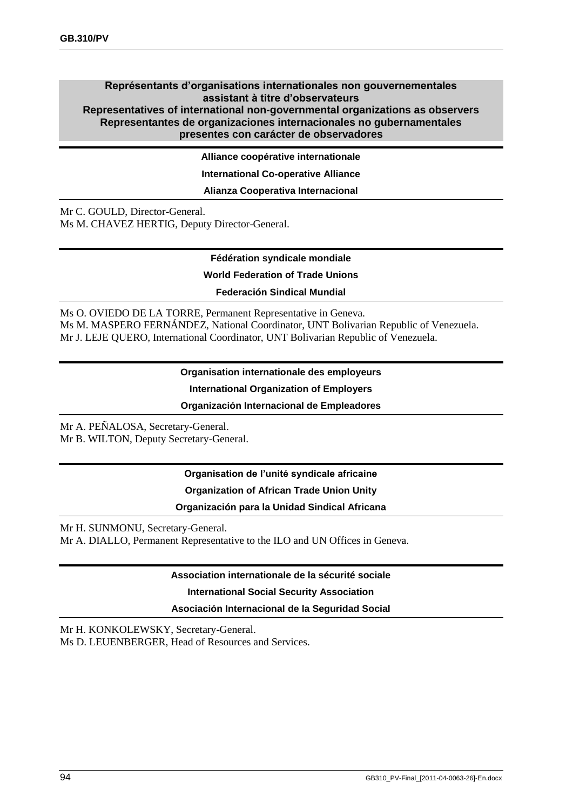#### **Représentants d'organisations internationales non gouvernementales assistant à titre d'observateurs Representatives of international non-governmental organizations as observers Representantes de organizaciones internacionales no gubernamentales presentes con carácter de observadores**

**Alliance coopérative internationale**

**International Co-operative Alliance**

**Alianza Cooperativa Internacional**

Mr C. GOULD, Director-General. Ms M. CHAVEZ HERTIG, Deputy Director-General.

#### **Fédération syndicale mondiale**

**World Federation of Trade Unions**

**Federación Sindical Mundial**

Ms O. OVIEDO DE LA TORRE, Permanent Representative in Geneva. Ms M. MASPERO FERNÁNDEZ, National Coordinator, UNT Bolivarian Republic of Venezuela. Mr J. LEJE QUERO, International Coordinator, UNT Bolivarian Republic of Venezuela.

**Organisation internationale des employeurs**

**International Organization of Employers**

**Organización Internacional de Empleadores**

Mr A. PEÑALOSA, Secretary-General. Mr B. WILTON, Deputy Secretary-General.

> **Organisation de l'unité syndicale africaine Organization of African Trade Union Unity Organización para la Unidad Sindical Africana**

Mr H. SUNMONU, Secretary-General. Mr A. DIALLO, Permanent Representative to the ILO and UN Offices in Geneva.

**Association internationale de la sécurité sociale**

**International Social Security Association**

**Asociación Internacional de la Seguridad Social**

Mr H. KONKOLEWSKY, Secretary-General. Ms D. LEUENBERGER, Head of Resources and Services.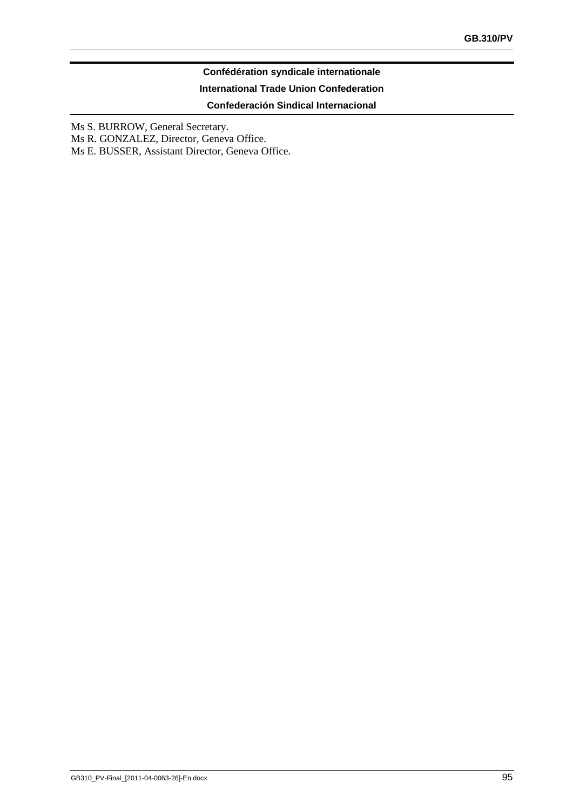### **Confédération syndicale internationale**

#### **International Trade Union Confederation**

**Confederación Sindical Internacional**

Ms S. BURROW, General Secretary.

Ms R. GONZALEZ, Director, Geneva Office.

Ms E. BUSSER, Assistant Director, Geneva Office.